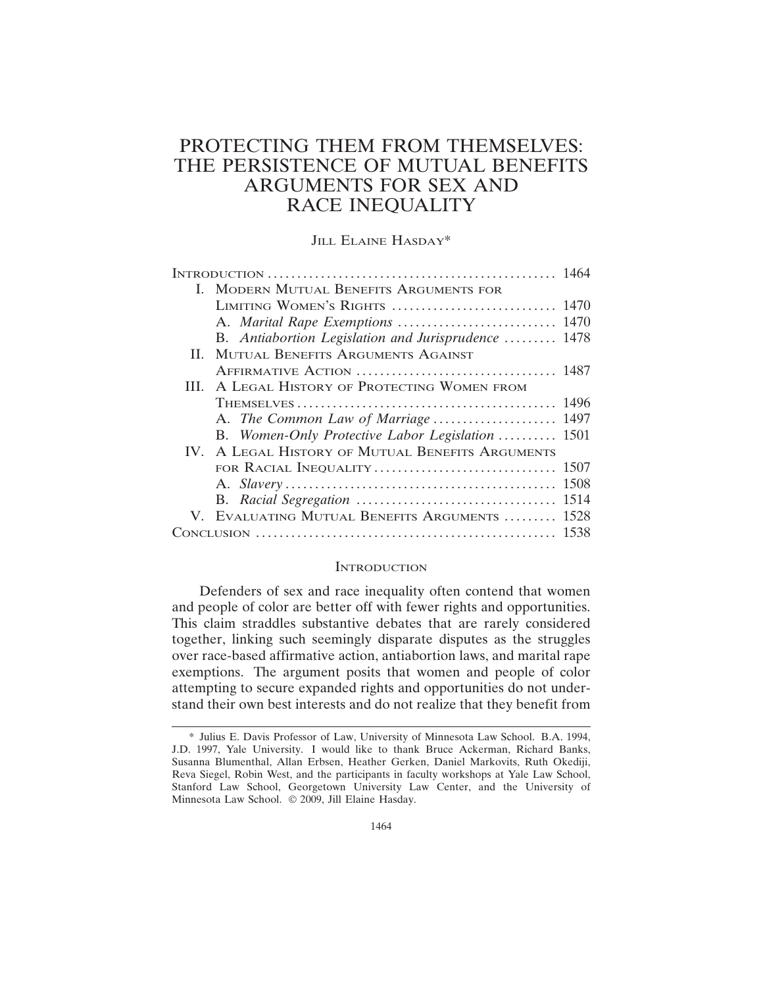# PROTECTING THEM FROM THEMSELVES: THE PERSISTENCE OF MUTUAL BENEFITS ARGUMENTS FOR SEX AND RACE INEQUALITY

JILL ELAINE HASDAY\*

|  | I. MODERN MUTUAL BENEFITS ARGUMENTS FOR             |      |
|--|-----------------------------------------------------|------|
|  | LIMITING WOMEN'S RIGHTS                             | 1470 |
|  |                                                     | 1470 |
|  | B. Antiabortion Legislation and Jurisprudence  1478 |      |
|  | II. MUTUAL BENEFITS ARGUMENTS AGAINST               |      |
|  |                                                     |      |
|  | III. A LEGAL HISTORY OF PROTECTING WOMEN FROM       |      |
|  |                                                     | 1496 |
|  |                                                     |      |
|  | B. Women-Only Protective Labor Legislation  1501    |      |
|  | IV. A LEGAL HISTORY OF MUTUAL BENEFITS ARGUMENTS    |      |
|  | FOR RACIAL INEQUALITY                               | 1507 |
|  |                                                     | 1508 |
|  |                                                     | 1514 |
|  | V. EVALUATING MUTUAL BENEFITS ARGUMENTS             | 1528 |
|  |                                                     | 1538 |

#### **INTRODUCTION**

Defenders of sex and race inequality often contend that women and people of color are better off with fewer rights and opportunities. This claim straddles substantive debates that are rarely considered together, linking such seemingly disparate disputes as the struggles over race-based affirmative action, antiabortion laws, and marital rape exemptions. The argument posits that women and people of color attempting to secure expanded rights and opportunities do not understand their own best interests and do not realize that they benefit from

<sup>\*</sup> Julius E. Davis Professor of Law, University of Minnesota Law School. B.A. 1994, J.D. 1997, Yale University. I would like to thank Bruce Ackerman, Richard Banks, Susanna Blumenthal, Allan Erbsen, Heather Gerken, Daniel Markovits, Ruth Okediji, Reva Siegel, Robin West, and the participants in faculty workshops at Yale Law School, Stanford Law School, Georgetown University Law Center, and the University of Minnesota Law School. © 2009, Jill Elaine Hasday.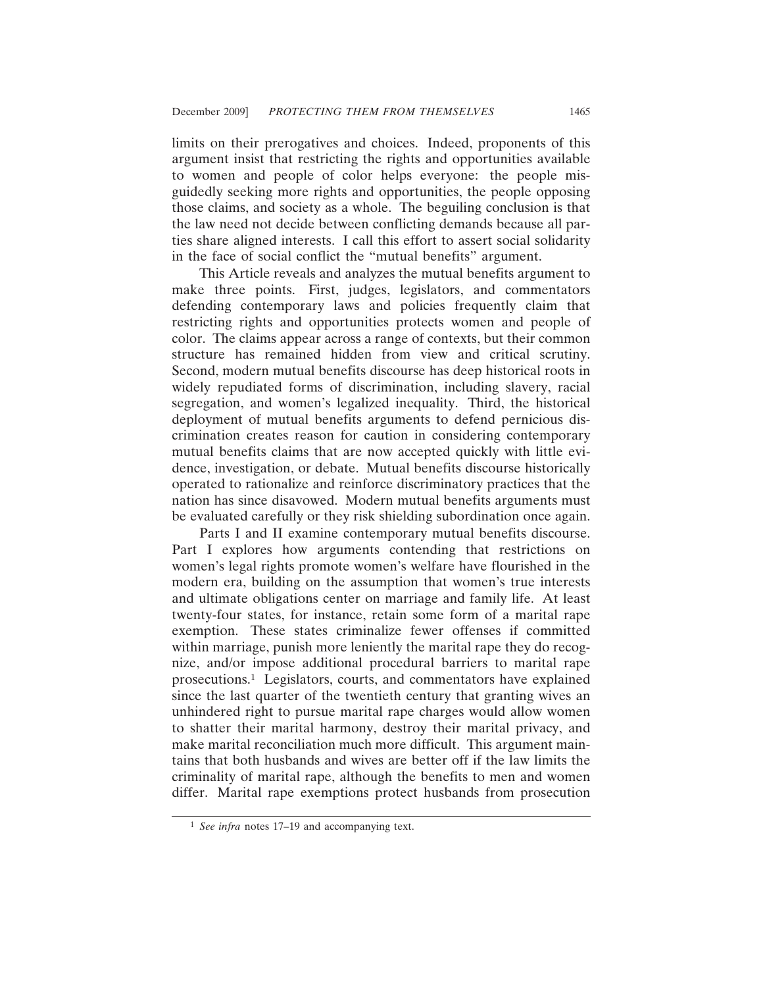limits on their prerogatives and choices. Indeed, proponents of this argument insist that restricting the rights and opportunities available to women and people of color helps everyone: the people misguidedly seeking more rights and opportunities, the people opposing those claims, and society as a whole. The beguiling conclusion is that the law need not decide between conflicting demands because all parties share aligned interests. I call this effort to assert social solidarity in the face of social conflict the "mutual benefits" argument.

This Article reveals and analyzes the mutual benefits argument to make three points. First, judges, legislators, and commentators defending contemporary laws and policies frequently claim that restricting rights and opportunities protects women and people of color. The claims appear across a range of contexts, but their common structure has remained hidden from view and critical scrutiny. Second, modern mutual benefits discourse has deep historical roots in widely repudiated forms of discrimination, including slavery, racial segregation, and women's legalized inequality. Third, the historical deployment of mutual benefits arguments to defend pernicious discrimination creates reason for caution in considering contemporary mutual benefits claims that are now accepted quickly with little evidence, investigation, or debate. Mutual benefits discourse historically operated to rationalize and reinforce discriminatory practices that the nation has since disavowed. Modern mutual benefits arguments must be evaluated carefully or they risk shielding subordination once again.

Parts I and II examine contemporary mutual benefits discourse. Part I explores how arguments contending that restrictions on women's legal rights promote women's welfare have flourished in the modern era, building on the assumption that women's true interests and ultimate obligations center on marriage and family life. At least twenty-four states, for instance, retain some form of a marital rape exemption. These states criminalize fewer offenses if committed within marriage, punish more leniently the marital rape they do recognize, and/or impose additional procedural barriers to marital rape prosecutions.1 Legislators, courts, and commentators have explained since the last quarter of the twentieth century that granting wives an unhindered right to pursue marital rape charges would allow women to shatter their marital harmony, destroy their marital privacy, and make marital reconciliation much more difficult. This argument maintains that both husbands and wives are better off if the law limits the criminality of marital rape, although the benefits to men and women differ. Marital rape exemptions protect husbands from prosecution

<sup>1</sup> *See infra* notes 17–19 and accompanying text.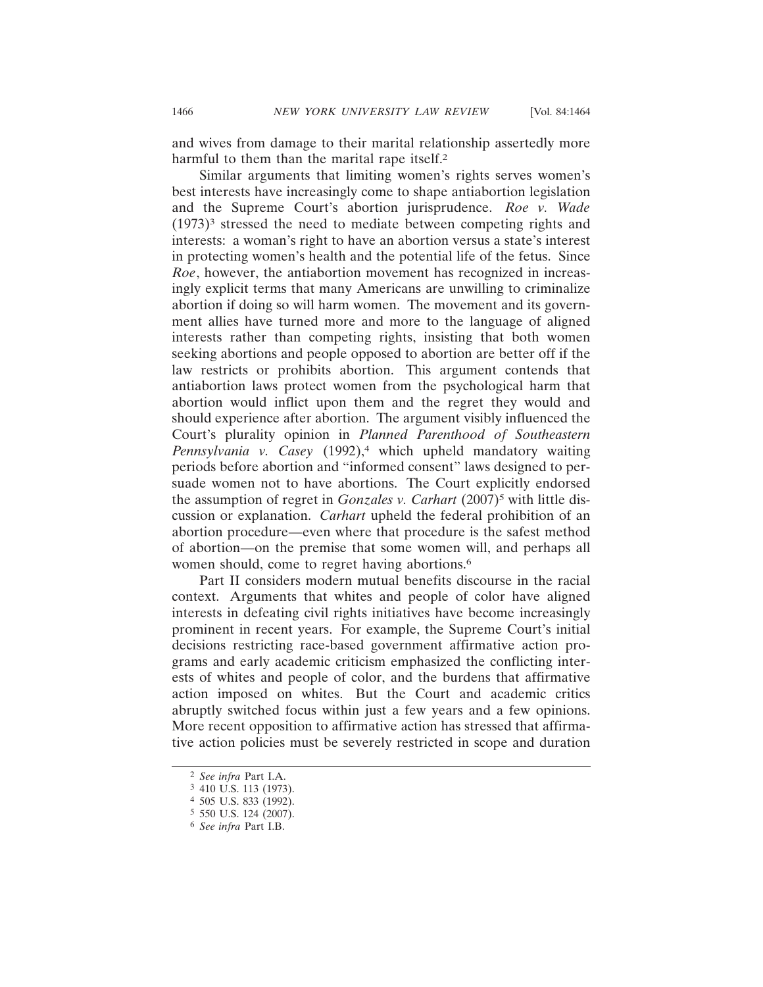and wives from damage to their marital relationship assertedly more harmful to them than the marital rape itself.<sup>2</sup>

Similar arguments that limiting women's rights serves women's best interests have increasingly come to shape antiabortion legislation and the Supreme Court's abortion jurisprudence. *Roe v. Wade*  $(1973)^3$  stressed the need to mediate between competing rights and interests: a woman's right to have an abortion versus a state's interest in protecting women's health and the potential life of the fetus. Since *Roe*, however, the antiabortion movement has recognized in increasingly explicit terms that many Americans are unwilling to criminalize abortion if doing so will harm women. The movement and its government allies have turned more and more to the language of aligned interests rather than competing rights, insisting that both women seeking abortions and people opposed to abortion are better off if the law restricts or prohibits abortion. This argument contends that antiabortion laws protect women from the psychological harm that abortion would inflict upon them and the regret they would and should experience after abortion. The argument visibly influenced the Court's plurality opinion in *Planned Parenthood of Southeastern Pennsylvania v. Casey* (1992),4 which upheld mandatory waiting periods before abortion and "informed consent" laws designed to persuade women not to have abortions. The Court explicitly endorsed the assumption of regret in *Gonzales v. Carhart* (2007)<sup>5</sup> with little discussion or explanation. *Carhart* upheld the federal prohibition of an abortion procedure—even where that procedure is the safest method of abortion—on the premise that some women will, and perhaps all women should, come to regret having abortions.<sup>6</sup>

Part II considers modern mutual benefits discourse in the racial context. Arguments that whites and people of color have aligned interests in defeating civil rights initiatives have become increasingly prominent in recent years. For example, the Supreme Court's initial decisions restricting race-based government affirmative action programs and early academic criticism emphasized the conflicting interests of whites and people of color, and the burdens that affirmative action imposed on whites. But the Court and academic critics abruptly switched focus within just a few years and a few opinions. More recent opposition to affirmative action has stressed that affirmative action policies must be severely restricted in scope and duration

<sup>2</sup> *See infra* Part I.A.

<sup>3</sup> 410 U.S. 113 (1973).

<sup>4</sup> 505 U.S. 833 (1992).

<sup>5</sup> 550 U.S. 124 (2007).

<sup>6</sup> *See infra* Part I.B.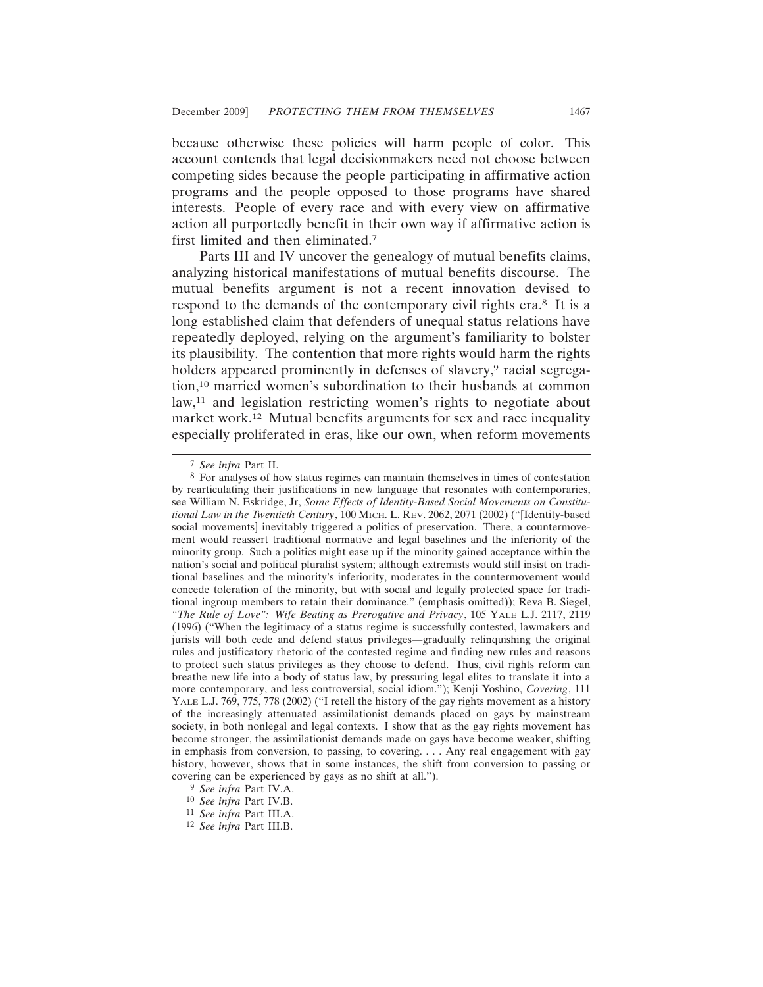because otherwise these policies will harm people of color. This account contends that legal decisionmakers need not choose between competing sides because the people participating in affirmative action programs and the people opposed to those programs have shared interests. People of every race and with every view on affirmative action all purportedly benefit in their own way if affirmative action is first limited and then eliminated.7

Parts III and IV uncover the genealogy of mutual benefits claims, analyzing historical manifestations of mutual benefits discourse. The mutual benefits argument is not a recent innovation devised to respond to the demands of the contemporary civil rights era.8 It is a long established claim that defenders of unequal status relations have repeatedly deployed, relying on the argument's familiarity to bolster its plausibility. The contention that more rights would harm the rights holders appeared prominently in defenses of slavery,<sup>9</sup> racial segregation,10 married women's subordination to their husbands at common law,<sup>11</sup> and legislation restricting women's rights to negotiate about market work.12 Mutual benefits arguments for sex and race inequality especially proliferated in eras, like our own, when reform movements

<sup>7</sup> *See infra* Part II.

<sup>8</sup> For analyses of how status regimes can maintain themselves in times of contestation by rearticulating their justifications in new language that resonates with contemporaries, see William N. Eskridge, Jr, *Some Effects of Identity-Based Social Movements on Constitutional Law in the Twentieth Century*, 100 MICH. L. REV. 2062, 2071 (2002) ("[Identity-based social movements] inevitably triggered a politics of preservation. There, a countermovement would reassert traditional normative and legal baselines and the inferiority of the minority group. Such a politics might ease up if the minority gained acceptance within the nation's social and political pluralist system; although extremists would still insist on traditional baselines and the minority's inferiority, moderates in the countermovement would concede toleration of the minority, but with social and legally protected space for traditional ingroup members to retain their dominance." (emphasis omitted)); Reva B. Siegel, *"The Rule of Love": Wife Beating as Prerogative and Privacy*, 105 YALE L.J. 2117, 2119 (1996) ("When the legitimacy of a status regime is successfully contested, lawmakers and jurists will both cede and defend status privileges—gradually relinquishing the original rules and justificatory rhetoric of the contested regime and finding new rules and reasons to protect such status privileges as they choose to defend. Thus, civil rights reform can breathe new life into a body of status law, by pressuring legal elites to translate it into a more contemporary, and less controversial, social idiom."); Kenji Yoshino, *Covering*, 111 YALE L.J. 769, 775, 778 (2002) ("I retell the history of the gay rights movement as a history of the increasingly attenuated assimilationist demands placed on gays by mainstream society, in both nonlegal and legal contexts. I show that as the gay rights movement has become stronger, the assimilationist demands made on gays have become weaker, shifting in emphasis from conversion, to passing, to covering. . . . Any real engagement with gay history, however, shows that in some instances, the shift from conversion to passing or covering can be experienced by gays as no shift at all.").

<sup>9</sup> *See infra* Part IV.A.

<sup>10</sup> *See infra* Part IV.B.

<sup>11</sup> *See infra* Part III.A.

<sup>12</sup> *See infra* Part III.B.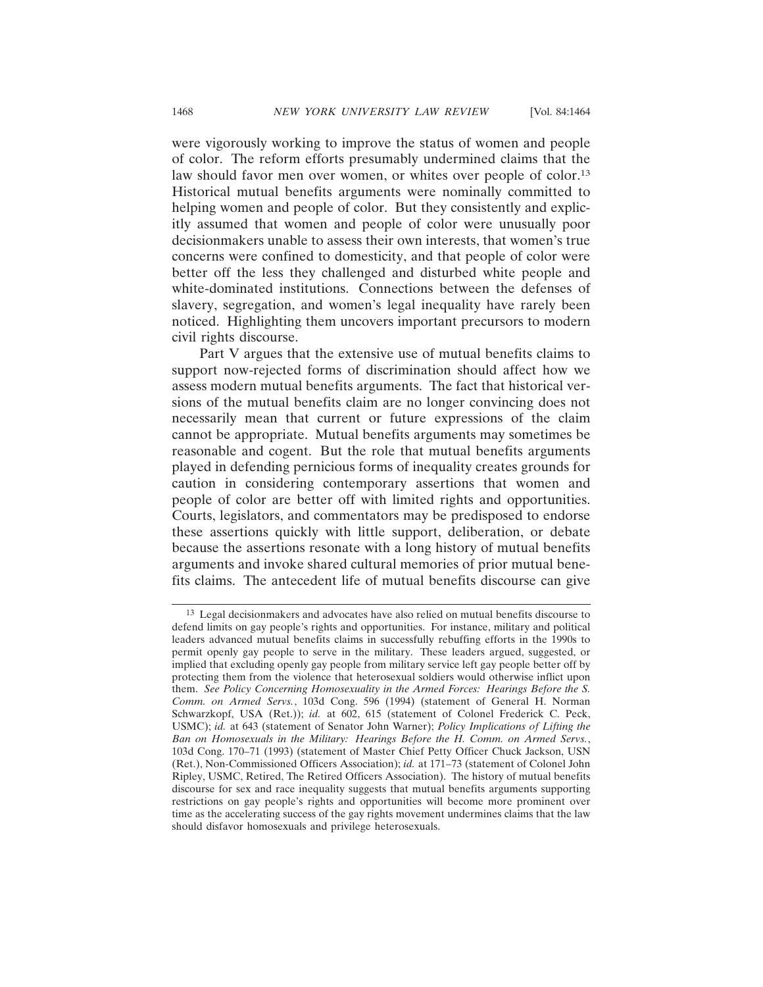were vigorously working to improve the status of women and people of color. The reform efforts presumably undermined claims that the law should favor men over women, or whites over people of color.<sup>13</sup> Historical mutual benefits arguments were nominally committed to helping women and people of color. But they consistently and explicitly assumed that women and people of color were unusually poor decisionmakers unable to assess their own interests, that women's true concerns were confined to domesticity, and that people of color were better off the less they challenged and disturbed white people and white-dominated institutions. Connections between the defenses of slavery, segregation, and women's legal inequality have rarely been noticed. Highlighting them uncovers important precursors to modern civil rights discourse.

Part V argues that the extensive use of mutual benefits claims to support now-rejected forms of discrimination should affect how we assess modern mutual benefits arguments. The fact that historical versions of the mutual benefits claim are no longer convincing does not necessarily mean that current or future expressions of the claim cannot be appropriate. Mutual benefits arguments may sometimes be reasonable and cogent. But the role that mutual benefits arguments played in defending pernicious forms of inequality creates grounds for caution in considering contemporary assertions that women and people of color are better off with limited rights and opportunities. Courts, legislators, and commentators may be predisposed to endorse these assertions quickly with little support, deliberation, or debate because the assertions resonate with a long history of mutual benefits arguments and invoke shared cultural memories of prior mutual benefits claims. The antecedent life of mutual benefits discourse can give

<sup>13</sup> Legal decisionmakers and advocates have also relied on mutual benefits discourse to defend limits on gay people's rights and opportunities. For instance, military and political leaders advanced mutual benefits claims in successfully rebuffing efforts in the 1990s to permit openly gay people to serve in the military. These leaders argued, suggested, or implied that excluding openly gay people from military service left gay people better off by protecting them from the violence that heterosexual soldiers would otherwise inflict upon them. *See Policy Concerning Homosexuality in the Armed Forces: Hearings Before the S. Comm. on Armed Servs.*, 103d Cong. 596 (1994) (statement of General H. Norman Schwarzkopf, USA (Ret.)); *id.* at 602, 615 (statement of Colonel Frederick C. Peck, USMC); *id.* at 643 (statement of Senator John Warner); *Policy Implications of Lifting the Ban on Homosexuals in the Military: Hearings Before the H. Comm. on Armed Servs.*, 103d Cong. 170–71 (1993) (statement of Master Chief Petty Officer Chuck Jackson, USN (Ret.), Non-Commissioned Officers Association); *id.* at 171–73 (statement of Colonel John Ripley, USMC, Retired, The Retired Officers Association). The history of mutual benefits discourse for sex and race inequality suggests that mutual benefits arguments supporting restrictions on gay people's rights and opportunities will become more prominent over time as the accelerating success of the gay rights movement undermines claims that the law should disfavor homosexuals and privilege heterosexuals.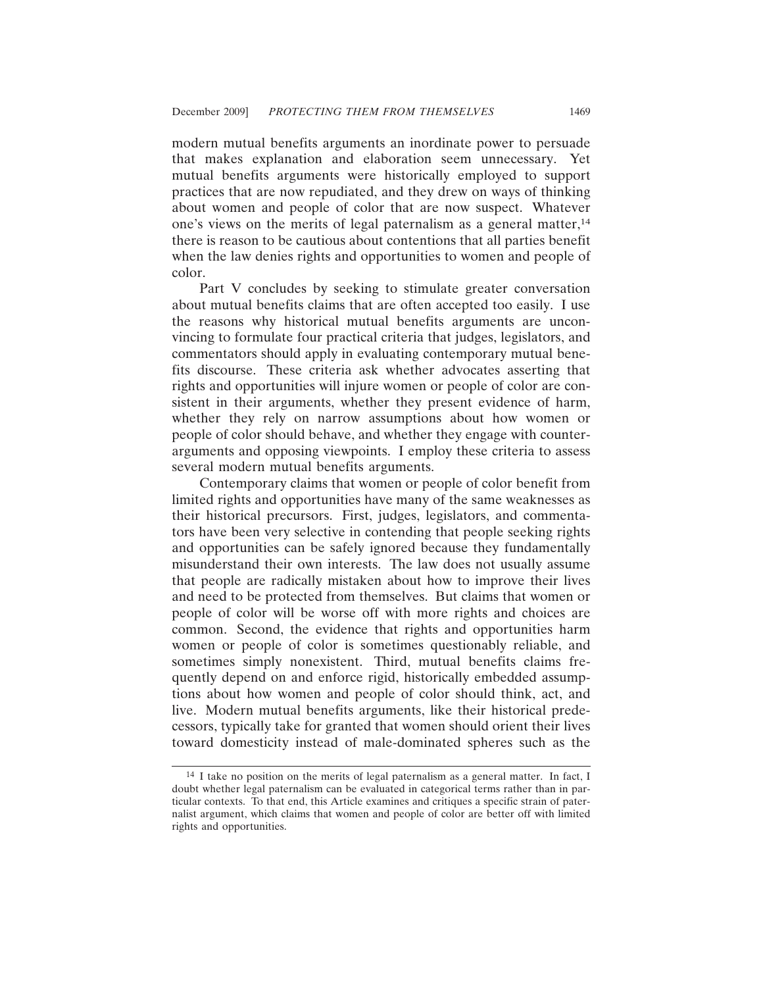modern mutual benefits arguments an inordinate power to persuade that makes explanation and elaboration seem unnecessary. Yet mutual benefits arguments were historically employed to support practices that are now repudiated, and they drew on ways of thinking about women and people of color that are now suspect. Whatever one's views on the merits of legal paternalism as a general matter, $14$ there is reason to be cautious about contentions that all parties benefit when the law denies rights and opportunities to women and people of color.

Part V concludes by seeking to stimulate greater conversation about mutual benefits claims that are often accepted too easily. I use the reasons why historical mutual benefits arguments are unconvincing to formulate four practical criteria that judges, legislators, and commentators should apply in evaluating contemporary mutual benefits discourse. These criteria ask whether advocates asserting that rights and opportunities will injure women or people of color are consistent in their arguments, whether they present evidence of harm, whether they rely on narrow assumptions about how women or people of color should behave, and whether they engage with counterarguments and opposing viewpoints. I employ these criteria to assess several modern mutual benefits arguments.

Contemporary claims that women or people of color benefit from limited rights and opportunities have many of the same weaknesses as their historical precursors. First, judges, legislators, and commentators have been very selective in contending that people seeking rights and opportunities can be safely ignored because they fundamentally misunderstand their own interests. The law does not usually assume that people are radically mistaken about how to improve their lives and need to be protected from themselves. But claims that women or people of color will be worse off with more rights and choices are common. Second, the evidence that rights and opportunities harm women or people of color is sometimes questionably reliable, and sometimes simply nonexistent. Third, mutual benefits claims frequently depend on and enforce rigid, historically embedded assumptions about how women and people of color should think, act, and live. Modern mutual benefits arguments, like their historical predecessors, typically take for granted that women should orient their lives toward domesticity instead of male-dominated spheres such as the

<sup>14</sup> I take no position on the merits of legal paternalism as a general matter. In fact, I doubt whether legal paternalism can be evaluated in categorical terms rather than in particular contexts. To that end, this Article examines and critiques a specific strain of paternalist argument, which claims that women and people of color are better off with limited rights and opportunities.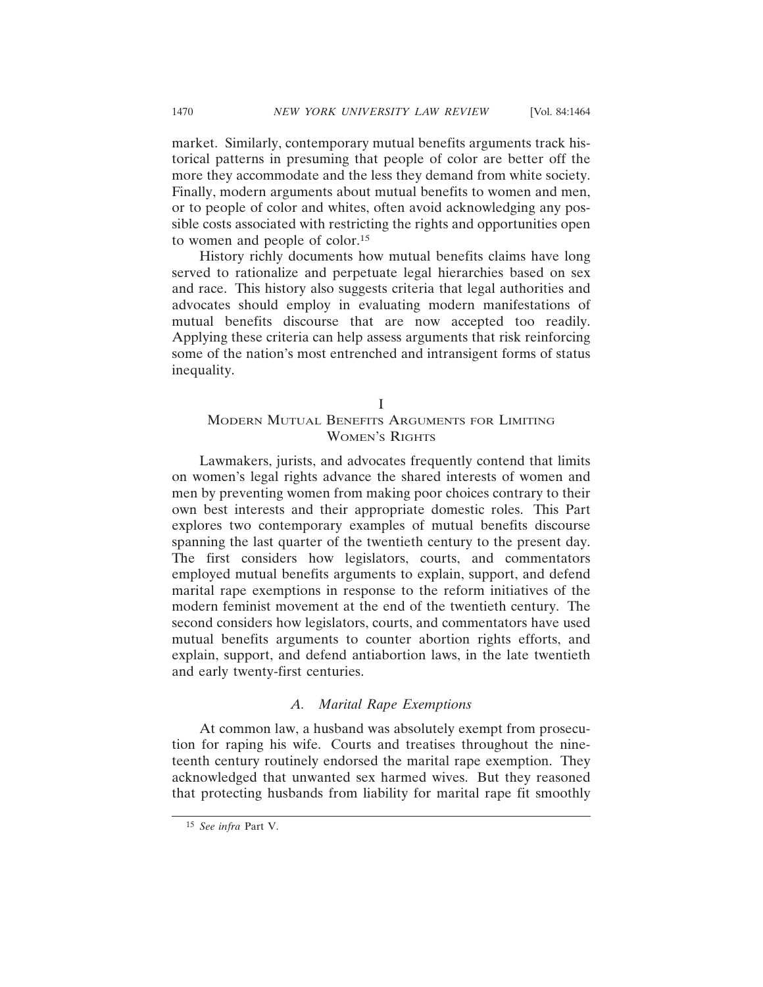market. Similarly, contemporary mutual benefits arguments track historical patterns in presuming that people of color are better off the more they accommodate and the less they demand from white society. Finally, modern arguments about mutual benefits to women and men, or to people of color and whites, often avoid acknowledging any possible costs associated with restricting the rights and opportunities open to women and people of color.15

History richly documents how mutual benefits claims have long served to rationalize and perpetuate legal hierarchies based on sex and race. This history also suggests criteria that legal authorities and advocates should employ in evaluating modern manifestations of mutual benefits discourse that are now accepted too readily. Applying these criteria can help assess arguments that risk reinforcing some of the nation's most entrenched and intransigent forms of status inequality.

I

# MODERN MUTUAL BENEFITS ARGUMENTS FOR LIMITING WOMEN'S RIGHTS

Lawmakers, jurists, and advocates frequently contend that limits on women's legal rights advance the shared interests of women and men by preventing women from making poor choices contrary to their own best interests and their appropriate domestic roles. This Part explores two contemporary examples of mutual benefits discourse spanning the last quarter of the twentieth century to the present day. The first considers how legislators, courts, and commentators employed mutual benefits arguments to explain, support, and defend marital rape exemptions in response to the reform initiatives of the modern feminist movement at the end of the twentieth century. The second considers how legislators, courts, and commentators have used mutual benefits arguments to counter abortion rights efforts, and explain, support, and defend antiabortion laws, in the late twentieth and early twenty-first centuries.

### *A. Marital Rape Exemptions*

At common law, a husband was absolutely exempt from prosecution for raping his wife. Courts and treatises throughout the nineteenth century routinely endorsed the marital rape exemption. They acknowledged that unwanted sex harmed wives. But they reasoned that protecting husbands from liability for marital rape fit smoothly

<sup>15</sup> *See infra* Part V.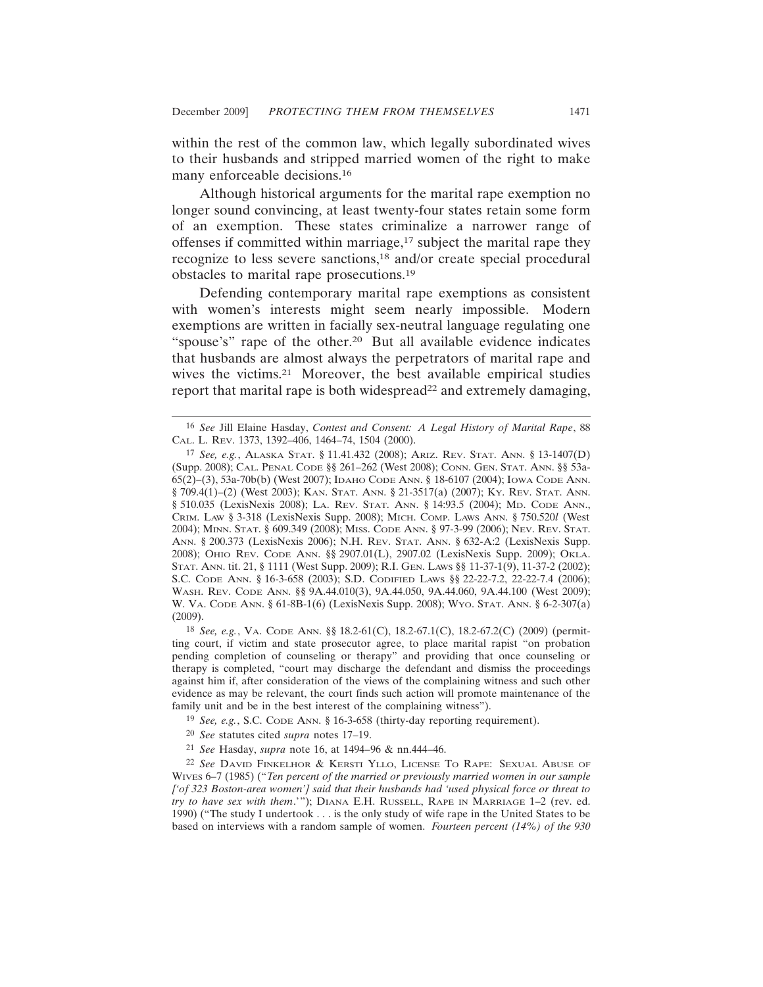within the rest of the common law, which legally subordinated wives to their husbands and stripped married women of the right to make many enforceable decisions.16

Although historical arguments for the marital rape exemption no longer sound convincing, at least twenty-four states retain some form of an exemption. These states criminalize a narrower range of offenses if committed within marriage, $17$  subject the marital rape they recognize to less severe sanctions,18 and/or create special procedural obstacles to marital rape prosecutions.19

Defending contemporary marital rape exemptions as consistent with women's interests might seem nearly impossible. Modern exemptions are written in facially sex-neutral language regulating one "spouse's" rape of the other.<sup>20</sup> But all available evidence indicates that husbands are almost always the perpetrators of marital rape and wives the victims.<sup>21</sup> Moreover, the best available empirical studies report that marital rape is both widespread<sup>22</sup> and extremely damaging,

18 *See, e.g.*, VA. CODE ANN. §§ 18.2-61(C), 18.2-67.1(C), 18.2-67.2(C) (2009) (permitting court, if victim and state prosecutor agree, to place marital rapist "on probation pending completion of counseling or therapy" and providing that once counseling or therapy is completed, "court may discharge the defendant and dismiss the proceedings against him if, after consideration of the views of the complaining witness and such other evidence as may be relevant, the court finds such action will promote maintenance of the family unit and be in the best interest of the complaining witness").

<sup>16</sup> *See* Jill Elaine Hasday, *Contest and Consent: A Legal History of Marital Rape*, 88 CAL. L. REV. 1373, 1392–406, 1464–74, 1504 (2000).

<sup>17</sup> *See, e.g.*, ALASKA STAT. § 11.41.432 (2008); ARIZ. REV. STAT. ANN. § 13-1407(D) (Supp. 2008); CAL. PENAL CODE §§ 261–262 (West 2008); CONN. GEN. STAT. ANN. §§ 53a-65(2)–(3), 53a-70b(b) (West 2007); IDAHO CODE ANN. § 18-6107 (2004); IOWA CODE ANN. § 709.4(1)–(2) (West 2003); KAN. STAT. ANN. § 21-3517(a) (2007); KY. REV. STAT. ANN. § 510.035 (LexisNexis 2008); LA. REV. STAT. ANN. § 14:93.5 (2004); MD. CODE ANN., CRIM. LAW § 3-318 (LexisNexis Supp. 2008); MICH. COMP. LAWS ANN. § 750.520*l* (West 2004); MINN. STAT. § 609.349 (2008); MISS. CODE ANN. § 97-3-99 (2006); NEV. REV. STAT. ANN. § 200.373 (LexisNexis 2006); N.H. REV. STAT. ANN. § 632-A:2 (LexisNexis Supp. 2008); OHIO REV. CODE ANN. §§ 2907.01(L), 2907.02 (LexisNexis Supp. 2009); OKLA. STAT. ANN. tit. 21, § 1111 (West Supp. 2009); R.I. GEN. LAWS §§ 11-37-1(9), 11-37-2 (2002); S.C. CODE ANN. § 16-3-658 (2003); S.D. CODIFIED LAWS §§ 22-22-7.2, 22-22-7.4 (2006); WASH. REV. CODE ANN. §§ 9A.44.010(3), 9A.44.050, 9A.44.060, 9A.44.100 (West 2009); W. VA. CODE ANN. § 61-8B-1(6) (LexisNexis Supp. 2008); WYO. STAT. ANN. § 6-2-307(a) (2009).

<sup>19</sup> *See, e.g.*, S.C. CODE ANN. § 16-3-658 (thirty-day reporting requirement).

<sup>20</sup> *See* statutes cited *supra* notes 17–19.

<sup>21</sup> *See* Hasday, *supra* note 16, at 1494–96 & nn.444–46.

<sup>22</sup> *See* DAVID FINKELHOR & KERSTI YLLO, LICENSE TO RAPE: SEXUAL ABUSE OF WIVES 6–7 (1985) ("*Ten percent of the married or previously married women in our sample ['of 323 Boston-area women'] said that their husbands had 'used physical force or threat to try to have sex with them*.'"); DIANA E.H. RUSSELL, RAPE IN MARRIAGE 1–2 (rev. ed. 1990) ("The study I undertook . . . is the only study of wife rape in the United States to be based on interviews with a random sample of women. *Fourteen percent (14%) of the 930*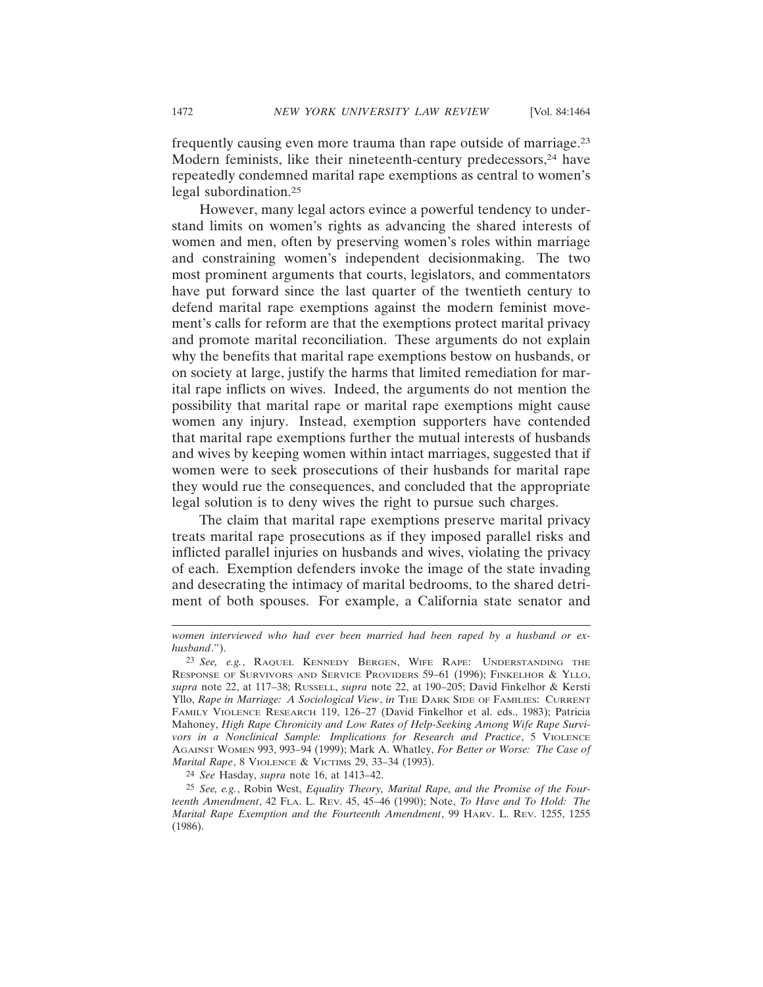frequently causing even more trauma than rape outside of marriage.23 Modern feminists, like their nineteenth-century predecessors,<sup>24</sup> have repeatedly condemned marital rape exemptions as central to women's legal subordination.25

However, many legal actors evince a powerful tendency to understand limits on women's rights as advancing the shared interests of women and men, often by preserving women's roles within marriage and constraining women's independent decisionmaking. The two most prominent arguments that courts, legislators, and commentators have put forward since the last quarter of the twentieth century to defend marital rape exemptions against the modern feminist movement's calls for reform are that the exemptions protect marital privacy and promote marital reconciliation. These arguments do not explain why the benefits that marital rape exemptions bestow on husbands, or on society at large, justify the harms that limited remediation for marital rape inflicts on wives. Indeed, the arguments do not mention the possibility that marital rape or marital rape exemptions might cause women any injury. Instead, exemption supporters have contended that marital rape exemptions further the mutual interests of husbands and wives by keeping women within intact marriages, suggested that if women were to seek prosecutions of their husbands for marital rape they would rue the consequences, and concluded that the appropriate legal solution is to deny wives the right to pursue such charges.

The claim that marital rape exemptions preserve marital privacy treats marital rape prosecutions as if they imposed parallel risks and inflicted parallel injuries on husbands and wives, violating the privacy of each. Exemption defenders invoke the image of the state invading and desecrating the intimacy of marital bedrooms, to the shared detriment of both spouses. For example, a California state senator and

24 *See* Hasday, *supra* note 16, at 1413–42.

25 *See, e.g.*, Robin West, *Equality Theory, Marital Rape, and the Promise of the Fourteenth Amendment*, 42 FLA. L. REV. 45, 45–46 (1990); Note, *To Have and To Hold: The Marital Rape Exemption and the Fourteenth Amendment*, 99 HARV. L. REV. 1255, 1255 (1986).

*women interviewed who had ever been married had been raped by a husband or exhusband*.").

<sup>23</sup> *See, e.g.*, RAQUEL KENNEDY BERGEN, WIFE RAPE: UNDERSTANDING THE RESPONSE OF SURVIVORS AND SERVICE PROVIDERS 59–61 (1996); FINKELHOR & YLLO, *supra* note 22, at 117–38; RUSSELL, *supra* note 22, at 190–205; David Finkelhor & Kersti Yllo, *Rape in Marriage: A Sociological View*, *in* THE DARK SIDE OF FAMILIES: CURRENT FAMILY VIOLENCE RESEARCH 119, 126–27 (David Finkelhor et al. eds., 1983); Patricia Mahoney, *High Rape Chronicity and Low Rates of Help-Seeking Among Wife Rape Survivors in a Nonclinical Sample: Implications for Research and Practice*, 5 VIOLENCE AGAINST WOMEN 993, 993–94 (1999); Mark A. Whatley, *For Better or Worse: The Case of Marital Rape*, 8 VIOLENCE & VICTIMS 29, 33–34 (1993).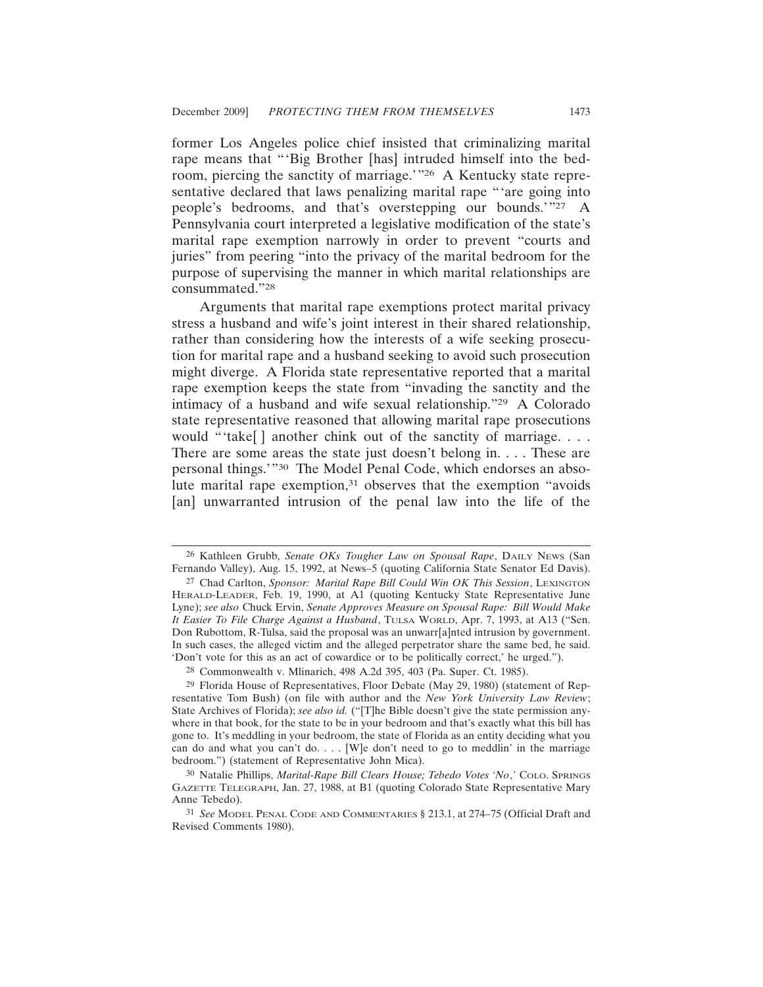former Los Angeles police chief insisted that criminalizing marital rape means that "'Big Brother [has] intruded himself into the bedroom, piercing the sanctity of marriage.'"26 A Kentucky state representative declared that laws penalizing marital rape "'are going into people's bedrooms, and that's overstepping our bounds.'"27 A Pennsylvania court interpreted a legislative modification of the state's marital rape exemption narrowly in order to prevent "courts and juries" from peering "into the privacy of the marital bedroom for the purpose of supervising the manner in which marital relationships are consummated."28

Arguments that marital rape exemptions protect marital privacy stress a husband and wife's joint interest in their shared relationship, rather than considering how the interests of a wife seeking prosecution for marital rape and a husband seeking to avoid such prosecution might diverge. A Florida state representative reported that a marital rape exemption keeps the state from "invading the sanctity and the intimacy of a husband and wife sexual relationship."29 A Colorado state representative reasoned that allowing marital rape prosecutions would "'take[] another chink out of the sanctity of marriage. . . . There are some areas the state just doesn't belong in. . . . These are personal things.'"30 The Model Penal Code, which endorses an absolute marital rape exemption,<sup>31</sup> observes that the exemption "avoids" [an] unwarranted intrusion of the penal law into the life of the

28 Commonwealth v. Mlinarich, 498 A.2d 395, 403 (Pa. Super. Ct. 1985).

<sup>26</sup> Kathleen Grubb, *Senate OKs Tougher Law on Spousal Rape*, DAILY NEWS (San Fernando Valley), Aug. 15, 1992, at News–5 (quoting California State Senator Ed Davis).

<sup>27</sup> Chad Carlton, *Sponsor: Marital Rape Bill Could Win OK This Session*, LEXINGTON HERALD-LEADER, Feb. 19, 1990, at A1 (quoting Kentucky State Representative June Lyne); *see also* Chuck Ervin, *Senate Approves Measure on Spousal Rape: Bill Would Make It Easier To File Charge Against a Husband*, TULSA WORLD, Apr. 7, 1993, at A13 ("Sen. Don Rubottom, R-Tulsa, said the proposal was an unwarr[a]nted intrusion by government. In such cases, the alleged victim and the alleged perpetrator share the same bed, he said. 'Don't vote for this as an act of cowardice or to be politically correct,' he urged.").

<sup>29</sup> Florida House of Representatives, Floor Debate (May 29, 1980) (statement of Representative Tom Bush) (on file with author and the *New York University Law Review*; State Archives of Florida); *see also id.* ("[T]he Bible doesn't give the state permission anywhere in that book, for the state to be in your bedroom and that's exactly what this bill has gone to. It's meddling in your bedroom, the state of Florida as an entity deciding what you can do and what you can't do.  $\ldots$  [W]e don't need to go to meddlin' in the marriage bedroom.") (statement of Representative John Mica).

<sup>30</sup> Natalie Phillips, *Marital-Rape Bill Clears House; Tebedo Votes 'No*,*'* COLO. SPRINGS GAZETTE TELEGRAPH, Jan. 27, 1988, at B1 (quoting Colorado State Representative Mary Anne Tebedo).

<sup>31</sup> *See* MODEL PENAL CODE AND COMMENTARIES § 213.1, at 274–75 (Official Draft and Revised Comments 1980).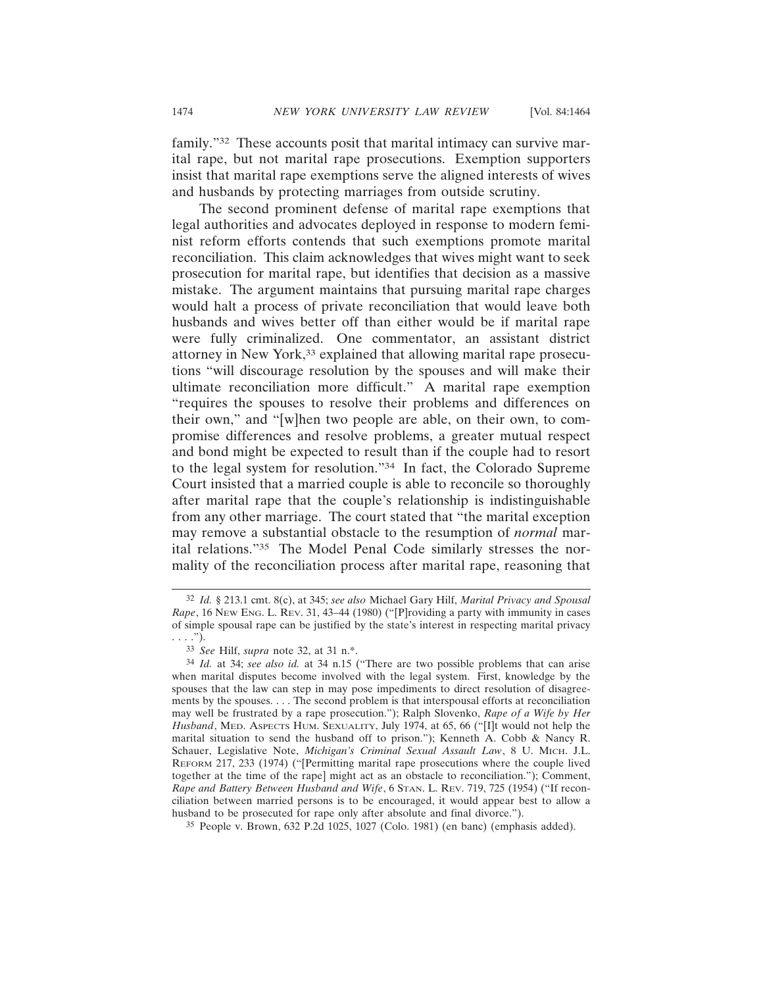family."32 These accounts posit that marital intimacy can survive marital rape, but not marital rape prosecutions. Exemption supporters insist that marital rape exemptions serve the aligned interests of wives and husbands by protecting marriages from outside scrutiny.

The second prominent defense of marital rape exemptions that legal authorities and advocates deployed in response to modern feminist reform efforts contends that such exemptions promote marital reconciliation. This claim acknowledges that wives might want to seek prosecution for marital rape, but identifies that decision as a massive mistake. The argument maintains that pursuing marital rape charges would halt a process of private reconciliation that would leave both husbands and wives better off than either would be if marital rape were fully criminalized. One commentator, an assistant district attorney in New York,<sup>33</sup> explained that allowing marital rape prosecutions "will discourage resolution by the spouses and will make their ultimate reconciliation more difficult." A marital rape exemption "requires the spouses to resolve their problems and differences on their own," and "[w]hen two people are able, on their own, to compromise differences and resolve problems, a greater mutual respect and bond might be expected to result than if the couple had to resort to the legal system for resolution."34 In fact, the Colorado Supreme Court insisted that a married couple is able to reconcile so thoroughly after marital rape that the couple's relationship is indistinguishable from any other marriage. The court stated that "the marital exception may remove a substantial obstacle to the resumption of *normal* marital relations."35 The Model Penal Code similarly stresses the normality of the reconciliation process after marital rape, reasoning that

<sup>32</sup> *Id.* § 213.1 cmt. 8(c), at 345; *see also* Michael Gary Hilf, *Marital Privacy and Spousal Rape*, 16 NEW ENG. L. REV. 31, 43–44 (1980) ("[P]roviding a party with immunity in cases of simple spousal rape can be justified by the state's interest in respecting marital privacy . . . .").

<sup>33</sup> *See* Hilf, *supra* note 32, at 31 n.\*.

<sup>34</sup> *Id.* at 34; *see also id.* at 34 n.15 ("There are two possible problems that can arise when marital disputes become involved with the legal system. First, knowledge by the spouses that the law can step in may pose impediments to direct resolution of disagreements by the spouses. . . . The second problem is that interspousal efforts at reconciliation may well be frustrated by a rape prosecution."); Ralph Slovenko, *Rape of a Wife by Her Husband*, MED. ASPECTS HUM. SEXUALITY, July 1974, at 65, 66 ("[I]t would not help the marital situation to send the husband off to prison."); Kenneth A. Cobb & Nancy R. Schauer, Legislative Note, *Michigan's Criminal Sexual Assault Law*, 8 U. MICH. J.L. REFORM 217, 233 (1974) ("[Permitting marital rape prosecutions where the couple lived together at the time of the rape] might act as an obstacle to reconciliation."); Comment, *Rape and Battery Between Husband and Wife*, 6 STAN. L. REV. 719, 725 (1954) ("If reconciliation between married persons is to be encouraged, it would appear best to allow a husband to be prosecuted for rape only after absolute and final divorce.").

<sup>35</sup> People v. Brown, 632 P.2d 1025, 1027 (Colo. 1981) (en banc) (emphasis added).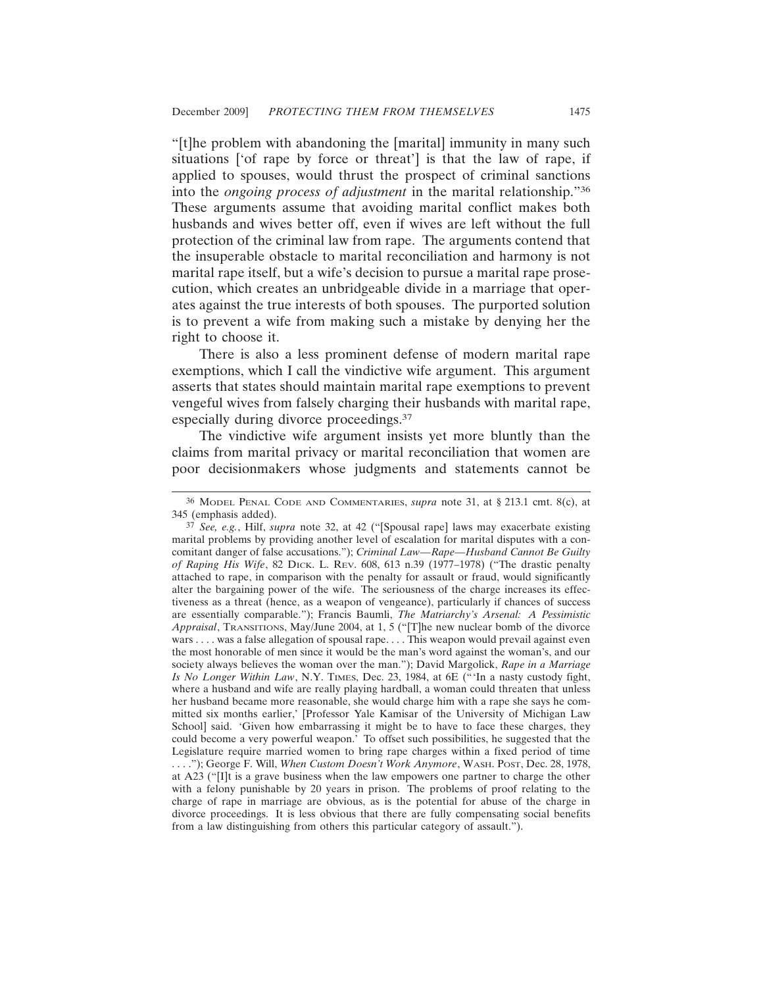"[t]he problem with abandoning the [marital] immunity in many such situations ['of rape by force or threat'] is that the law of rape, if applied to spouses, would thrust the prospect of criminal sanctions into the *ongoing process of adjustment* in the marital relationship."36 These arguments assume that avoiding marital conflict makes both husbands and wives better off, even if wives are left without the full protection of the criminal law from rape. The arguments contend that the insuperable obstacle to marital reconciliation and harmony is not marital rape itself, but a wife's decision to pursue a marital rape prosecution, which creates an unbridgeable divide in a marriage that operates against the true interests of both spouses. The purported solution is to prevent a wife from making such a mistake by denying her the right to choose it.

There is also a less prominent defense of modern marital rape exemptions, which I call the vindictive wife argument. This argument asserts that states should maintain marital rape exemptions to prevent vengeful wives from falsely charging their husbands with marital rape, especially during divorce proceedings.37

The vindictive wife argument insists yet more bluntly than the claims from marital privacy or marital reconciliation that women are poor decisionmakers whose judgments and statements cannot be

<sup>36</sup> MODEL PENAL CODE AND COMMENTARIES, *supra* note 31, at § 213.1 cmt. 8(c), at 345 (emphasis added).

<sup>37</sup> *See, e.g.*, Hilf, *supra* note 32, at 42 ("[Spousal rape] laws may exacerbate existing marital problems by providing another level of escalation for marital disputes with a concomitant danger of false accusations."); *Criminal Law—Rape—Husband Cannot Be Guilty of Raping His Wife*, 82 DICK. L. REV. 608, 613 n.39 (1977–1978) ("The drastic penalty attached to rape, in comparison with the penalty for assault or fraud, would significantly alter the bargaining power of the wife. The seriousness of the charge increases its effectiveness as a threat (hence, as a weapon of vengeance), particularly if chances of success are essentially comparable."); Francis Baumli, *The Matriarchy's Arsenal: A Pessimistic Appraisal*, TRANSITIONS, May/June 2004, at 1, 5 ("[T]he new nuclear bomb of the divorce wars . . . . was a false allegation of spousal rape. . . . This weapon would prevail against even the most honorable of men since it would be the man's word against the woman's, and our society always believes the woman over the man."); David Margolick, *Rape in a Marriage Is No Longer Within Law*, N.Y. TIMES, Dec. 23, 1984, at 6E ("'In a nasty custody fight, where a husband and wife are really playing hardball, a woman could threaten that unless her husband became more reasonable, she would charge him with a rape she says he committed six months earlier,' [Professor Yale Kamisar of the University of Michigan Law School] said. 'Given how embarrassing it might be to have to face these charges, they could become a very powerful weapon.' To offset such possibilities, he suggested that the Legislature require married women to bring rape charges within a fixed period of time . . . ."); George F. Will, *When Custom Doesn't Work Anymore*, WASH. POST, Dec. 28, 1978, at A23 ("[I]t is a grave business when the law empowers one partner to charge the other with a felony punishable by 20 years in prison. The problems of proof relating to the charge of rape in marriage are obvious, as is the potential for abuse of the charge in divorce proceedings. It is less obvious that there are fully compensating social benefits from a law distinguishing from others this particular category of assault.").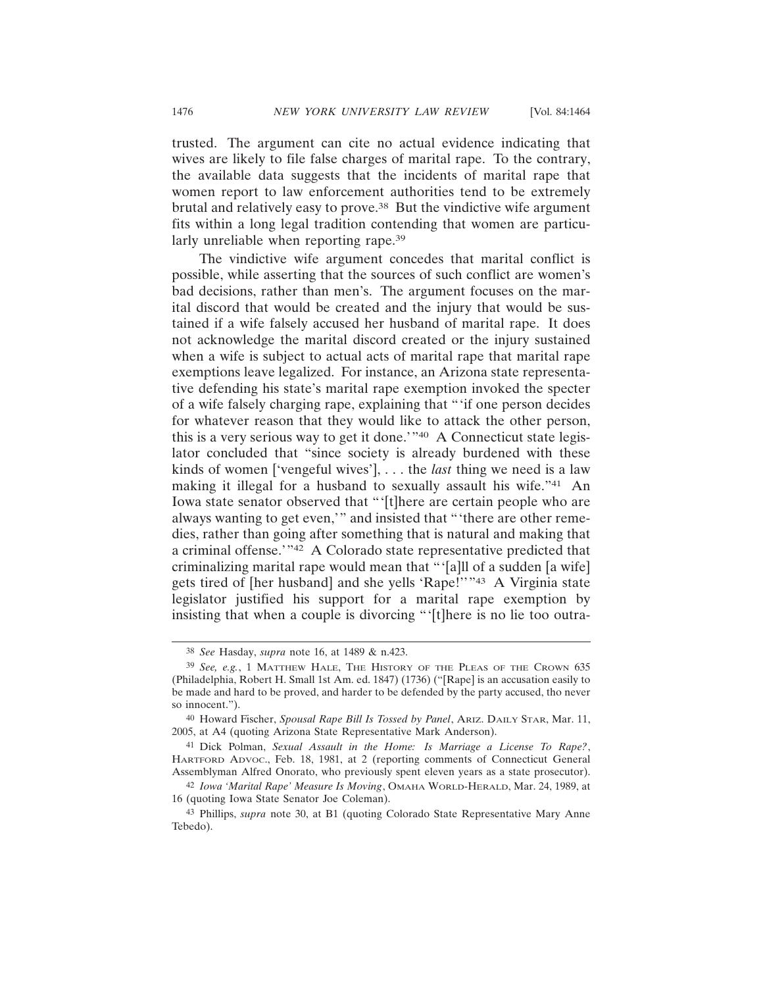trusted. The argument can cite no actual evidence indicating that wives are likely to file false charges of marital rape. To the contrary, the available data suggests that the incidents of marital rape that women report to law enforcement authorities tend to be extremely brutal and relatively easy to prove.38 But the vindictive wife argument fits within a long legal tradition contending that women are particularly unreliable when reporting rape.<sup>39</sup>

The vindictive wife argument concedes that marital conflict is possible, while asserting that the sources of such conflict are women's bad decisions, rather than men's. The argument focuses on the marital discord that would be created and the injury that would be sustained if a wife falsely accused her husband of marital rape. It does not acknowledge the marital discord created or the injury sustained when a wife is subject to actual acts of marital rape that marital rape exemptions leave legalized. For instance, an Arizona state representative defending his state's marital rape exemption invoked the specter of a wife falsely charging rape, explaining that "'if one person decides for whatever reason that they would like to attack the other person, this is a very serious way to get it done.'"40 A Connecticut state legislator concluded that "since society is already burdened with these kinds of women ['vengeful wives'], . . . the *last* thing we need is a law making it illegal for a husband to sexually assault his wife."41 An Iowa state senator observed that "'[t]here are certain people who are always wanting to get even,'" and insisted that "'there are other remedies, rather than going after something that is natural and making that a criminal offense.'"42 A Colorado state representative predicted that criminalizing marital rape would mean that "'[a]ll of a sudden [a wife] gets tired of [her husband] and she yells 'Rape!''"43 A Virginia state legislator justified his support for a marital rape exemption by insisting that when a couple is divorcing "'[t]here is no lie too outra-

<sup>38</sup> *See* Hasday, *supra* note 16, at 1489 & n.423.

<sup>39</sup> *See, e.g.*, 1 MATTHEW HALE, THE HISTORY OF THE PLEAS OF THE CROWN 635 (Philadelphia, Robert H. Small 1st Am. ed. 1847) (1736) ("[Rape] is an accusation easily to be made and hard to be proved, and harder to be defended by the party accused, tho never so innocent.").

<sup>40</sup> Howard Fischer, *Spousal Rape Bill Is Tossed by Panel*, ARIZ. DAILY STAR, Mar. 11, 2005, at A4 (quoting Arizona State Representative Mark Anderson).

<sup>41</sup> Dick Polman, *Sexual Assault in the Home: Is Marriage a License To Rape?*, HARTFORD ADVOC., Feb. 18, 1981, at 2 (reporting comments of Connecticut General Assemblyman Alfred Onorato, who previously spent eleven years as a state prosecutor).

<sup>42</sup> *Iowa 'Marital Rape' Measure Is Moving*, OMAHA WORLD-HERALD, Mar. 24, 1989, at 16 (quoting Iowa State Senator Joe Coleman).

<sup>43</sup> Phillips, *supra* note 30, at B1 (quoting Colorado State Representative Mary Anne Tebedo).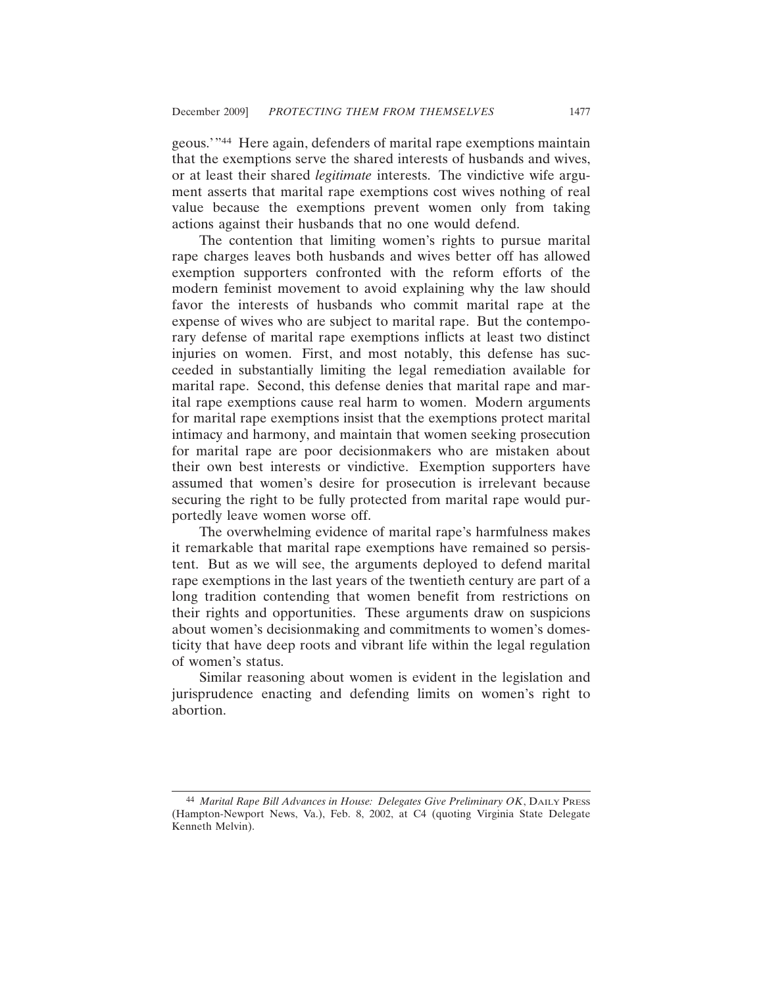geous.'"44 Here again, defenders of marital rape exemptions maintain that the exemptions serve the shared interests of husbands and wives, or at least their shared *legitimate* interests. The vindictive wife argument asserts that marital rape exemptions cost wives nothing of real value because the exemptions prevent women only from taking actions against their husbands that no one would defend.

The contention that limiting women's rights to pursue marital rape charges leaves both husbands and wives better off has allowed exemption supporters confronted with the reform efforts of the modern feminist movement to avoid explaining why the law should favor the interests of husbands who commit marital rape at the expense of wives who are subject to marital rape. But the contemporary defense of marital rape exemptions inflicts at least two distinct injuries on women. First, and most notably, this defense has succeeded in substantially limiting the legal remediation available for marital rape. Second, this defense denies that marital rape and marital rape exemptions cause real harm to women. Modern arguments for marital rape exemptions insist that the exemptions protect marital intimacy and harmony, and maintain that women seeking prosecution for marital rape are poor decisionmakers who are mistaken about their own best interests or vindictive. Exemption supporters have assumed that women's desire for prosecution is irrelevant because securing the right to be fully protected from marital rape would purportedly leave women worse off.

The overwhelming evidence of marital rape's harmfulness makes it remarkable that marital rape exemptions have remained so persistent. But as we will see, the arguments deployed to defend marital rape exemptions in the last years of the twentieth century are part of a long tradition contending that women benefit from restrictions on their rights and opportunities. These arguments draw on suspicions about women's decisionmaking and commitments to women's domesticity that have deep roots and vibrant life within the legal regulation of women's status.

Similar reasoning about women is evident in the legislation and jurisprudence enacting and defending limits on women's right to abortion.

<sup>44</sup> *Marital Rape Bill Advances in House: Delegates Give Preliminary OK*, DAILY PRESS (Hampton-Newport News, Va.), Feb. 8, 2002, at C4 (quoting Virginia State Delegate Kenneth Melvin).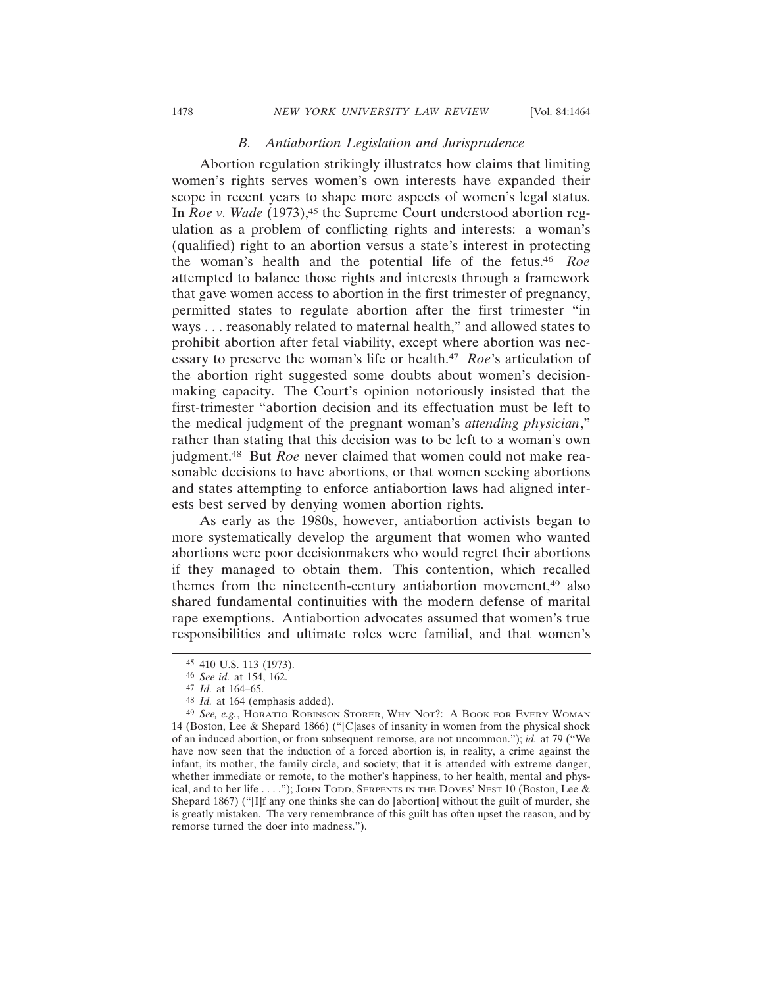### *B. Antiabortion Legislation and Jurisprudence*

Abortion regulation strikingly illustrates how claims that limiting women's rights serves women's own interests have expanded their scope in recent years to shape more aspects of women's legal status. In *Roe v. Wade* (1973),<sup>45</sup> the Supreme Court understood abortion regulation as a problem of conflicting rights and interests: a woman's (qualified) right to an abortion versus a state's interest in protecting the woman's health and the potential life of the fetus.46 *Roe* attempted to balance those rights and interests through a framework that gave women access to abortion in the first trimester of pregnancy, permitted states to regulate abortion after the first trimester "in ways . . . reasonably related to maternal health," and allowed states to prohibit abortion after fetal viability, except where abortion was necessary to preserve the woman's life or health.47 *Roe*'s articulation of the abortion right suggested some doubts about women's decisionmaking capacity. The Court's opinion notoriously insisted that the first-trimester "abortion decision and its effectuation must be left to the medical judgment of the pregnant woman's *attending physician*," rather than stating that this decision was to be left to a woman's own judgment.48 But *Roe* never claimed that women could not make reasonable decisions to have abortions, or that women seeking abortions and states attempting to enforce antiabortion laws had aligned interests best served by denying women abortion rights.

As early as the 1980s, however, antiabortion activists began to more systematically develop the argument that women who wanted abortions were poor decisionmakers who would regret their abortions if they managed to obtain them. This contention, which recalled themes from the nineteenth-century antiabortion movement,49 also shared fundamental continuities with the modern defense of marital rape exemptions. Antiabortion advocates assumed that women's true responsibilities and ultimate roles were familial, and that women's

<sup>45</sup> 410 U.S. 113 (1973).

<sup>46</sup> *See id.* at 154, 162.

<sup>47</sup> *Id.* at 164–65.

<sup>48</sup> *Id.* at 164 (emphasis added).

<sup>49</sup> *See, e.g.*, HORATIO ROBINSON STORER, WHY NOT?: A BOOK FOR EVERY WOMAN 14 (Boston, Lee & Shepard 1866) ("[C]ases of insanity in women from the physical shock of an induced abortion, or from subsequent remorse, are not uncommon."); *id.* at 79 ("We have now seen that the induction of a forced abortion is, in reality, a crime against the infant, its mother, the family circle, and society; that it is attended with extreme danger, whether immediate or remote, to the mother's happiness, to her health, mental and physical, and to her life . . . ."); JOHN TODD, SERPENTS IN THE DOVES' NEST 10 (Boston, Lee & Shepard 1867) ("[I]f any one thinks she can do [abortion] without the guilt of murder, she is greatly mistaken. The very remembrance of this guilt has often upset the reason, and by remorse turned the doer into madness.").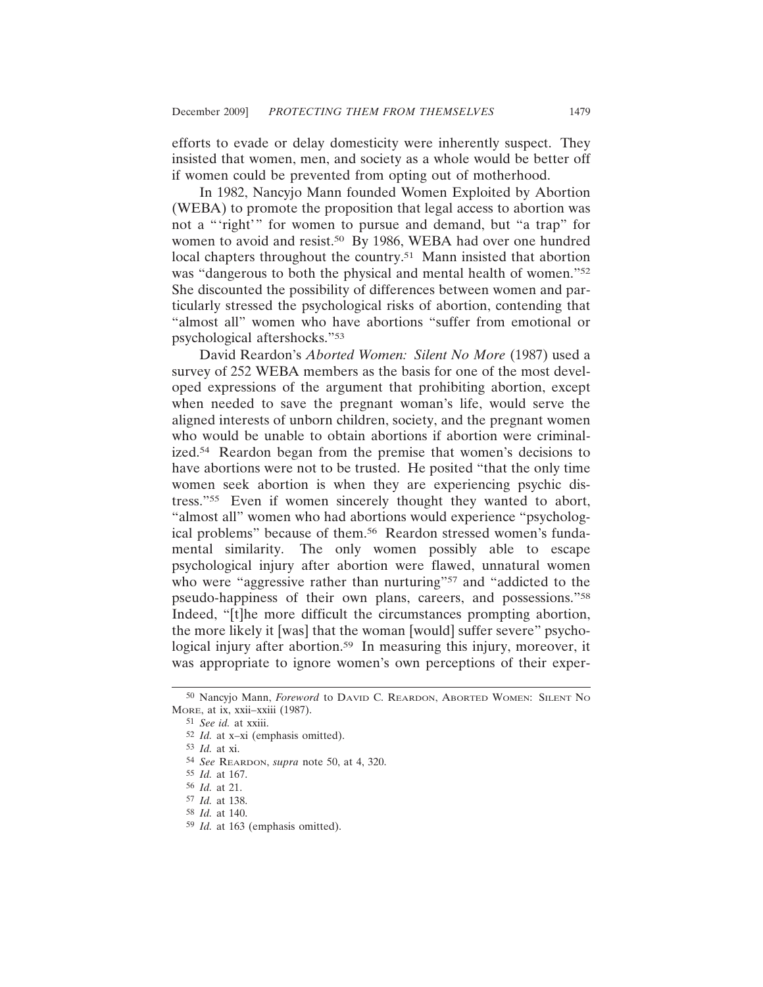efforts to evade or delay domesticity were inherently suspect. They insisted that women, men, and society as a whole would be better off if women could be prevented from opting out of motherhood.

In 1982, Nancyjo Mann founded Women Exploited by Abortion (WEBA) to promote the proposition that legal access to abortion was not a "'right'" for women to pursue and demand, but "a trap" for women to avoid and resist.<sup>50</sup> By 1986, WEBA had over one hundred local chapters throughout the country.<sup>51</sup> Mann insisted that abortion was "dangerous to both the physical and mental health of women."52 She discounted the possibility of differences between women and particularly stressed the psychological risks of abortion, contending that "almost all" women who have abortions "suffer from emotional or psychological aftershocks."53

David Reardon's *Aborted Women: Silent No More* (1987) used a survey of 252 WEBA members as the basis for one of the most developed expressions of the argument that prohibiting abortion, except when needed to save the pregnant woman's life, would serve the aligned interests of unborn children, society, and the pregnant women who would be unable to obtain abortions if abortion were criminalized.54 Reardon began from the premise that women's decisions to have abortions were not to be trusted. He posited "that the only time women seek abortion is when they are experiencing psychic distress."55 Even if women sincerely thought they wanted to abort, "almost all" women who had abortions would experience "psychological problems" because of them.56 Reardon stressed women's fundamental similarity. The only women possibly able to escape psychological injury after abortion were flawed, unnatural women who were "aggressive rather than nurturing"<sup>57</sup> and "addicted to the pseudo-happiness of their own plans, careers, and possessions."58 Indeed, "[t]he more difficult the circumstances prompting abortion, the more likely it [was] that the woman [would] suffer severe" psychological injury after abortion.<sup>59</sup> In measuring this injury, moreover, it was appropriate to ignore women's own perceptions of their exper-

<sup>50</sup> Nancyjo Mann, *Foreword* to DAVID C. REARDON, ABORTED WOMEN: SILENT NO MORE, at ix, xxii–xxiii (1987).

<sup>51</sup> *See id.* at xxiii.

<sup>52</sup> *Id.* at x–xi (emphasis omitted).

<sup>53</sup> *Id.* at xi.

<sup>54</sup> *See* REARDON, *supra* note 50, at 4, 320.

<sup>55</sup> *Id.* at 167.

<sup>56</sup> *Id.* at 21.

<sup>57</sup> *Id.* at 138.

<sup>58</sup> *Id.* at 140.

<sup>59</sup> *Id.* at 163 (emphasis omitted).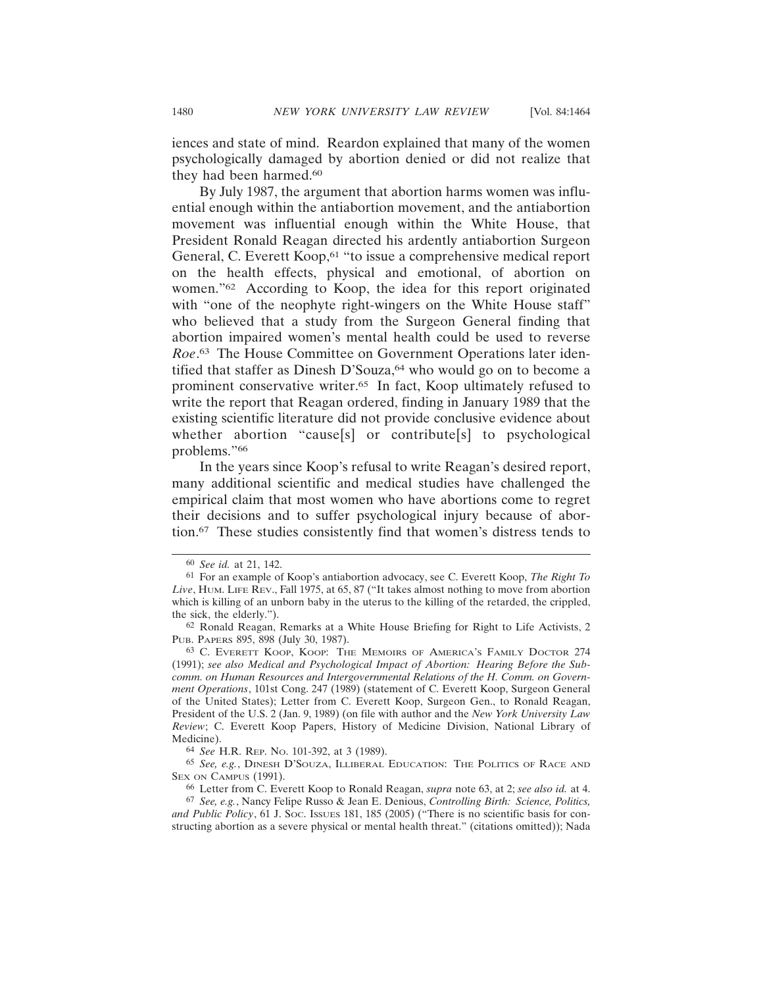iences and state of mind. Reardon explained that many of the women psychologically damaged by abortion denied or did not realize that they had been harmed.<sup>60</sup>

By July 1987, the argument that abortion harms women was influential enough within the antiabortion movement, and the antiabortion movement was influential enough within the White House, that President Ronald Reagan directed his ardently antiabortion Surgeon General, C. Everett Koop,<sup>61</sup> "to issue a comprehensive medical report on the health effects, physical and emotional, of abortion on women."62 According to Koop, the idea for this report originated with "one of the neophyte right-wingers on the White House staff" who believed that a study from the Surgeon General finding that abortion impaired women's mental health could be used to reverse *Roe*. 63 The House Committee on Government Operations later identified that staffer as Dinesh D'Souza,<sup>64</sup> who would go on to become a prominent conservative writer.65 In fact, Koop ultimately refused to write the report that Reagan ordered, finding in January 1989 that the existing scientific literature did not provide conclusive evidence about whether abortion "cause[s] or contribute[s] to psychological problems."66

In the years since Koop's refusal to write Reagan's desired report, many additional scientific and medical studies have challenged the empirical claim that most women who have abortions come to regret their decisions and to suffer psychological injury because of abortion.67 These studies consistently find that women's distress tends to

<sup>60</sup> *See id.* at 21, 142.

<sup>61</sup> For an example of Koop's antiabortion advocacy, see C. Everett Koop, *The Right To Live*, HUM. LIFE REV., Fall 1975, at 65, 87 ("It takes almost nothing to move from abortion which is killing of an unborn baby in the uterus to the killing of the retarded, the crippled, the sick, the elderly.").

<sup>62</sup> Ronald Reagan, Remarks at a White House Briefing for Right to Life Activists, 2 PUB. PAPERS 895, 898 (July 30, 1987).

<sup>63</sup> C. EVERETT KOOP, KOOP: THE MEMOIRS OF AMERICA'S FAMILY DOCTOR 274 (1991); *see also Medical and Psychological Impact of Abortion: Hearing Before the Subcomm. on Human Resources and Intergovernmental Relations of the H. Comm. on Government Operations*, 101st Cong. 247 (1989) (statement of C. Everett Koop, Surgeon General of the United States); Letter from C. Everett Koop, Surgeon Gen., to Ronald Reagan, President of the U.S. 2 (Jan. 9, 1989) (on file with author and the *New York University Law Review*; C. Everett Koop Papers, History of Medicine Division, National Library of Medicine).

<sup>64</sup> *See* H.R. REP. NO. 101-392, at 3 (1989).

<sup>65</sup> *See, e.g.*, DINESH D'SOUZA, ILLIBERAL EDUCATION: THE POLITICS OF RACE AND SEX ON CAMPUS (1991).

<sup>66</sup> Letter from C. Everett Koop to Ronald Reagan, *supra* note 63, at 2; *see also id.* at 4.

<sup>67</sup> *See, e.g.*, Nancy Felipe Russo & Jean E. Denious, *Controlling Birth: Science, Politics, and Public Policy*, 61 J. SOC. ISSUES 181, 185 (2005) ("There is no scientific basis for constructing abortion as a severe physical or mental health threat." (citations omitted)); Nada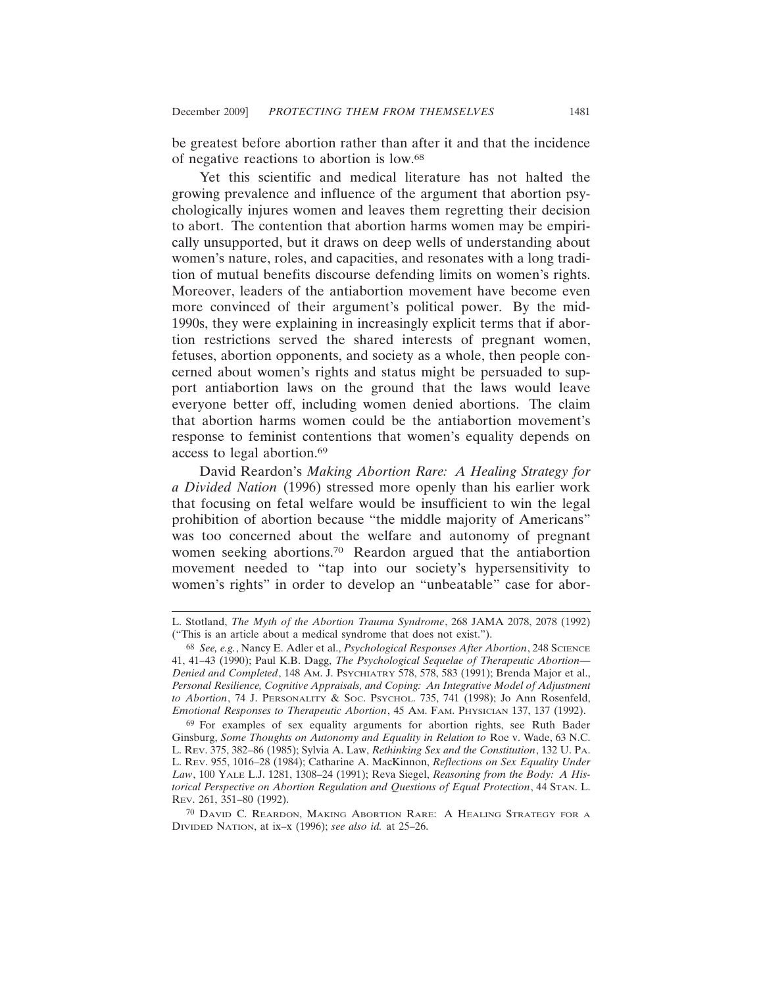be greatest before abortion rather than after it and that the incidence of negative reactions to abortion is low.68

Yet this scientific and medical literature has not halted the growing prevalence and influence of the argument that abortion psychologically injures women and leaves them regretting their decision to abort. The contention that abortion harms women may be empirically unsupported, but it draws on deep wells of understanding about women's nature, roles, and capacities, and resonates with a long tradition of mutual benefits discourse defending limits on women's rights. Moreover, leaders of the antiabortion movement have become even more convinced of their argument's political power. By the mid-1990s, they were explaining in increasingly explicit terms that if abortion restrictions served the shared interests of pregnant women, fetuses, abortion opponents, and society as a whole, then people concerned about women's rights and status might be persuaded to support antiabortion laws on the ground that the laws would leave everyone better off, including women denied abortions. The claim that abortion harms women could be the antiabortion movement's response to feminist contentions that women's equality depends on access to legal abortion.69

David Reardon's *Making Abortion Rare: A Healing Strategy for a Divided Nation* (1996) stressed more openly than his earlier work that focusing on fetal welfare would be insufficient to win the legal prohibition of abortion because "the middle majority of Americans" was too concerned about the welfare and autonomy of pregnant women seeking abortions.70 Reardon argued that the antiabortion movement needed to "tap into our society's hypersensitivity to women's rights" in order to develop an "unbeatable" case for abor-

L. Stotland, *The Myth of the Abortion Trauma Syndrome*, 268 JAMA 2078, 2078 (1992) ("This is an article about a medical syndrome that does not exist.").

<sup>68</sup> *See, e.g.*, Nancy E. Adler et al., *Psychological Responses After Abortion*, 248 SCIENCE 41, 41–43 (1990); Paul K.B. Dagg, *The Psychological Sequelae of Therapeutic Abortion— Denied and Completed*, 148 AM. J. PSYCHIATRY 578, 578, 583 (1991); Brenda Major et al., *Personal Resilience, Cognitive Appraisals, and Coping: An Integrative Model of Adjustment to Abortion*, 74 J. PERSONALITY & SOC. PSYCHOL. 735, 741 (1998); Jo Ann Rosenfeld, *Emotional Responses to Therapeutic Abortion*, 45 AM. FAM. PHYSICIAN 137, 137 (1992).

<sup>69</sup> For examples of sex equality arguments for abortion rights, see Ruth Bader Ginsburg, *Some Thoughts on Autonomy and Equality in Relation to* Roe v. Wade, 63 N.C. L. REV. 375, 382–86 (1985); Sylvia A. Law, *Rethinking Sex and the Constitution*, 132 U. PA. L. REV. 955, 1016–28 (1984); Catharine A. MacKinnon, *Reflections on Sex Equality Under Law*, 100 YALE L.J. 1281, 1308–24 (1991); Reva Siegel, *Reasoning from the Body: A Historical Perspective on Abortion Regulation and Questions of Equal Protection*, 44 STAN. L. REV. 261, 351–80 (1992).

<sup>70</sup> DAVID C. REARDON, MAKING ABORTION RARE: A HEALING STRATEGY FOR A DIVIDED NATION, at ix–x (1996); *see also id.* at 25–26.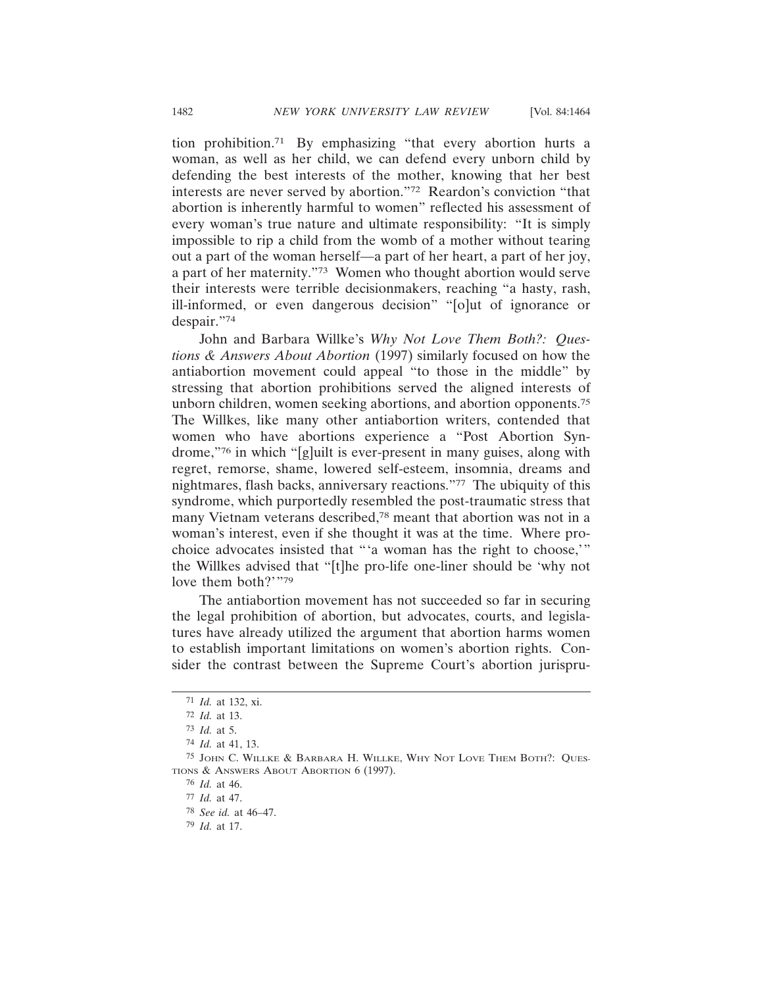tion prohibition.71 By emphasizing "that every abortion hurts a woman, as well as her child, we can defend every unborn child by defending the best interests of the mother, knowing that her best interests are never served by abortion."72 Reardon's conviction "that abortion is inherently harmful to women" reflected his assessment of every woman's true nature and ultimate responsibility: "It is simply impossible to rip a child from the womb of a mother without tearing out a part of the woman herself—a part of her heart, a part of her joy, a part of her maternity."73 Women who thought abortion would serve their interests were terrible decisionmakers, reaching "a hasty, rash, ill-informed, or even dangerous decision" "[o]ut of ignorance or despair."74

John and Barbara Willke's *Why Not Love Them Both?: Questions & Answers About Abortion* (1997) similarly focused on how the antiabortion movement could appeal "to those in the middle" by stressing that abortion prohibitions served the aligned interests of unborn children, women seeking abortions, and abortion opponents.75 The Willkes, like many other antiabortion writers, contended that women who have abortions experience a "Post Abortion Syndrome,"76 in which "[g]uilt is ever-present in many guises, along with regret, remorse, shame, lowered self-esteem, insomnia, dreams and nightmares, flash backs, anniversary reactions."77 The ubiquity of this syndrome, which purportedly resembled the post-traumatic stress that many Vietnam veterans described,78 meant that abortion was not in a woman's interest, even if she thought it was at the time. Where prochoice advocates insisted that "'a woman has the right to choose,'" the Willkes advised that "[t]he pro-life one-liner should be 'why not love them both?'"79

The antiabortion movement has not succeeded so far in securing the legal prohibition of abortion, but advocates, courts, and legislatures have already utilized the argument that abortion harms women to establish important limitations on women's abortion rights. Consider the contrast between the Supreme Court's abortion jurispru-

<sup>71</sup> *Id.* at 132, xi.

<sup>72</sup> *Id.* at 13.

<sup>73</sup> *Id.* at 5.

<sup>74</sup> *Id.* at 41, 13.

<sup>75</sup> JOHN C. WILLKE & BARBARA H. WILLKE, WHY NOT LOVE THEM BOTH?: QUES-TIONS & ANSWERS ABOUT ABORTION 6 (1997).

<sup>76</sup> *Id.* at 46.

<sup>77</sup> *Id.* at 47.

<sup>78</sup> *See id.* at 46–47.

<sup>79</sup> *Id.* at 17.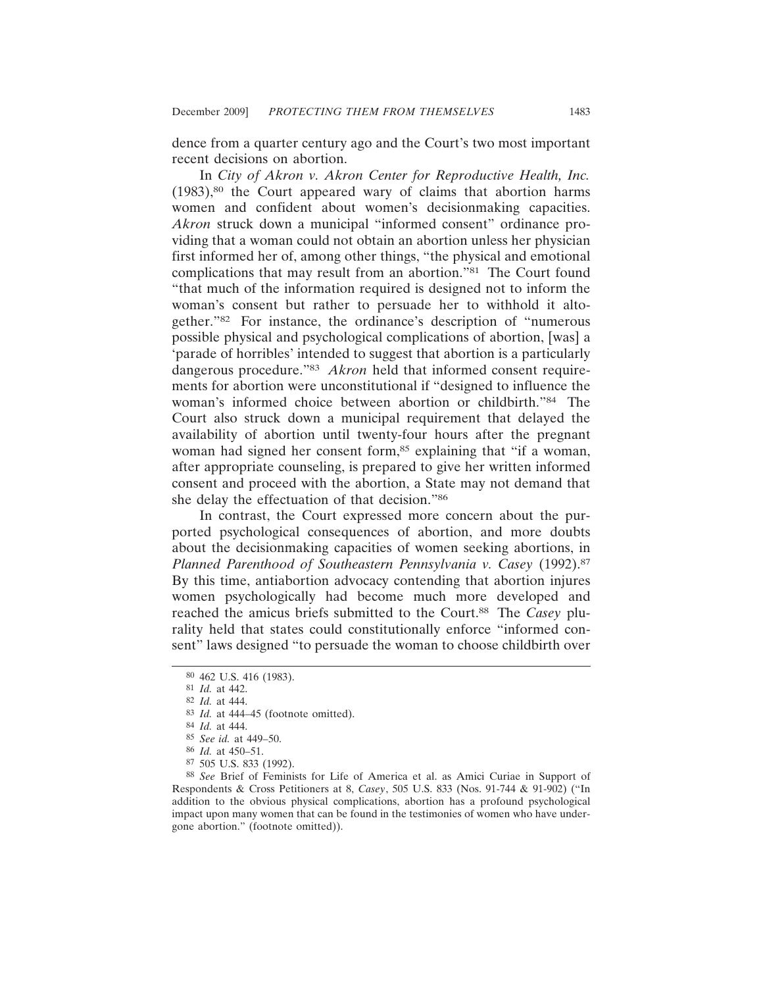dence from a quarter century ago and the Court's two most important recent decisions on abortion.

In *City of Akron v. Akron Center for Reproductive Health, Inc.*  $(1983)$ ,<sup>80</sup> the Court appeared wary of claims that abortion harms women and confident about women's decisionmaking capacities. *Akron* struck down a municipal "informed consent" ordinance providing that a woman could not obtain an abortion unless her physician first informed her of, among other things, "the physical and emotional complications that may result from an abortion."81 The Court found "that much of the information required is designed not to inform the woman's consent but rather to persuade her to withhold it altogether."82 For instance, the ordinance's description of "numerous possible physical and psychological complications of abortion, [was] a 'parade of horribles' intended to suggest that abortion is a particularly dangerous procedure."83 *Akron* held that informed consent requirements for abortion were unconstitutional if "designed to influence the woman's informed choice between abortion or childbirth."84 The Court also struck down a municipal requirement that delayed the availability of abortion until twenty-four hours after the pregnant woman had signed her consent form,<sup>85</sup> explaining that "if a woman, after appropriate counseling, is prepared to give her written informed consent and proceed with the abortion, a State may not demand that she delay the effectuation of that decision."86

In contrast, the Court expressed more concern about the purported psychological consequences of abortion, and more doubts about the decisionmaking capacities of women seeking abortions, in *Planned Parenthood of Southeastern Pennsylvania v. Casey* (1992).87 By this time, antiabortion advocacy contending that abortion injures women psychologically had become much more developed and reached the amicus briefs submitted to the Court.88 The *Casey* plurality held that states could constitutionally enforce "informed consent" laws designed "to persuade the woman to choose childbirth over

88 *See* Brief of Feminists for Life of America et al. as Amici Curiae in Support of Respondents & Cross Petitioners at 8, *Casey*, 505 U.S. 833 (Nos. 91-744 & 91-902) ("In addition to the obvious physical complications, abortion has a profound psychological impact upon many women that can be found in the testimonies of women who have undergone abortion." (footnote omitted)).

<sup>80</sup> 462 U.S. 416 (1983).

<sup>81</sup> *Id.* at 442.

<sup>82</sup> *Id.* at 444.

<sup>83</sup> *Id.* at 444–45 (footnote omitted).

<sup>84</sup> *Id.* at 444.

<sup>85</sup> *See id.* at 449–50.

<sup>86</sup> *Id.* at 450–51.

<sup>87</sup> 505 U.S. 833 (1992).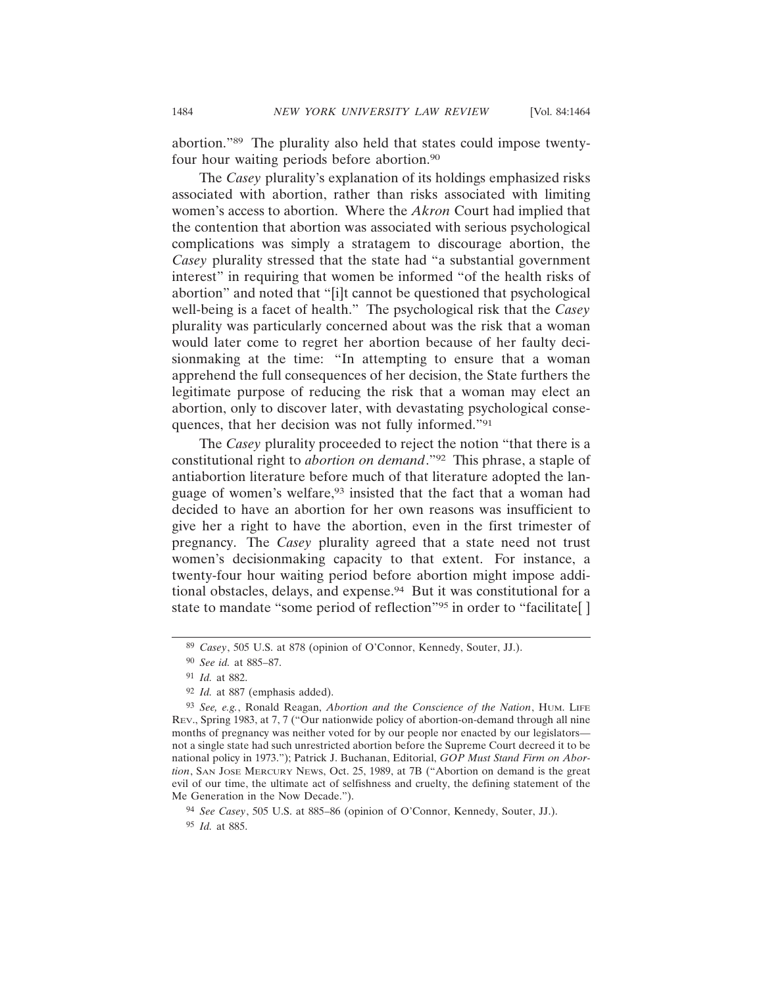abortion."89 The plurality also held that states could impose twentyfour hour waiting periods before abortion.<sup>90</sup>

The *Casey* plurality's explanation of its holdings emphasized risks associated with abortion, rather than risks associated with limiting women's access to abortion. Where the *Akron* Court had implied that the contention that abortion was associated with serious psychological complications was simply a stratagem to discourage abortion, the *Casey* plurality stressed that the state had "a substantial government interest" in requiring that women be informed "of the health risks of abortion" and noted that "[i]t cannot be questioned that psychological well-being is a facet of health." The psychological risk that the *Casey* plurality was particularly concerned about was the risk that a woman would later come to regret her abortion because of her faulty decisionmaking at the time: "In attempting to ensure that a woman apprehend the full consequences of her decision, the State furthers the legitimate purpose of reducing the risk that a woman may elect an abortion, only to discover later, with devastating psychological consequences, that her decision was not fully informed."91

The *Casey* plurality proceeded to reject the notion "that there is a constitutional right to *abortion on demand*."92 This phrase, a staple of antiabortion literature before much of that literature adopted the language of women's welfare,<sup>93</sup> insisted that the fact that a woman had decided to have an abortion for her own reasons was insufficient to give her a right to have the abortion, even in the first trimester of pregnancy. The *Casey* plurality agreed that a state need not trust women's decisionmaking capacity to that extent. For instance, a twenty-four hour waiting period before abortion might impose additional obstacles, delays, and expense.94 But it was constitutional for a state to mandate "some period of reflection"<sup>95</sup> in order to "facilitate[]

94 *See Casey*, 505 U.S. at 885–86 (opinion of O'Connor, Kennedy, Souter, JJ.).

95 *Id.* at 885.

<sup>89</sup> *Casey*, 505 U.S. at 878 (opinion of O'Connor, Kennedy, Souter, JJ.).

<sup>90</sup> *See id.* at 885–87.

<sup>91</sup> *Id.* at 882.

<sup>92</sup> *Id.* at 887 (emphasis added).

<sup>93</sup> *See, e.g.*, Ronald Reagan, *Abortion and the Conscience of the Nation*, HUM. LIFE REV., Spring 1983, at 7, 7 ("Our nationwide policy of abortion-on-demand through all nine months of pregnancy was neither voted for by our people nor enacted by our legislators not a single state had such unrestricted abortion before the Supreme Court decreed it to be national policy in 1973."); Patrick J. Buchanan, Editorial, *GOP Must Stand Firm on Abortion*, SAN JOSE MERCURY NEWS, Oct. 25, 1989, at 7B ("Abortion on demand is the great evil of our time, the ultimate act of selfishness and cruelty, the defining statement of the Me Generation in the Now Decade.").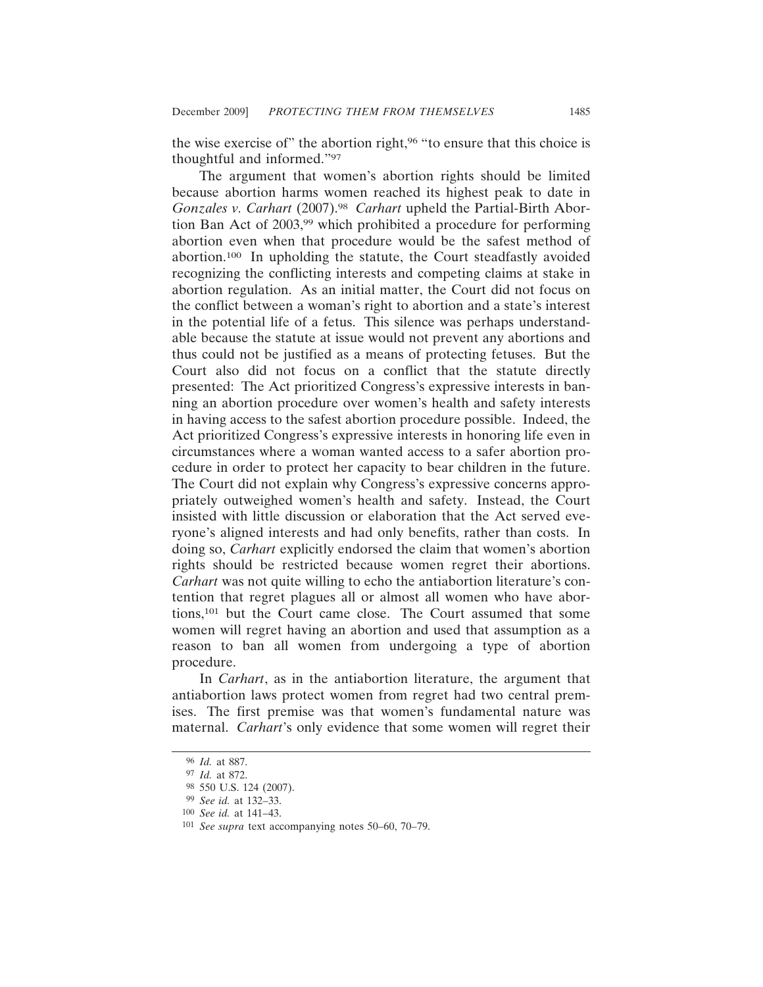the wise exercise of" the abortion right,<sup>96</sup> "to ensure that this choice is thoughtful and informed."97

The argument that women's abortion rights should be limited because abortion harms women reached its highest peak to date in *Gonzales v. Carhart* (2007).98 *Carhart* upheld the Partial-Birth Abortion Ban Act of 2003,<sup>99</sup> which prohibited a procedure for performing abortion even when that procedure would be the safest method of abortion.100 In upholding the statute, the Court steadfastly avoided recognizing the conflicting interests and competing claims at stake in abortion regulation. As an initial matter, the Court did not focus on the conflict between a woman's right to abortion and a state's interest in the potential life of a fetus. This silence was perhaps understandable because the statute at issue would not prevent any abortions and thus could not be justified as a means of protecting fetuses. But the Court also did not focus on a conflict that the statute directly presented: The Act prioritized Congress's expressive interests in banning an abortion procedure over women's health and safety interests in having access to the safest abortion procedure possible. Indeed, the Act prioritized Congress's expressive interests in honoring life even in circumstances where a woman wanted access to a safer abortion procedure in order to protect her capacity to bear children in the future. The Court did not explain why Congress's expressive concerns appropriately outweighed women's health and safety. Instead, the Court insisted with little discussion or elaboration that the Act served everyone's aligned interests and had only benefits, rather than costs. In doing so, *Carhart* explicitly endorsed the claim that women's abortion rights should be restricted because women regret their abortions. *Carhart* was not quite willing to echo the antiabortion literature's contention that regret plagues all or almost all women who have abortions,101 but the Court came close. The Court assumed that some women will regret having an abortion and used that assumption as a reason to ban all women from undergoing a type of abortion procedure.

In *Carhart*, as in the antiabortion literature, the argument that antiabortion laws protect women from regret had two central premises. The first premise was that women's fundamental nature was maternal. *Carhart*'s only evidence that some women will regret their

<sup>96</sup> *Id.* at 887.

<sup>97</sup> *Id.* at 872.

<sup>98</sup> 550 U.S. 124 (2007).

<sup>99</sup> *See id.* at 132–33.

<sup>100</sup> *See id.* at 141–43.

<sup>101</sup> *See supra* text accompanying notes 50–60, 70–79.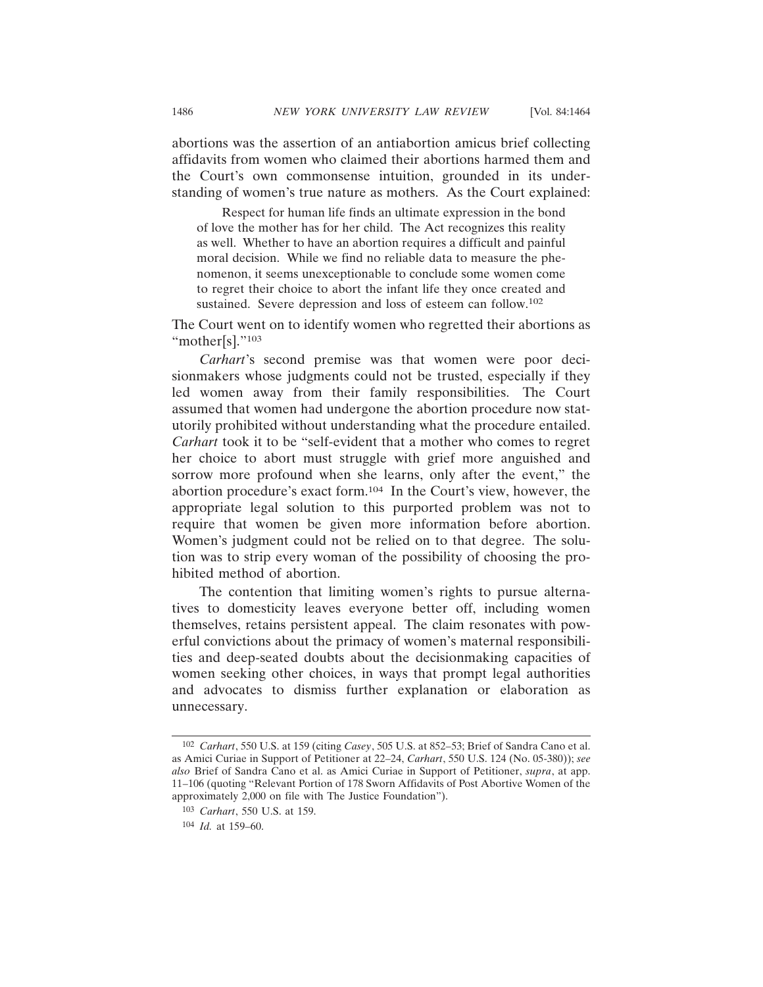abortions was the assertion of an antiabortion amicus brief collecting affidavits from women who claimed their abortions harmed them and the Court's own commonsense intuition, grounded in its understanding of women's true nature as mothers. As the Court explained:

Respect for human life finds an ultimate expression in the bond of love the mother has for her child. The Act recognizes this reality as well. Whether to have an abortion requires a difficult and painful moral decision. While we find no reliable data to measure the phenomenon, it seems unexceptionable to conclude some women come to regret their choice to abort the infant life they once created and sustained. Severe depression and loss of esteem can follow.<sup>102</sup>

The Court went on to identify women who regretted their abortions as "mother[s]."<sup>103</sup>

*Carhart*'s second premise was that women were poor decisionmakers whose judgments could not be trusted, especially if they led women away from their family responsibilities. The Court assumed that women had undergone the abortion procedure now statutorily prohibited without understanding what the procedure entailed. *Carhart* took it to be "self-evident that a mother who comes to regret her choice to abort must struggle with grief more anguished and sorrow more profound when she learns, only after the event," the abortion procedure's exact form.104 In the Court's view, however, the appropriate legal solution to this purported problem was not to require that women be given more information before abortion. Women's judgment could not be relied on to that degree. The solution was to strip every woman of the possibility of choosing the prohibited method of abortion.

The contention that limiting women's rights to pursue alternatives to domesticity leaves everyone better off, including women themselves, retains persistent appeal. The claim resonates with powerful convictions about the primacy of women's maternal responsibilities and deep-seated doubts about the decisionmaking capacities of women seeking other choices, in ways that prompt legal authorities and advocates to dismiss further explanation or elaboration as unnecessary.

<sup>102</sup> *Carhart*, 550 U.S. at 159 (citing *Casey*, 505 U.S. at 852–53; Brief of Sandra Cano et al. as Amici Curiae in Support of Petitioner at 22–24, *Carhart*, 550 U.S. 124 (No. 05-380)); *see also* Brief of Sandra Cano et al. as Amici Curiae in Support of Petitioner, *supra*, at app. 11–106 (quoting "Relevant Portion of 178 Sworn Affidavits of Post Abortive Women of the approximately 2,000 on file with The Justice Foundation").

<sup>103</sup> *Carhart*, 550 U.S. at 159.

<sup>104</sup> *Id.* at 159–60.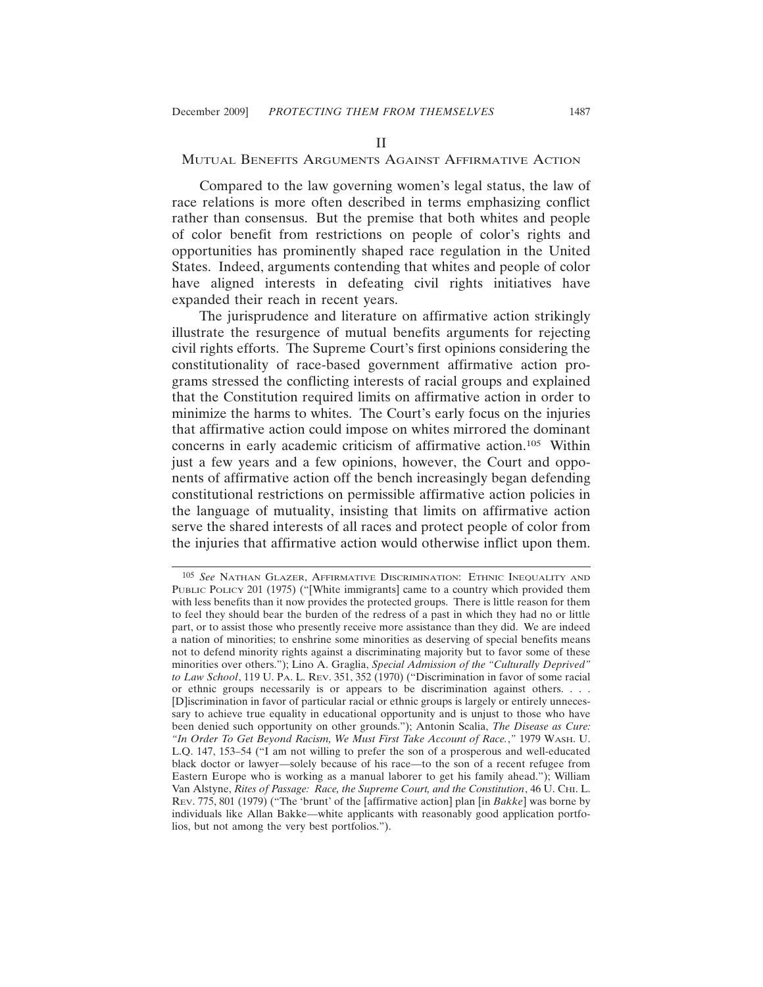#### II

## MUTUAL BENEFITS ARGUMENTS AGAINST AFFIRMATIVE ACTION

Compared to the law governing women's legal status, the law of race relations is more often described in terms emphasizing conflict rather than consensus. But the premise that both whites and people of color benefit from restrictions on people of color's rights and opportunities has prominently shaped race regulation in the United States. Indeed, arguments contending that whites and people of color have aligned interests in defeating civil rights initiatives have expanded their reach in recent years.

The jurisprudence and literature on affirmative action strikingly illustrate the resurgence of mutual benefits arguments for rejecting civil rights efforts. The Supreme Court's first opinions considering the constitutionality of race-based government affirmative action programs stressed the conflicting interests of racial groups and explained that the Constitution required limits on affirmative action in order to minimize the harms to whites. The Court's early focus on the injuries that affirmative action could impose on whites mirrored the dominant concerns in early academic criticism of affirmative action.105 Within just a few years and a few opinions, however, the Court and opponents of affirmative action off the bench increasingly began defending constitutional restrictions on permissible affirmative action policies in the language of mutuality, insisting that limits on affirmative action serve the shared interests of all races and protect people of color from the injuries that affirmative action would otherwise inflict upon them.

<sup>105</sup> *See* NATHAN GLAZER, AFFIRMATIVE DISCRIMINATION: ETHNIC INEQUALITY AND PUBLIC POLICY 201 (1975) ("[White immigrants] came to a country which provided them with less benefits than it now provides the protected groups. There is little reason for them to feel they should bear the burden of the redress of a past in which they had no or little part, or to assist those who presently receive more assistance than they did. We are indeed a nation of minorities; to enshrine some minorities as deserving of special benefits means not to defend minority rights against a discriminating majority but to favor some of these minorities over others."); Lino A. Graglia, *Special Admission of the "Culturally Deprived" to Law School*, 119 U. PA. L. REV. 351, 352 (1970) ("Discrimination in favor of some racial or ethnic groups necessarily is or appears to be discrimination against others. . . . [D]iscrimination in favor of particular racial or ethnic groups is largely or entirely unnecessary to achieve true equality in educational opportunity and is unjust to those who have been denied such opportunity on other grounds."); Antonin Scalia, *The Disease as Cure: "In Order To Get Beyond Racism, We Must First Take Account of Race.*,*"* 1979 WASH. U. L.Q. 147, 153–54 ("I am not willing to prefer the son of a prosperous and well-educated black doctor or lawyer—solely because of his race—to the son of a recent refugee from Eastern Europe who is working as a manual laborer to get his family ahead."); William Van Alstyne, *Rites of Passage: Race, the Supreme Court, and the Constitution*, 46 U. CHI. L. REV. 775, 801 (1979) ("The 'brunt' of the [affirmative action] plan [in *Bakke*] was borne by individuals like Allan Bakke—white applicants with reasonably good application portfolios, but not among the very best portfolios.").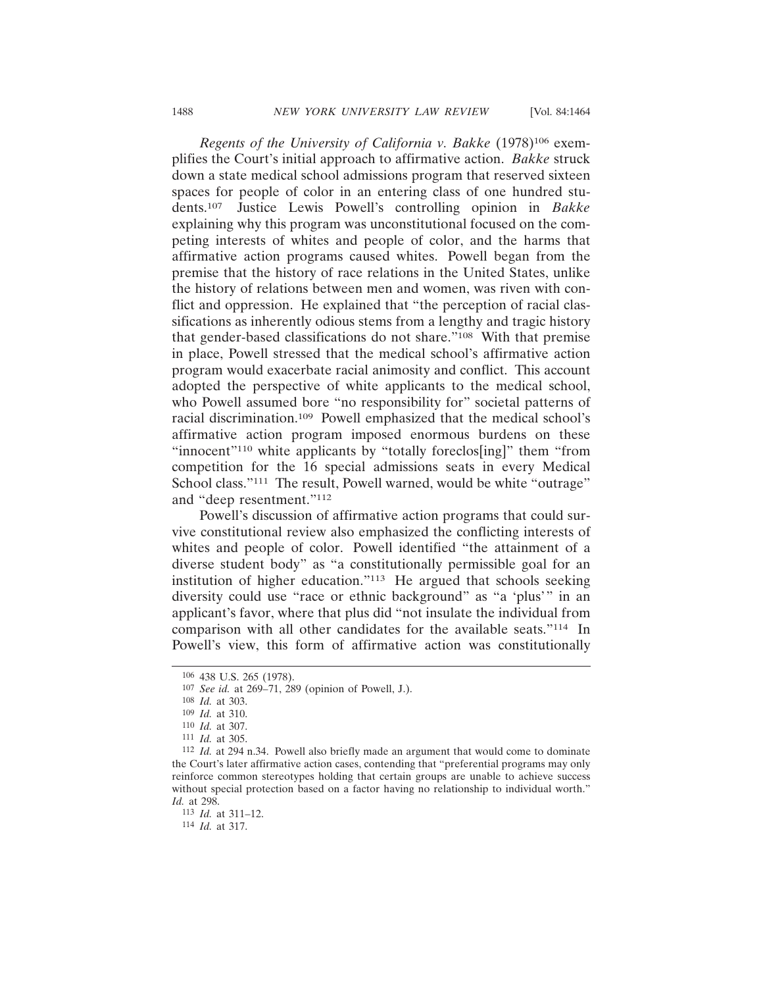*Regents of the University of California v. Bakke* (1978)106 exemplifies the Court's initial approach to affirmative action. *Bakke* struck down a state medical school admissions program that reserved sixteen spaces for people of color in an entering class of one hundred students.107 Justice Lewis Powell's controlling opinion in *Bakke* explaining why this program was unconstitutional focused on the competing interests of whites and people of color, and the harms that affirmative action programs caused whites. Powell began from the premise that the history of race relations in the United States, unlike the history of relations between men and women, was riven with conflict and oppression. He explained that "the perception of racial classifications as inherently odious stems from a lengthy and tragic history that gender-based classifications do not share."108 With that premise in place, Powell stressed that the medical school's affirmative action program would exacerbate racial animosity and conflict. This account adopted the perspective of white applicants to the medical school, who Powell assumed bore "no responsibility for" societal patterns of racial discrimination.109 Powell emphasized that the medical school's affirmative action program imposed enormous burdens on these "innocent"110 white applicants by "totally foreclos[ing]" them "from competition for the 16 special admissions seats in every Medical School class."<sup>111</sup> The result, Powell warned, would be white "outrage" and "deep resentment."112

Powell's discussion of affirmative action programs that could survive constitutional review also emphasized the conflicting interests of whites and people of color. Powell identified "the attainment of a diverse student body" as "a constitutionally permissible goal for an institution of higher education."113 He argued that schools seeking diversity could use "race or ethnic background" as "a 'plus'" in an applicant's favor, where that plus did "not insulate the individual from comparison with all other candidates for the available seats."114 In Powell's view, this form of affirmative action was constitutionally

<sup>106</sup> 438 U.S. 265 (1978).

<sup>107</sup> *See id.* at 269–71, 289 (opinion of Powell, J.).

<sup>108</sup> *Id.* at 303.

<sup>109</sup> *Id.* at 310.

<sup>110</sup> *Id.* at 307.

<sup>111</sup> *Id.* at 305.

<sup>112</sup> *Id.* at 294 n.34. Powell also briefly made an argument that would come to dominate the Court's later affirmative action cases, contending that "preferential programs may only reinforce common stereotypes holding that certain groups are unable to achieve success without special protection based on a factor having no relationship to individual worth." *Id.* at 298.

<sup>113</sup> *Id.* at 311–12.

<sup>114</sup> *Id.* at 317.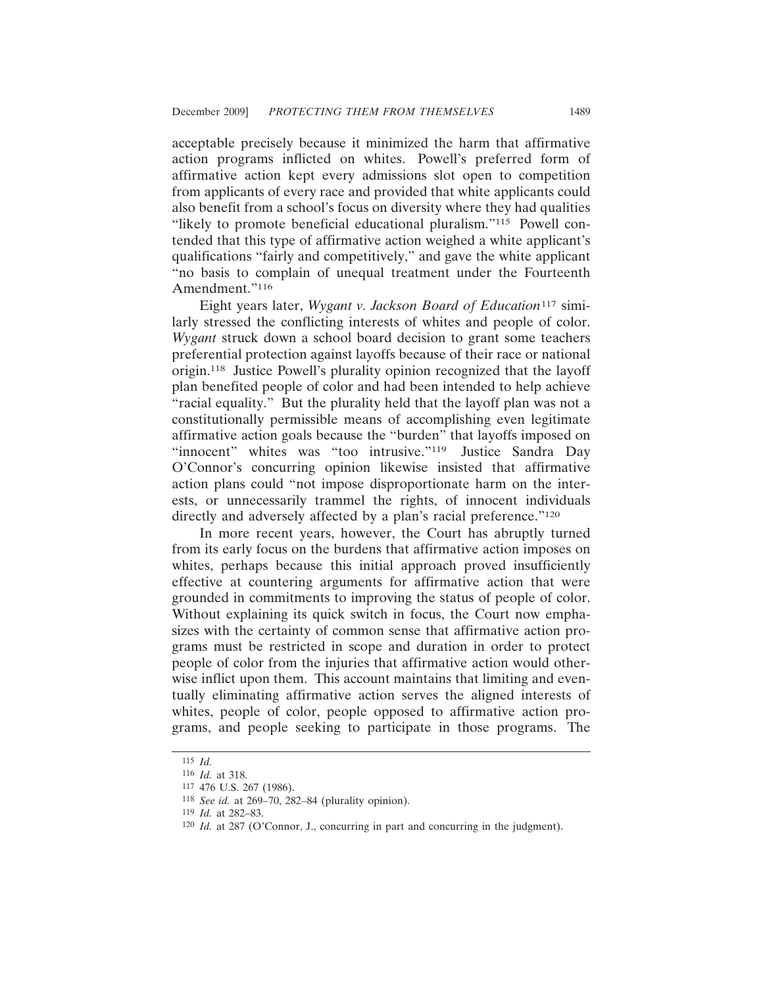acceptable precisely because it minimized the harm that affirmative action programs inflicted on whites. Powell's preferred form of affirmative action kept every admissions slot open to competition from applicants of every race and provided that white applicants could also benefit from a school's focus on diversity where they had qualities "likely to promote beneficial educational pluralism."115 Powell contended that this type of affirmative action weighed a white applicant's qualifications "fairly and competitively," and gave the white applicant "no basis to complain of unequal treatment under the Fourteenth Amendment."116

Eight years later, *Wygant v. Jackson Board of Education*117 similarly stressed the conflicting interests of whites and people of color. *Wygant* struck down a school board decision to grant some teachers preferential protection against layoffs because of their race or national origin.118 Justice Powell's plurality opinion recognized that the layoff plan benefited people of color and had been intended to help achieve "racial equality." But the plurality held that the layoff plan was not a constitutionally permissible means of accomplishing even legitimate affirmative action goals because the "burden" that layoffs imposed on "innocent" whites was "too intrusive."<sup>119</sup> Justice Sandra Day O'Connor's concurring opinion likewise insisted that affirmative action plans could "not impose disproportionate harm on the interests, or unnecessarily trammel the rights, of innocent individuals directly and adversely affected by a plan's racial preference."<sup>120</sup>

In more recent years, however, the Court has abruptly turned from its early focus on the burdens that affirmative action imposes on whites, perhaps because this initial approach proved insufficiently effective at countering arguments for affirmative action that were grounded in commitments to improving the status of people of color. Without explaining its quick switch in focus, the Court now emphasizes with the certainty of common sense that affirmative action programs must be restricted in scope and duration in order to protect people of color from the injuries that affirmative action would otherwise inflict upon them. This account maintains that limiting and eventually eliminating affirmative action serves the aligned interests of whites, people of color, people opposed to affirmative action programs, and people seeking to participate in those programs. The

<sup>115</sup> *Id.*

<sup>116</sup> *Id.* at 318.

<sup>117</sup> 476 U.S. 267 (1986).

<sup>118</sup> *See id.* at 269–70, 282–84 (plurality opinion).

<sup>119</sup> *Id.* at 282–83.

<sup>120</sup> *Id.* at 287 (O'Connor, J., concurring in part and concurring in the judgment).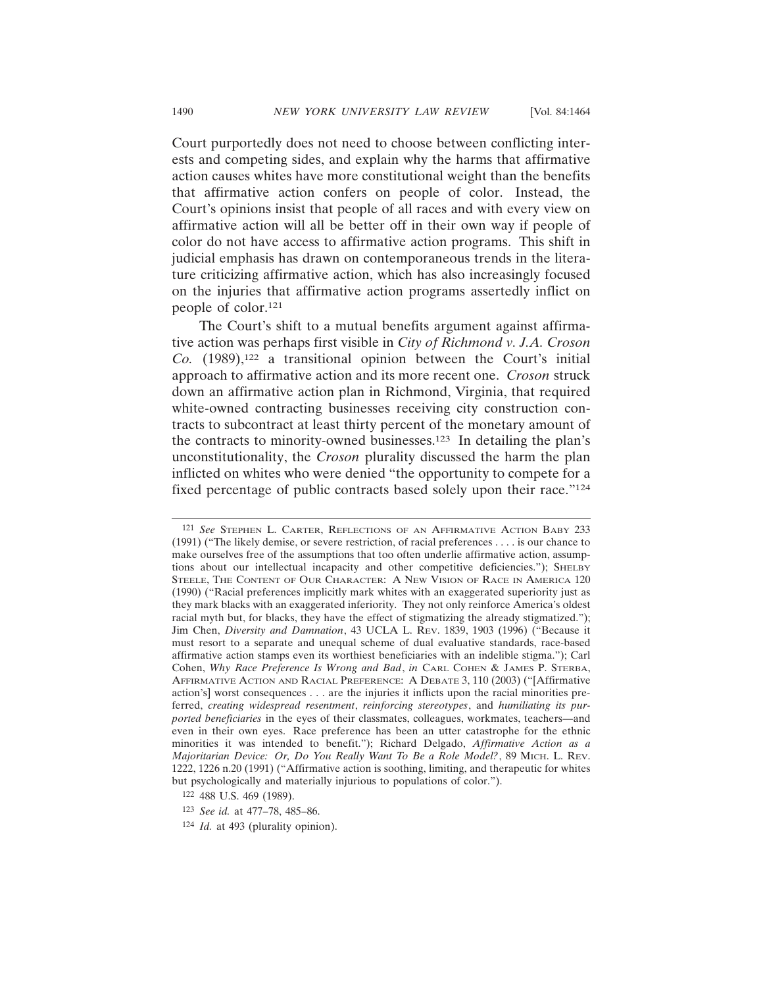Court purportedly does not need to choose between conflicting interests and competing sides, and explain why the harms that affirmative action causes whites have more constitutional weight than the benefits that affirmative action confers on people of color. Instead, the Court's opinions insist that people of all races and with every view on affirmative action will all be better off in their own way if people of color do not have access to affirmative action programs. This shift in judicial emphasis has drawn on contemporaneous trends in the literature criticizing affirmative action, which has also increasingly focused on the injuries that affirmative action programs assertedly inflict on

The Court's shift to a mutual benefits argument against affirmative action was perhaps first visible in *City of Richmond v. J.A. Croson Co.* (1989),122 a transitional opinion between the Court's initial approach to affirmative action and its more recent one. *Croson* struck down an affirmative action plan in Richmond, Virginia, that required white-owned contracting businesses receiving city construction contracts to subcontract at least thirty percent of the monetary amount of the contracts to minority-owned businesses.123 In detailing the plan's unconstitutionality, the *Croson* plurality discussed the harm the plan inflicted on whites who were denied "the opportunity to compete for a fixed percentage of public contracts based solely upon their race."124

people of color.121

<sup>121</sup> *See* STEPHEN L. CARTER, REFLECTIONS OF AN AFFIRMATIVE ACTION BABY 233 (1991) ("The likely demise, or severe restriction, of racial preferences . . . . is our chance to make ourselves free of the assumptions that too often underlie affirmative action, assumptions about our intellectual incapacity and other competitive deficiencies."); SHELBY STEELE, THE CONTENT OF OUR CHARACTER: A NEW VISION OF RACE IN AMERICA 120 (1990) ("Racial preferences implicitly mark whites with an exaggerated superiority just as they mark blacks with an exaggerated inferiority. They not only reinforce America's oldest racial myth but, for blacks, they have the effect of stigmatizing the already stigmatized."); Jim Chen, *Diversity and Damnation*, 43 UCLA L. REV. 1839, 1903 (1996) ("Because it must resort to a separate and unequal scheme of dual evaluative standards, race-based affirmative action stamps even its worthiest beneficiaries with an indelible stigma."); Carl Cohen, *Why Race Preference Is Wrong and Bad*, *in* CARL COHEN & JAMES P. STERBA, AFFIRMATIVE ACTION AND RACIAL PREFERENCE: A DEBATE 3, 110 (2003) ("[Affirmative action's] worst consequences . . . are the injuries it inflicts upon the racial minorities preferred, *creating widespread resentment*, *reinforcing stereotypes*, and *humiliating its purported beneficiaries* in the eyes of their classmates, colleagues, workmates, teachers—and even in their own eyes. Race preference has been an utter catastrophe for the ethnic minorities it was intended to benefit."); Richard Delgado, *Affirmative Action as a Majoritarian Device: Or, Do You Really Want To Be a Role Model?*, 89 MICH. L. REV. 1222, 1226 n.20 (1991) ("Affirmative action is soothing, limiting, and therapeutic for whites but psychologically and materially injurious to populations of color.").

<sup>122</sup> 488 U.S. 469 (1989).

<sup>123</sup> *See id.* at 477–78, 485–86.

<sup>124</sup> *Id.* at 493 (plurality opinion).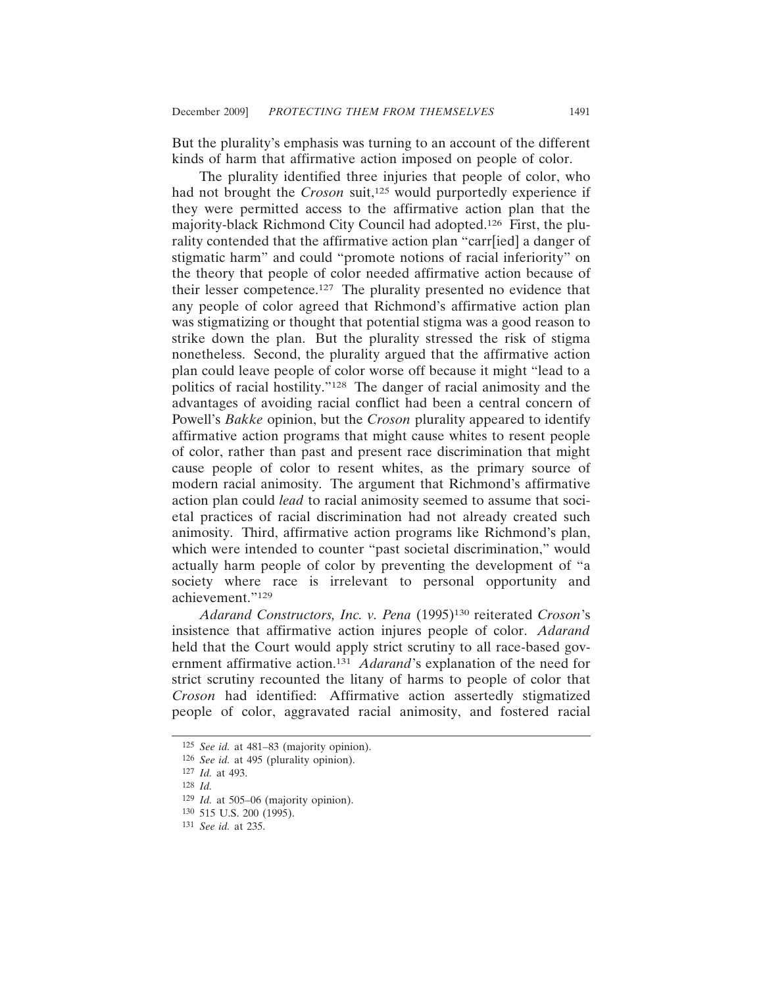But the plurality's emphasis was turning to an account of the different kinds of harm that affirmative action imposed on people of color.

The plurality identified three injuries that people of color, who had not brought the *Croson* suit,<sup>125</sup> would purportedly experience if they were permitted access to the affirmative action plan that the majority-black Richmond City Council had adopted.126 First, the plurality contended that the affirmative action plan "carr[ied] a danger of stigmatic harm" and could "promote notions of racial inferiority" on the theory that people of color needed affirmative action because of their lesser competence.127 The plurality presented no evidence that any people of color agreed that Richmond's affirmative action plan was stigmatizing or thought that potential stigma was a good reason to strike down the plan. But the plurality stressed the risk of stigma nonetheless. Second, the plurality argued that the affirmative action plan could leave people of color worse off because it might "lead to a politics of racial hostility."128 The danger of racial animosity and the advantages of avoiding racial conflict had been a central concern of Powell's *Bakke* opinion, but the *Croson* plurality appeared to identify affirmative action programs that might cause whites to resent people of color, rather than past and present race discrimination that might cause people of color to resent whites, as the primary source of modern racial animosity. The argument that Richmond's affirmative action plan could *lead* to racial animosity seemed to assume that societal practices of racial discrimination had not already created such animosity. Third, affirmative action programs like Richmond's plan, which were intended to counter "past societal discrimination," would actually harm people of color by preventing the development of "a society where race is irrelevant to personal opportunity and achievement."129

*Adarand Constructors, Inc. v. Pena* (1995)130 reiterated *Croson*'s insistence that affirmative action injures people of color. *Adarand* held that the Court would apply strict scrutiny to all race-based government affirmative action.131 *Adarand*'s explanation of the need for strict scrutiny recounted the litany of harms to people of color that *Croson* had identified: Affirmative action assertedly stigmatized people of color, aggravated racial animosity, and fostered racial

<sup>125</sup> *See id.* at 481–83 (majority opinion).

<sup>126</sup> *See id.* at 495 (plurality opinion).

<sup>127</sup> *Id.* at 493.

<sup>128</sup> *Id.*

<sup>129</sup> *Id.* at 505–06 (majority opinion).

<sup>130</sup> 515 U.S. 200 (1995).

<sup>131</sup> *See id.* at 235.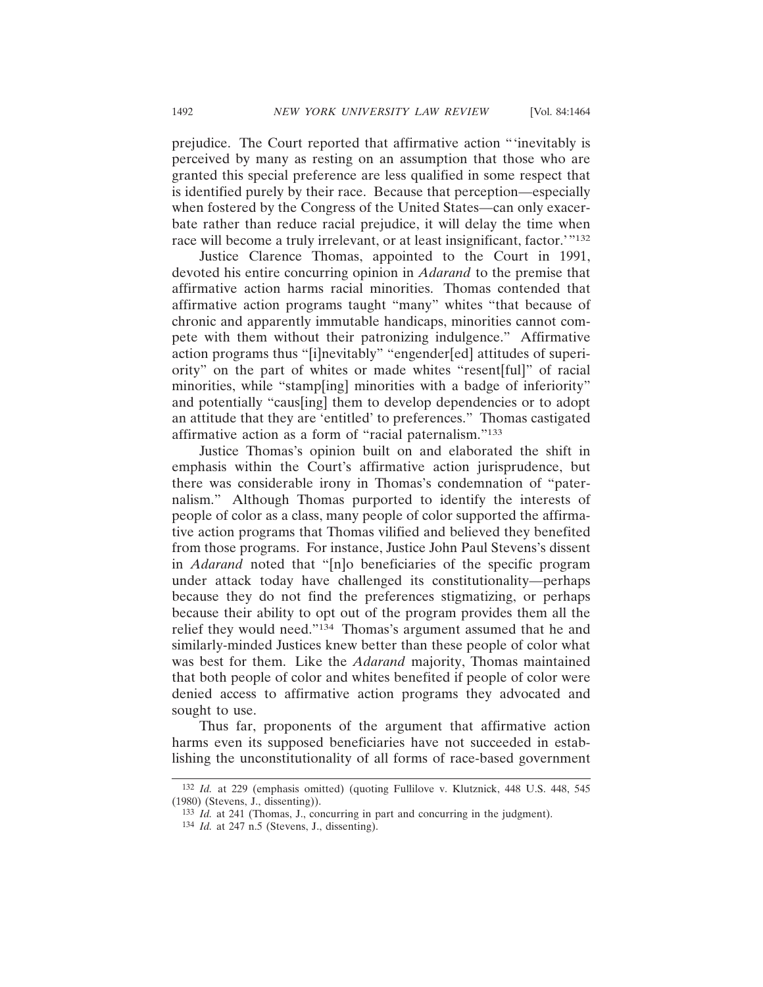prejudice. The Court reported that affirmative action "'inevitably is perceived by many as resting on an assumption that those who are granted this special preference are less qualified in some respect that is identified purely by their race. Because that perception—especially when fostered by the Congress of the United States—can only exacerbate rather than reduce racial prejudice, it will delay the time when race will become a truly irrelevant, or at least insignificant, factor.<sup>'"132</sup>

Justice Clarence Thomas, appointed to the Court in 1991, devoted his entire concurring opinion in *Adarand* to the premise that affirmative action harms racial minorities. Thomas contended that affirmative action programs taught "many" whites "that because of chronic and apparently immutable handicaps, minorities cannot compete with them without their patronizing indulgence." Affirmative action programs thus "[i]nevitably" "engender[ed] attitudes of superiority" on the part of whites or made whites "resent[ful]" of racial minorities, while "stamp[ing] minorities with a badge of inferiority" and potentially "caus[ing] them to develop dependencies or to adopt an attitude that they are 'entitled' to preferences." Thomas castigated affirmative action as a form of "racial paternalism."133

Justice Thomas's opinion built on and elaborated the shift in emphasis within the Court's affirmative action jurisprudence, but there was considerable irony in Thomas's condemnation of "paternalism." Although Thomas purported to identify the interests of people of color as a class, many people of color supported the affirmative action programs that Thomas vilified and believed they benefited from those programs. For instance, Justice John Paul Stevens's dissent in *Adarand* noted that "[n]o beneficiaries of the specific program under attack today have challenged its constitutionality—perhaps because they do not find the preferences stigmatizing, or perhaps because their ability to opt out of the program provides them all the relief they would need."134 Thomas's argument assumed that he and similarly-minded Justices knew better than these people of color what was best for them. Like the *Adarand* majority, Thomas maintained that both people of color and whites benefited if people of color were denied access to affirmative action programs they advocated and sought to use.

Thus far, proponents of the argument that affirmative action harms even its supposed beneficiaries have not succeeded in establishing the unconstitutionality of all forms of race-based government

<sup>132</sup> *Id.* at 229 (emphasis omitted) (quoting Fullilove v. Klutznick, 448 U.S. 448, 545 (1980) (Stevens, J., dissenting)).

<sup>133</sup> *Id.* at 241 (Thomas, J., concurring in part and concurring in the judgment).

<sup>134</sup> *Id.* at 247 n.5 (Stevens, J., dissenting).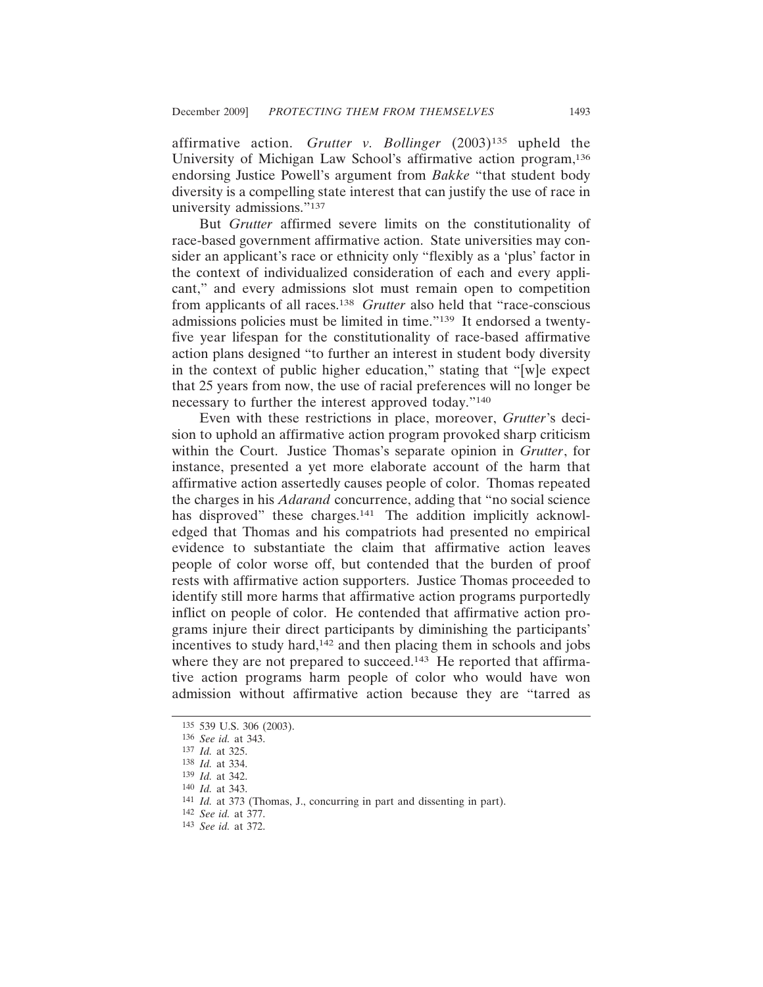affirmative action. *Grutter v. Bollinger* (2003)135 upheld the University of Michigan Law School's affirmative action program,136 endorsing Justice Powell's argument from *Bakke* "that student body diversity is a compelling state interest that can justify the use of race in university admissions."137

But *Grutter* affirmed severe limits on the constitutionality of race-based government affirmative action. State universities may consider an applicant's race or ethnicity only "flexibly as a 'plus' factor in the context of individualized consideration of each and every applicant," and every admissions slot must remain open to competition from applicants of all races.138 *Grutter* also held that "race-conscious admissions policies must be limited in time."139 It endorsed a twentyfive year lifespan for the constitutionality of race-based affirmative action plans designed "to further an interest in student body diversity in the context of public higher education," stating that "[w]e expect that 25 years from now, the use of racial preferences will no longer be necessary to further the interest approved today."140

Even with these restrictions in place, moreover, *Grutter*'s decision to uphold an affirmative action program provoked sharp criticism within the Court. Justice Thomas's separate opinion in *Grutter*, for instance, presented a yet more elaborate account of the harm that affirmative action assertedly causes people of color. Thomas repeated the charges in his *Adarand* concurrence, adding that "no social science has disproved" these charges.<sup>141</sup> The addition implicitly acknowledged that Thomas and his compatriots had presented no empirical evidence to substantiate the claim that affirmative action leaves people of color worse off, but contended that the burden of proof rests with affirmative action supporters. Justice Thomas proceeded to identify still more harms that affirmative action programs purportedly inflict on people of color. He contended that affirmative action programs injure their direct participants by diminishing the participants' incentives to study hard,<sup>142</sup> and then placing them in schools and jobs where they are not prepared to succeed.<sup>143</sup> He reported that affirmative action programs harm people of color who would have won admission without affirmative action because they are "tarred as

<sup>135</sup> 539 U.S. 306 (2003).

<sup>136</sup> *See id.* at 343.

<sup>137</sup> *Id.* at 325.

<sup>138</sup> *Id.* at 334.

<sup>139</sup> *Id.* at 342.

<sup>140</sup> *Id.* at 343.

<sup>141</sup> *Id.* at 373 (Thomas, J., concurring in part and dissenting in part).

<sup>142</sup> *See id.* at 377.

<sup>143</sup> *See id.* at 372.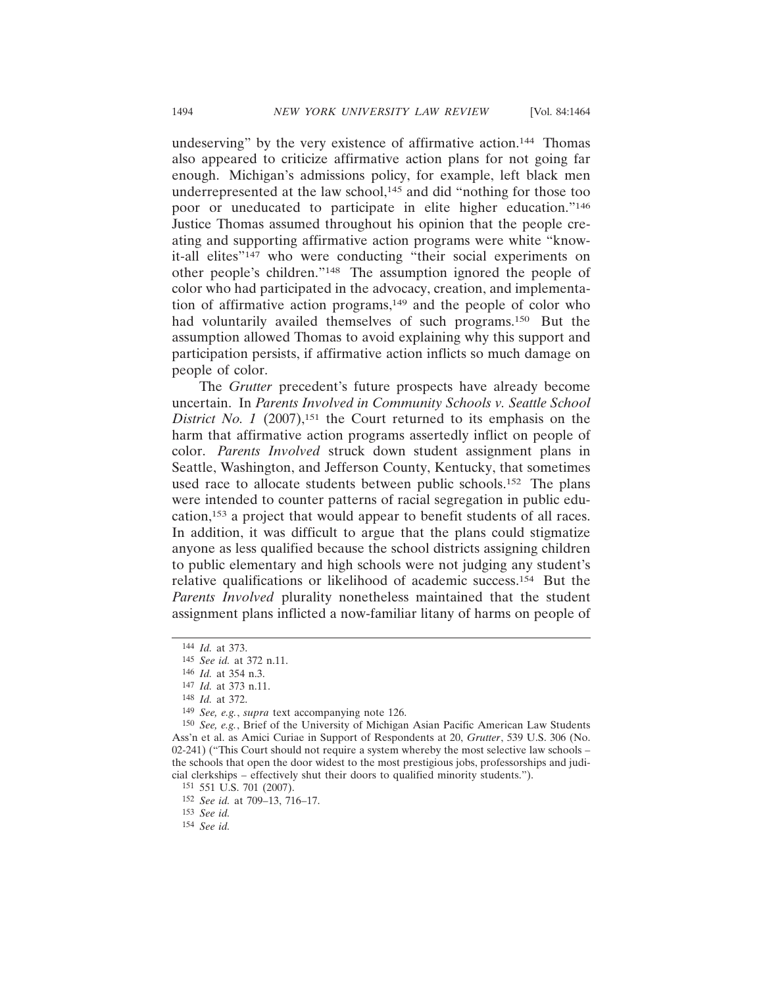undeserving" by the very existence of affirmative action.144 Thomas also appeared to criticize affirmative action plans for not going far enough. Michigan's admissions policy, for example, left black men underrepresented at the law school,<sup>145</sup> and did "nothing for those too poor or uneducated to participate in elite higher education."146 Justice Thomas assumed throughout his opinion that the people creating and supporting affirmative action programs were white "knowit-all elites"<sup>147</sup> who were conducting "their social experiments on other people's children."148 The assumption ignored the people of color who had participated in the advocacy, creation, and implementation of affirmative action programs, $149$  and the people of color who had voluntarily availed themselves of such programs.<sup>150</sup> But the assumption allowed Thomas to avoid explaining why this support and participation persists, if affirmative action inflicts so much damage on people of color.

The *Grutter* precedent's future prospects have already become uncertain. In *Parents Involved in Community Schools v. Seattle School District No. 1* (2007),<sup>151</sup> the Court returned to its emphasis on the harm that affirmative action programs assertedly inflict on people of color. *Parents Involved* struck down student assignment plans in Seattle, Washington, and Jefferson County, Kentucky, that sometimes used race to allocate students between public schools.152 The plans were intended to counter patterns of racial segregation in public education,153 a project that would appear to benefit students of all races. In addition, it was difficult to argue that the plans could stigmatize anyone as less qualified because the school districts assigning children to public elementary and high schools were not judging any student's relative qualifications or likelihood of academic success.154 But the *Parents Involved* plurality nonetheless maintained that the student assignment plans inflicted a now-familiar litany of harms on people of

<sup>144</sup> *Id.* at 373.

<sup>145</sup> *See id.* at 372 n.11.

<sup>146</sup> *Id.* at 354 n.3.

<sup>147</sup> *Id.* at 373 n.11.

<sup>148</sup> *Id.* at 372.

<sup>149</sup> *See, e.g.*, *supra* text accompanying note 126.

<sup>150</sup> *See, e.g.*, Brief of the University of Michigan Asian Pacific American Law Students Ass'n et al. as Amici Curiae in Support of Respondents at 20, *Grutter*, 539 U.S. 306 (No. 02-241) ("This Court should not require a system whereby the most selective law schools – the schools that open the door widest to the most prestigious jobs, professorships and judicial clerkships – effectively shut their doors to qualified minority students.").

<sup>151</sup> 551 U.S. 701 (2007).

<sup>152</sup> *See id.* at 709–13, 716–17.

<sup>153</sup> *See id.*

<sup>154</sup> *See id.*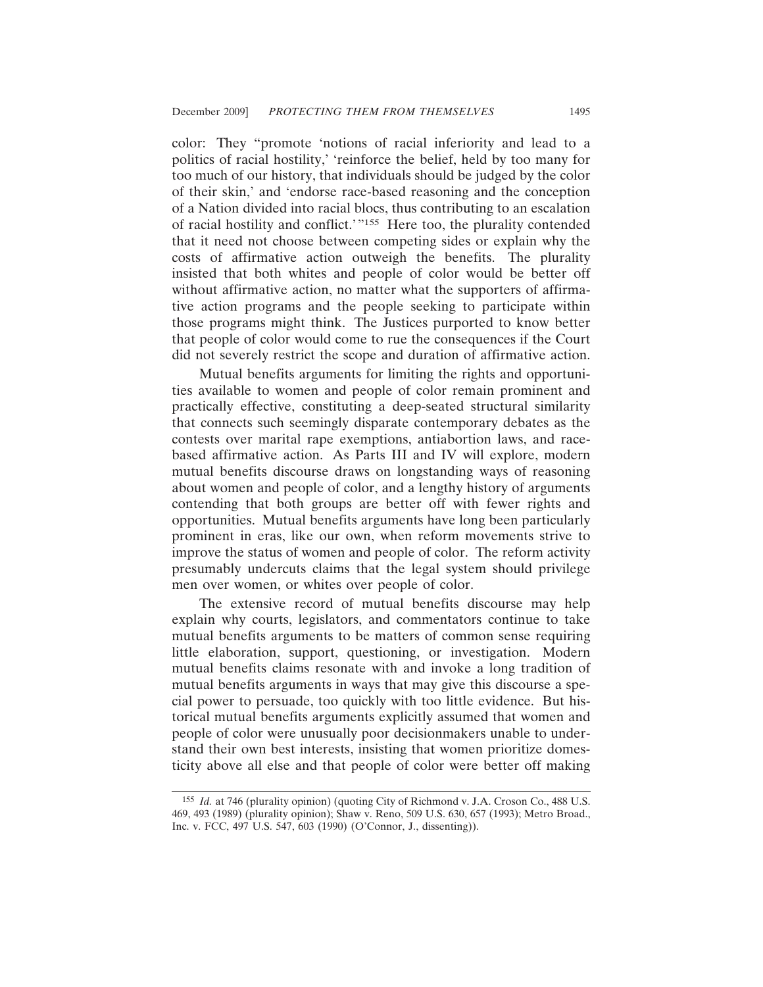color: They "promote 'notions of racial inferiority and lead to a politics of racial hostility,' 'reinforce the belief, held by too many for too much of our history, that individuals should be judged by the color of their skin,' and 'endorse race-based reasoning and the conception of a Nation divided into racial blocs, thus contributing to an escalation of racial hostility and conflict.'"155 Here too, the plurality contended that it need not choose between competing sides or explain why the costs of affirmative action outweigh the benefits. The plurality insisted that both whites and people of color would be better off without affirmative action, no matter what the supporters of affirmative action programs and the people seeking to participate within those programs might think. The Justices purported to know better that people of color would come to rue the consequences if the Court did not severely restrict the scope and duration of affirmative action.

Mutual benefits arguments for limiting the rights and opportunities available to women and people of color remain prominent and practically effective, constituting a deep-seated structural similarity that connects such seemingly disparate contemporary debates as the contests over marital rape exemptions, antiabortion laws, and racebased affirmative action. As Parts III and IV will explore, modern mutual benefits discourse draws on longstanding ways of reasoning about women and people of color, and a lengthy history of arguments contending that both groups are better off with fewer rights and opportunities. Mutual benefits arguments have long been particularly prominent in eras, like our own, when reform movements strive to improve the status of women and people of color. The reform activity presumably undercuts claims that the legal system should privilege men over women, or whites over people of color.

The extensive record of mutual benefits discourse may help explain why courts, legislators, and commentators continue to take mutual benefits arguments to be matters of common sense requiring little elaboration, support, questioning, or investigation. Modern mutual benefits claims resonate with and invoke a long tradition of mutual benefits arguments in ways that may give this discourse a special power to persuade, too quickly with too little evidence. But historical mutual benefits arguments explicitly assumed that women and people of color were unusually poor decisionmakers unable to understand their own best interests, insisting that women prioritize domesticity above all else and that people of color were better off making

<sup>155</sup> *Id.* at 746 (plurality opinion) (quoting City of Richmond v. J.A. Croson Co., 488 U.S. 469, 493 (1989) (plurality opinion); Shaw v. Reno, 509 U.S. 630, 657 (1993); Metro Broad., Inc. v. FCC, 497 U.S. 547, 603 (1990) (O'Connor, J., dissenting)).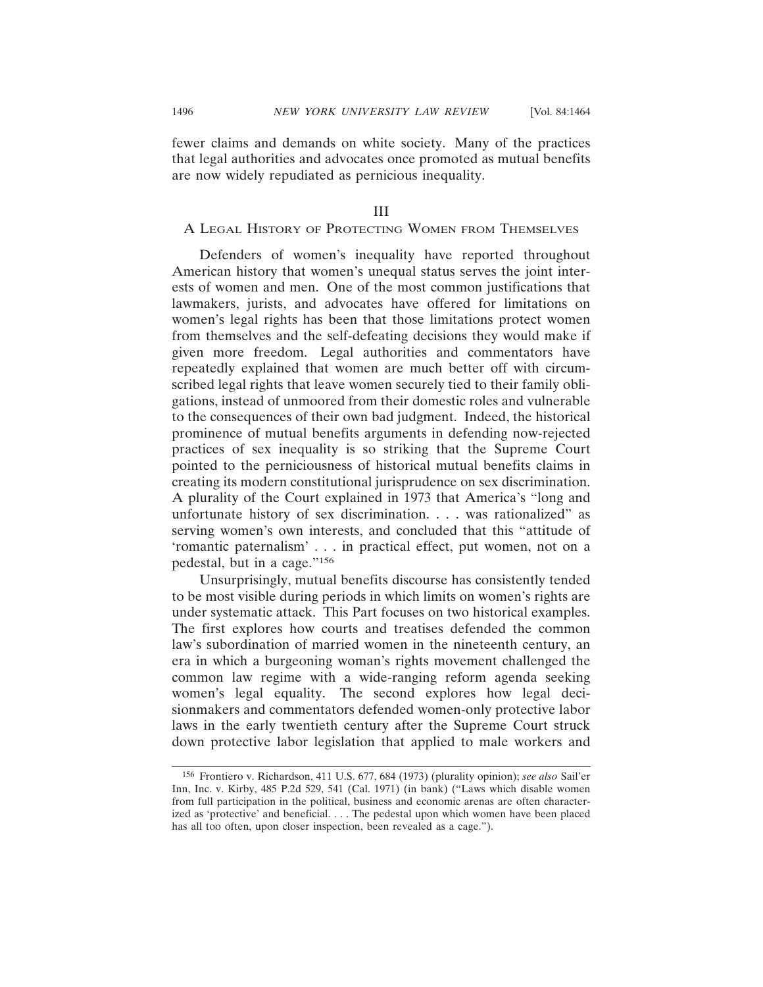fewer claims and demands on white society. Many of the practices that legal authorities and advocates once promoted as mutual benefits are now widely repudiated as pernicious inequality.

#### III

# A LEGAL HISTORY OF PROTECTING WOMEN FROM THEMSELVES

Defenders of women's inequality have reported throughout American history that women's unequal status serves the joint interests of women and men. One of the most common justifications that lawmakers, jurists, and advocates have offered for limitations on women's legal rights has been that those limitations protect women from themselves and the self-defeating decisions they would make if given more freedom. Legal authorities and commentators have repeatedly explained that women are much better off with circumscribed legal rights that leave women securely tied to their family obligations, instead of unmoored from their domestic roles and vulnerable to the consequences of their own bad judgment. Indeed, the historical prominence of mutual benefits arguments in defending now-rejected practices of sex inequality is so striking that the Supreme Court pointed to the perniciousness of historical mutual benefits claims in creating its modern constitutional jurisprudence on sex discrimination. A plurality of the Court explained in 1973 that America's "long and unfortunate history of sex discrimination. . . . was rationalized" as serving women's own interests, and concluded that this "attitude of 'romantic paternalism' . . . in practical effect, put women, not on a pedestal, but in a cage."156

Unsurprisingly, mutual benefits discourse has consistently tended to be most visible during periods in which limits on women's rights are under systematic attack. This Part focuses on two historical examples. The first explores how courts and treatises defended the common law's subordination of married women in the nineteenth century, an era in which a burgeoning woman's rights movement challenged the common law regime with a wide-ranging reform agenda seeking women's legal equality. The second explores how legal decisionmakers and commentators defended women-only protective labor laws in the early twentieth century after the Supreme Court struck down protective labor legislation that applied to male workers and

<sup>156</sup> Frontiero v. Richardson, 411 U.S. 677, 684 (1973) (plurality opinion); *see also* Sail'er Inn, Inc. v. Kirby, 485 P.2d 529, 541 (Cal. 1971) (in bank) ("Laws which disable women from full participation in the political, business and economic arenas are often characterized as 'protective' and beneficial. . . . The pedestal upon which women have been placed has all too often, upon closer inspection, been revealed as a cage.").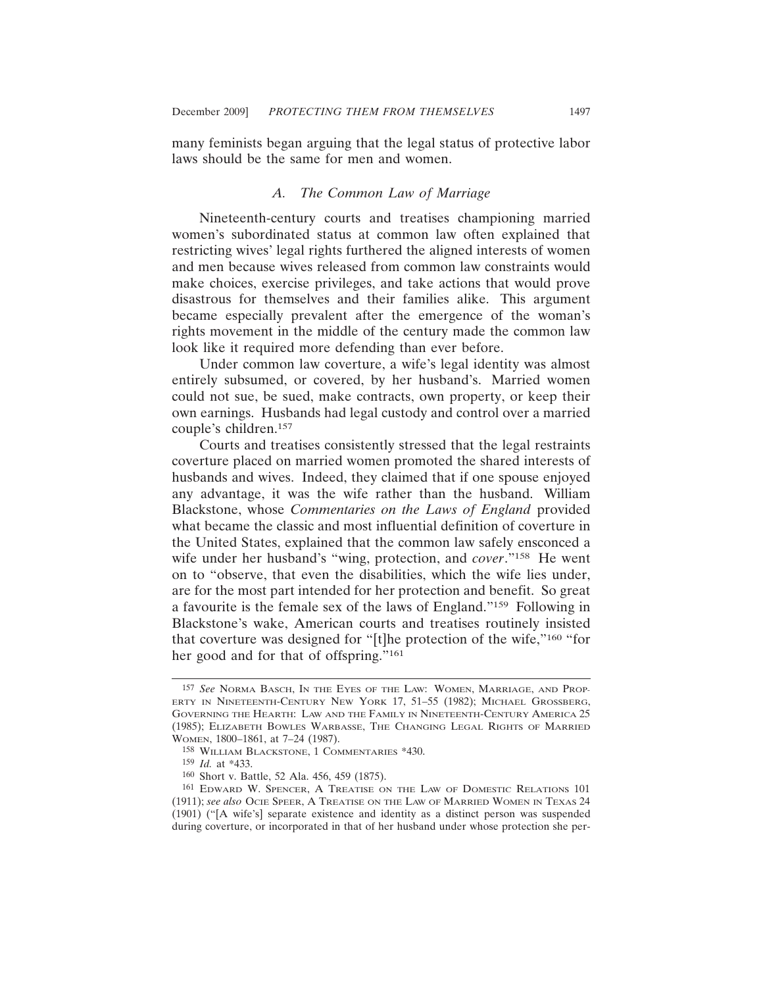many feminists began arguing that the legal status of protective labor laws should be the same for men and women.

#### *A. The Common Law of Marriage*

Nineteenth-century courts and treatises championing married women's subordinated status at common law often explained that restricting wives' legal rights furthered the aligned interests of women and men because wives released from common law constraints would make choices, exercise privileges, and take actions that would prove disastrous for themselves and their families alike. This argument became especially prevalent after the emergence of the woman's rights movement in the middle of the century made the common law look like it required more defending than ever before.

Under common law coverture, a wife's legal identity was almost entirely subsumed, or covered, by her husband's. Married women could not sue, be sued, make contracts, own property, or keep their own earnings. Husbands had legal custody and control over a married couple's children.157

Courts and treatises consistently stressed that the legal restraints coverture placed on married women promoted the shared interests of husbands and wives. Indeed, they claimed that if one spouse enjoyed any advantage, it was the wife rather than the husband. William Blackstone, whose *Commentaries on the Laws of England* provided what became the classic and most influential definition of coverture in the United States, explained that the common law safely ensconced a wife under her husband's "wing, protection, and *cover*."158 He went on to "observe, that even the disabilities, which the wife lies under, are for the most part intended for her protection and benefit. So great a favourite is the female sex of the laws of England."159 Following in Blackstone's wake, American courts and treatises routinely insisted that coverture was designed for "[t]he protection of the wife,"160 "for her good and for that of offspring."161

<sup>157</sup> *See* NORMA BASCH, IN THE EYES OF THE LAW: WOMEN, MARRIAGE, AND PROP-ERTY IN NINETEENTH-CENTURY NEW YORK 17, 51–55 (1982); MICHAEL GROSSBERG, GOVERNING THE HEARTH: LAW AND THE FAMILY IN NINETEENTH-CENTURY AMERICA 25 (1985); ELIZABETH BOWLES WARBASSE, THE CHANGING LEGAL RIGHTS OF MARRIED WOMEN, 1800–1861, at 7–24 (1987).

<sup>158</sup> WILLIAM BLACKSTONE, 1 COMMENTARIES \*430.

<sup>159</sup> *Id.* at \*433.

<sup>160</sup> Short v. Battle, 52 Ala. 456, 459 (1875).

<sup>161</sup> EDWARD W. SPENCER, A TREATISE ON THE LAW OF DOMESTIC RELATIONS 101 (1911); *see also* OCIE SPEER, A TREATISE ON THE LAW OF MARRIED WOMEN IN TEXAS 24 (1901) ("[A wife's] separate existence and identity as a distinct person was suspended during coverture, or incorporated in that of her husband under whose protection she per-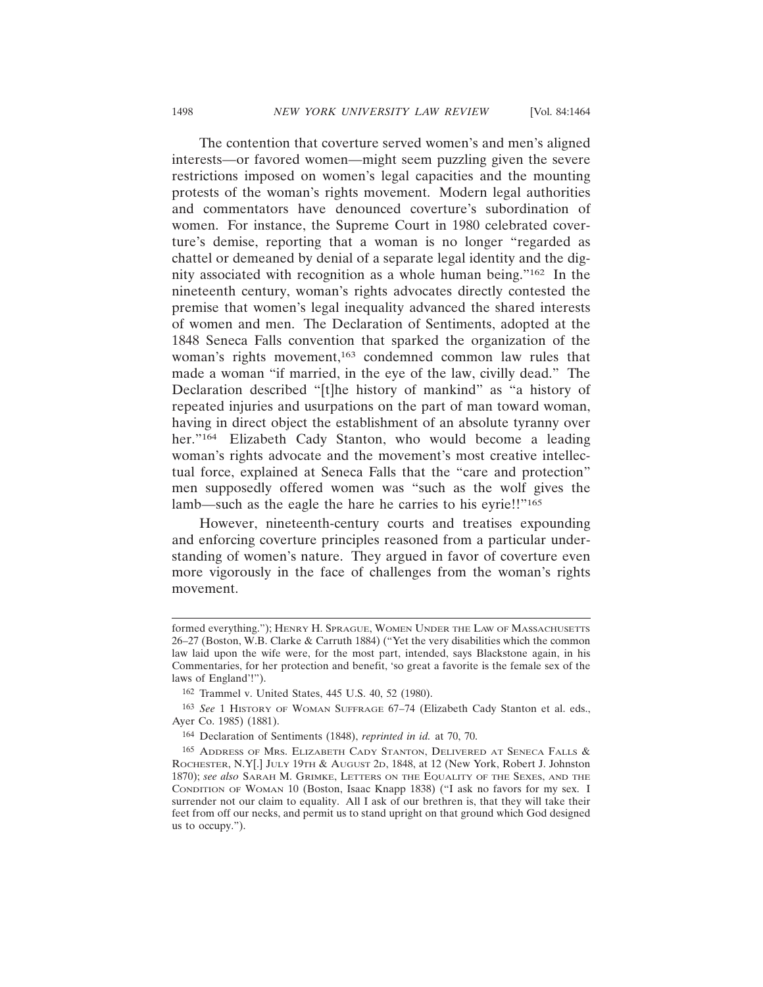The contention that coverture served women's and men's aligned interests—or favored women—might seem puzzling given the severe restrictions imposed on women's legal capacities and the mounting protests of the woman's rights movement. Modern legal authorities and commentators have denounced coverture's subordination of women. For instance, the Supreme Court in 1980 celebrated coverture's demise, reporting that a woman is no longer "regarded as chattel or demeaned by denial of a separate legal identity and the dignity associated with recognition as a whole human being."162 In the nineteenth century, woman's rights advocates directly contested the premise that women's legal inequality advanced the shared interests of women and men. The Declaration of Sentiments, adopted at the 1848 Seneca Falls convention that sparked the organization of the woman's rights movement,<sup>163</sup> condemned common law rules that made a woman "if married, in the eye of the law, civilly dead." The Declaration described "[t]he history of mankind" as "a history of repeated injuries and usurpations on the part of man toward woman, having in direct object the establishment of an absolute tyranny over her."<sup>164</sup> Elizabeth Cady Stanton, who would become a leading woman's rights advocate and the movement's most creative intellectual force, explained at Seneca Falls that the "care and protection" men supposedly offered women was "such as the wolf gives the lamb—such as the eagle the hare he carries to his eyrie!!"<sup>165</sup>

However, nineteenth-century courts and treatises expounding and enforcing coverture principles reasoned from a particular understanding of women's nature. They argued in favor of coverture even more vigorously in the face of challenges from the woman's rights movement.

162 Trammel v. United States, 445 U.S. 40, 52 (1980).

formed everything."); HENRY H. SPRAGUE, WOMEN UNDER THE LAW OF MASSACHUSETTS 26–27 (Boston, W.B. Clarke & Carruth 1884) ("Yet the very disabilities which the common law laid upon the wife were, for the most part, intended, says Blackstone again, in his Commentaries, for her protection and benefit, 'so great a favorite is the female sex of the laws of England'!").

<sup>163</sup> *See* 1 HISTORY OF WOMAN SUFFRAGE 67–74 (Elizabeth Cady Stanton et al. eds., Ayer Co. 1985) (1881).

<sup>164</sup> Declaration of Sentiments (1848), *reprinted in id.* at 70, 70.

<sup>165</sup> ADDRESS OF MRS. ELIZABETH CADY STANTON, DELIVERED AT SENECA FALLS & ROCHESTER, N.Y[.] JULY 19TH & AUGUST 2D, 1848, at 12 (New York, Robert J. Johnston 1870); *see also* SARAH M. GRIMKE, LETTERS ON THE EQUALITY OF THE SEXES, AND THE CONDITION OF WOMAN 10 (Boston, Isaac Knapp 1838) ("I ask no favors for my sex. I surrender not our claim to equality. All I ask of our brethren is, that they will take their feet from off our necks, and permit us to stand upright on that ground which God designed us to occupy.").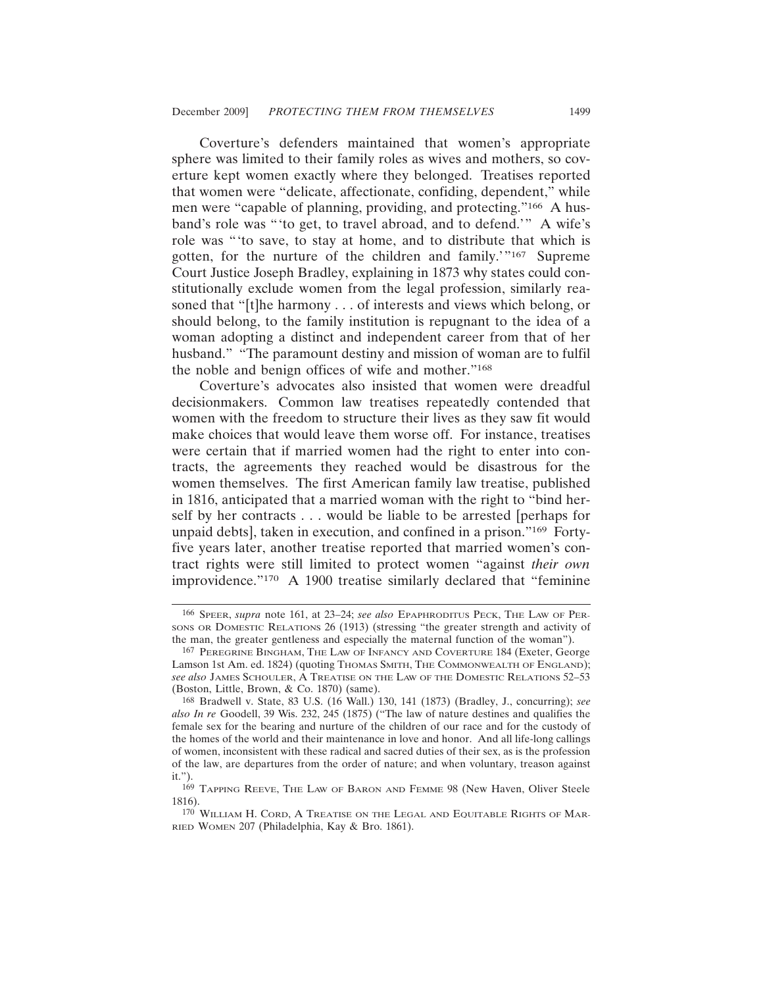Coverture's defenders maintained that women's appropriate sphere was limited to their family roles as wives and mothers, so coverture kept women exactly where they belonged. Treatises reported that women were "delicate, affectionate, confiding, dependent," while men were "capable of planning, providing, and protecting."166 A husband's role was "'to get, to travel abroad, and to defend.'" A wife's role was "'to save, to stay at home, and to distribute that which is gotten, for the nurture of the children and family.'"167 Supreme Court Justice Joseph Bradley, explaining in 1873 why states could constitutionally exclude women from the legal profession, similarly reasoned that "[t]he harmony . . . of interests and views which belong, or should belong, to the family institution is repugnant to the idea of a woman adopting a distinct and independent career from that of her husband." "The paramount destiny and mission of woman are to fulfil the noble and benign offices of wife and mother."168

Coverture's advocates also insisted that women were dreadful decisionmakers. Common law treatises repeatedly contended that women with the freedom to structure their lives as they saw fit would make choices that would leave them worse off. For instance, treatises were certain that if married women had the right to enter into contracts, the agreements they reached would be disastrous for the women themselves. The first American family law treatise, published in 1816, anticipated that a married woman with the right to "bind herself by her contracts . . . would be liable to be arrested [perhaps for unpaid debts], taken in execution, and confined in a prison."169 Fortyfive years later, another treatise reported that married women's contract rights were still limited to protect women "against *their own* improvidence."170 A 1900 treatise similarly declared that "feminine

<sup>166</sup> SPEER, *supra* note 161, at 23–24; *see also* EPAPHRODITUS PECK, THE LAW OF PER-SONS OR DOMESTIC RELATIONS 26 (1913) (stressing "the greater strength and activity of the man, the greater gentleness and especially the maternal function of the woman").

<sup>167</sup> PEREGRINE BINGHAM, THE LAW OF INFANCY AND COVERTURE 184 (Exeter, George Lamson 1st Am. ed. 1824) (quoting THOMAS SMITH, THE COMMONWEALTH OF ENGLAND); *see also* JAMES SCHOULER, A TREATISE ON THE LAW OF THE DOMESTIC RELATIONS 52–53 (Boston, Little, Brown, & Co. 1870) (same).

<sup>168</sup> Bradwell v. State, 83 U.S. (16 Wall.) 130, 141 (1873) (Bradley, J., concurring); *see also In re* Goodell, 39 Wis. 232, 245 (1875) ("The law of nature destines and qualifies the female sex for the bearing and nurture of the children of our race and for the custody of the homes of the world and their maintenance in love and honor. And all life-long callings of women, inconsistent with these radical and sacred duties of their sex, as is the profession of the law, are departures from the order of nature; and when voluntary, treason against it.").

<sup>169</sup> TAPPING REEVE, THE LAW OF BARON AND FEMME 98 (New Haven, Oliver Steele 1816).

<sup>170</sup> WILLIAM H. CORD, A TREATISE ON THE LEGAL AND EQUITABLE RIGHTS OF MAR-RIED WOMEN 207 (Philadelphia, Kay & Bro. 1861).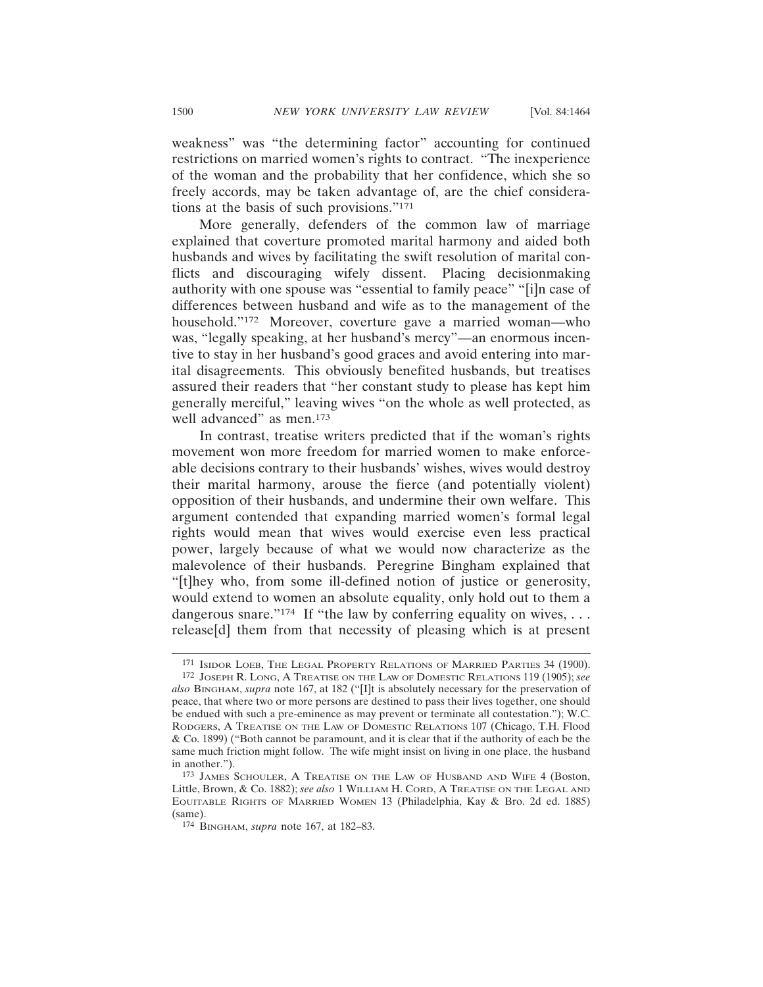weakness" was "the determining factor" accounting for continued restrictions on married women's rights to contract. "The inexperience of the woman and the probability that her confidence, which she so freely accords, may be taken advantage of, are the chief considerations at the basis of such provisions."171

More generally, defenders of the common law of marriage explained that coverture promoted marital harmony and aided both husbands and wives by facilitating the swift resolution of marital conflicts and discouraging wifely dissent. Placing decisionmaking authority with one spouse was "essential to family peace" "[i]n case of differences between husband and wife as to the management of the household."172 Moreover, coverture gave a married woman—who was, "legally speaking, at her husband's mercy"—an enormous incentive to stay in her husband's good graces and avoid entering into marital disagreements. This obviously benefited husbands, but treatises assured their readers that "her constant study to please has kept him generally merciful," leaving wives "on the whole as well protected, as well advanced" as men.<sup>173</sup>

In contrast, treatise writers predicted that if the woman's rights movement won more freedom for married women to make enforceable decisions contrary to their husbands' wishes, wives would destroy their marital harmony, arouse the fierce (and potentially violent) opposition of their husbands, and undermine their own welfare. This argument contended that expanding married women's formal legal rights would mean that wives would exercise even less practical power, largely because of what we would now characterize as the malevolence of their husbands. Peregrine Bingham explained that "[t]hey who, from some ill-defined notion of justice or generosity, would extend to women an absolute equality, only hold out to them a dangerous snare."<sup>174</sup> If "the law by conferring equality on wives, ... release[d] them from that necessity of pleasing which is at present

<sup>171</sup> ISIDOR LOEB, THE LEGAL PROPERTY RELATIONS OF MARRIED PARTIES 34 (1900).

<sup>172</sup> JOSEPH R. LONG, A TREATISE ON THE LAW OF DOMESTIC RELATIONS 119 (1905); *see also* BINGHAM, *supra* note 167, at 182 ("[I]t is absolutely necessary for the preservation of peace, that where two or more persons are destined to pass their lives together, one should be endued with such a pre-eminence as may prevent or terminate all contestation."); W.C. RODGERS, A TREATISE ON THE LAW OF DOMESTIC RELATIONS 107 (Chicago, T.H. Flood & Co. 1899) ("Both cannot be paramount, and it is clear that if the authority of each be the same much friction might follow. The wife might insist on living in one place, the husband in another.").

<sup>173</sup> JAMES SCHOULER, A TREATISE ON THE LAW OF HUSBAND AND WIFE 4 (Boston, Little, Brown, & Co. 1882); *see also* 1 WILLIAM H. CORD, A TREATISE ON THE LEGAL AND EQUITABLE RIGHTS OF MARRIED WOMEN 13 (Philadelphia, Kay & Bro. 2d ed. 1885) (same).

<sup>174</sup> BINGHAM, *supra* note 167, at 182–83.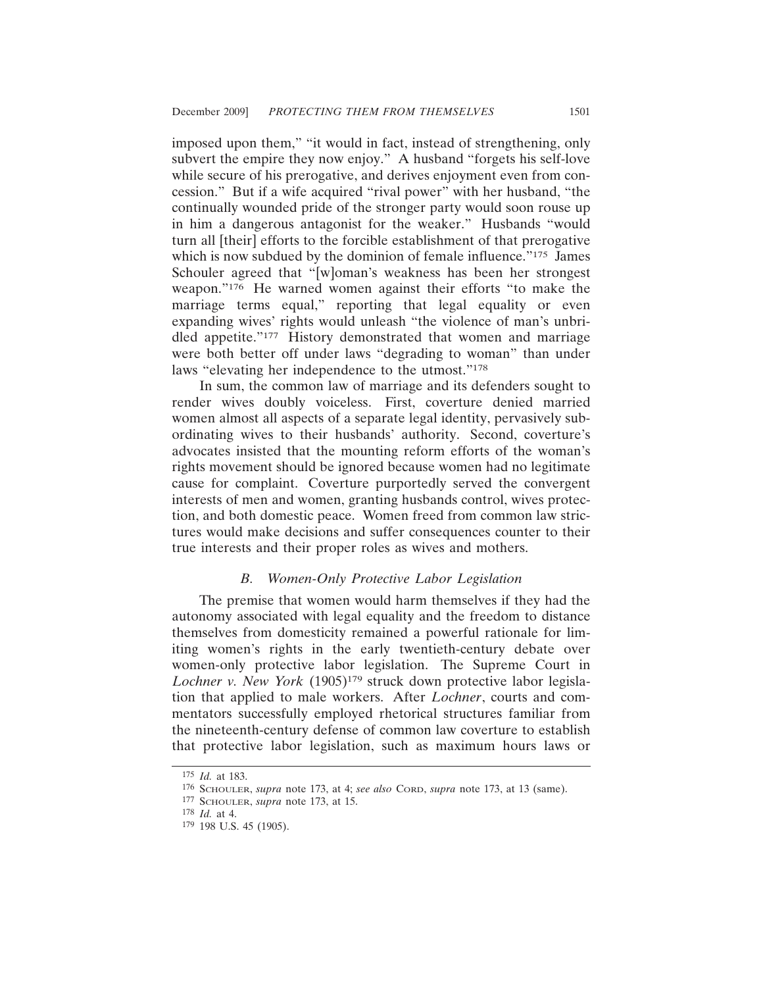imposed upon them," "it would in fact, instead of strengthening, only subvert the empire they now enjoy." A husband "forgets his self-love while secure of his prerogative, and derives enjoyment even from concession." But if a wife acquired "rival power" with her husband, "the continually wounded pride of the stronger party would soon rouse up in him a dangerous antagonist for the weaker." Husbands "would turn all [their] efforts to the forcible establishment of that prerogative which is now subdued by the dominion of female influence."<sup>175</sup> James Schouler agreed that "[w]oman's weakness has been her strongest weapon."176 He warned women against their efforts "to make the marriage terms equal," reporting that legal equality or even expanding wives' rights would unleash "the violence of man's unbridled appetite."177 History demonstrated that women and marriage were both better off under laws "degrading to woman" than under laws "elevating her independence to the utmost."178

In sum, the common law of marriage and its defenders sought to render wives doubly voiceless. First, coverture denied married women almost all aspects of a separate legal identity, pervasively subordinating wives to their husbands' authority. Second, coverture's advocates insisted that the mounting reform efforts of the woman's rights movement should be ignored because women had no legitimate cause for complaint. Coverture purportedly served the convergent interests of men and women, granting husbands control, wives protection, and both domestic peace. Women freed from common law strictures would make decisions and suffer consequences counter to their true interests and their proper roles as wives and mothers.

#### *B. Women-Only Protective Labor Legislation*

The premise that women would harm themselves if they had the autonomy associated with legal equality and the freedom to distance themselves from domesticity remained a powerful rationale for limiting women's rights in the early twentieth-century debate over women-only protective labor legislation. The Supreme Court in *Lochner v. New York* (1905)179 struck down protective labor legislation that applied to male workers. After *Lochner*, courts and commentators successfully employed rhetorical structures familiar from the nineteenth-century defense of common law coverture to establish that protective labor legislation, such as maximum hours laws or

<sup>175</sup> *Id.* at 183.

<sup>176</sup> SCHOULER, *supra* note 173, at 4; *see also* CORD, *supra* note 173, at 13 (same).

<sup>177</sup> SCHOULER, *supra* note 173, at 15.

<sup>178</sup> *Id.* at 4.

<sup>179</sup> 198 U.S. 45 (1905).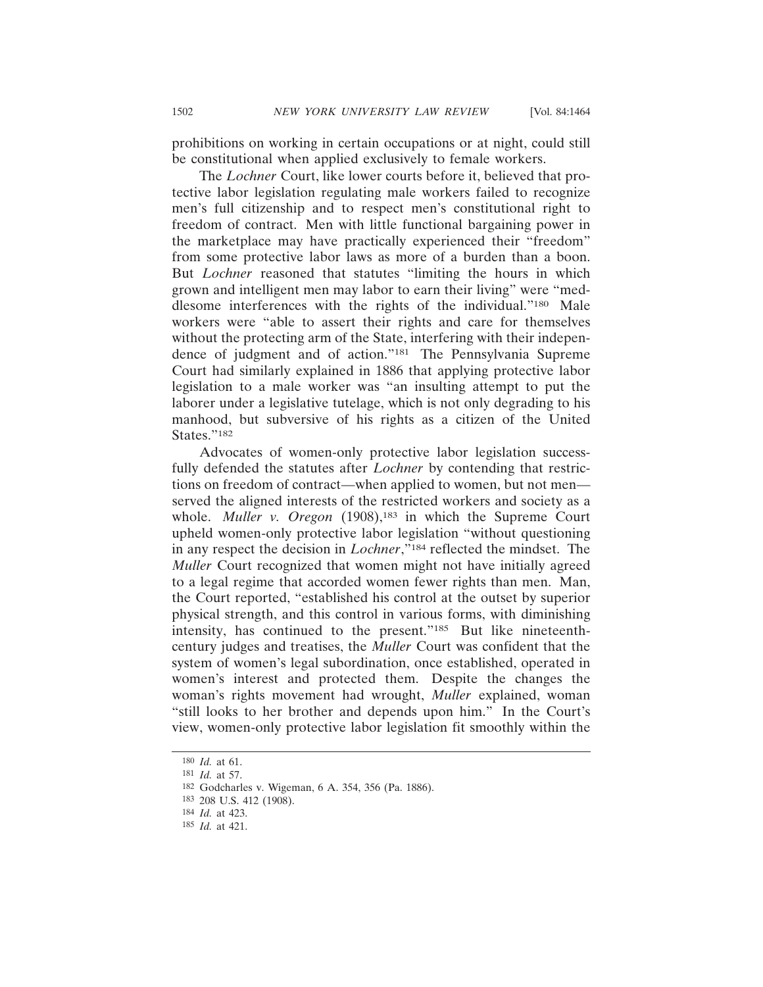prohibitions on working in certain occupations or at night, could still be constitutional when applied exclusively to female workers.

The *Lochner* Court, like lower courts before it, believed that protective labor legislation regulating male workers failed to recognize men's full citizenship and to respect men's constitutional right to freedom of contract. Men with little functional bargaining power in the marketplace may have practically experienced their "freedom" from some protective labor laws as more of a burden than a boon. But *Lochner* reasoned that statutes "limiting the hours in which grown and intelligent men may labor to earn their living" were "meddlesome interferences with the rights of the individual."180 Male workers were "able to assert their rights and care for themselves without the protecting arm of the State, interfering with their independence of judgment and of action."181 The Pennsylvania Supreme Court had similarly explained in 1886 that applying protective labor legislation to a male worker was "an insulting attempt to put the laborer under a legislative tutelage, which is not only degrading to his manhood, but subversive of his rights as a citizen of the United States."<sup>182</sup>

Advocates of women-only protective labor legislation successfully defended the statutes after *Lochner* by contending that restrictions on freedom of contract—when applied to women, but not men served the aligned interests of the restricted workers and society as a whole. *Muller v. Oregon* (1908),<sup>183</sup> in which the Supreme Court upheld women-only protective labor legislation "without questioning in any respect the decision in *Lochner*,"184 reflected the mindset. The *Muller* Court recognized that women might not have initially agreed to a legal regime that accorded women fewer rights than men. Man, the Court reported, "established his control at the outset by superior physical strength, and this control in various forms, with diminishing intensity, has continued to the present."185 But like nineteenthcentury judges and treatises, the *Muller* Court was confident that the system of women's legal subordination, once established, operated in women's interest and protected them. Despite the changes the woman's rights movement had wrought, *Muller* explained, woman "still looks to her brother and depends upon him." In the Court's view, women-only protective labor legislation fit smoothly within the

<sup>180</sup> *Id.* at 61.

<sup>181</sup> *Id.* at 57.

<sup>182</sup> Godcharles v. Wigeman, 6 A. 354, 356 (Pa. 1886).

<sup>183</sup> 208 U.S. 412 (1908).

<sup>184</sup> *Id.* at 423.

<sup>185</sup> *Id.* at 421.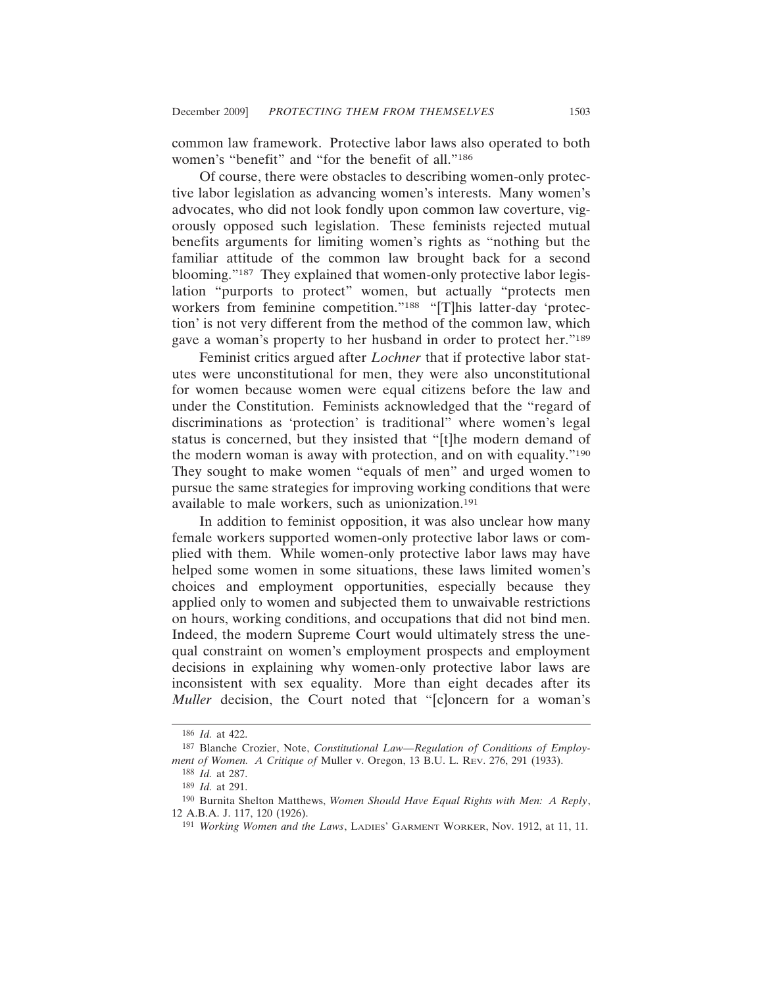common law framework. Protective labor laws also operated to both women's "benefit" and "for the benefit of all."<sup>186</sup>

Of course, there were obstacles to describing women-only protective labor legislation as advancing women's interests. Many women's advocates, who did not look fondly upon common law coverture, vigorously opposed such legislation. These feminists rejected mutual benefits arguments for limiting women's rights as "nothing but the familiar attitude of the common law brought back for a second blooming."187 They explained that women-only protective labor legislation "purports to protect" women, but actually "protects men workers from feminine competition."188 "[T]his latter-day 'protection' is not very different from the method of the common law, which gave a woman's property to her husband in order to protect her."189

Feminist critics argued after *Lochner* that if protective labor statutes were unconstitutional for men, they were also unconstitutional for women because women were equal citizens before the law and under the Constitution. Feminists acknowledged that the "regard of discriminations as 'protection' is traditional" where women's legal status is concerned, but they insisted that "[t]he modern demand of the modern woman is away with protection, and on with equality."190 They sought to make women "equals of men" and urged women to pursue the same strategies for improving working conditions that were available to male workers, such as unionization.191

In addition to feminist opposition, it was also unclear how many female workers supported women-only protective labor laws or complied with them. While women-only protective labor laws may have helped some women in some situations, these laws limited women's choices and employment opportunities, especially because they applied only to women and subjected them to unwaivable restrictions on hours, working conditions, and occupations that did not bind men. Indeed, the modern Supreme Court would ultimately stress the unequal constraint on women's employment prospects and employment decisions in explaining why women-only protective labor laws are inconsistent with sex equality. More than eight decades after its *Muller* decision, the Court noted that "[c]oncern for a woman's

<sup>186</sup> *Id.* at 422.

<sup>187</sup> Blanche Crozier, Note, *Constitutional Law—Regulation of Conditions of Employment of Women. A Critique of* Muller v. Oregon, 13 B.U. L. REV. 276, 291 (1933).

<sup>188</sup> *Id.* at 287.

<sup>189</sup> *Id.* at 291.

<sup>190</sup> Burnita Shelton Matthews, *Women Should Have Equal Rights with Men: A Reply*, 12 A.B.A. J. 117, 120 (1926).

<sup>191</sup> *Working Women and the Laws*, LADIES' GARMENT WORKER, Nov. 1912, at 11, 11.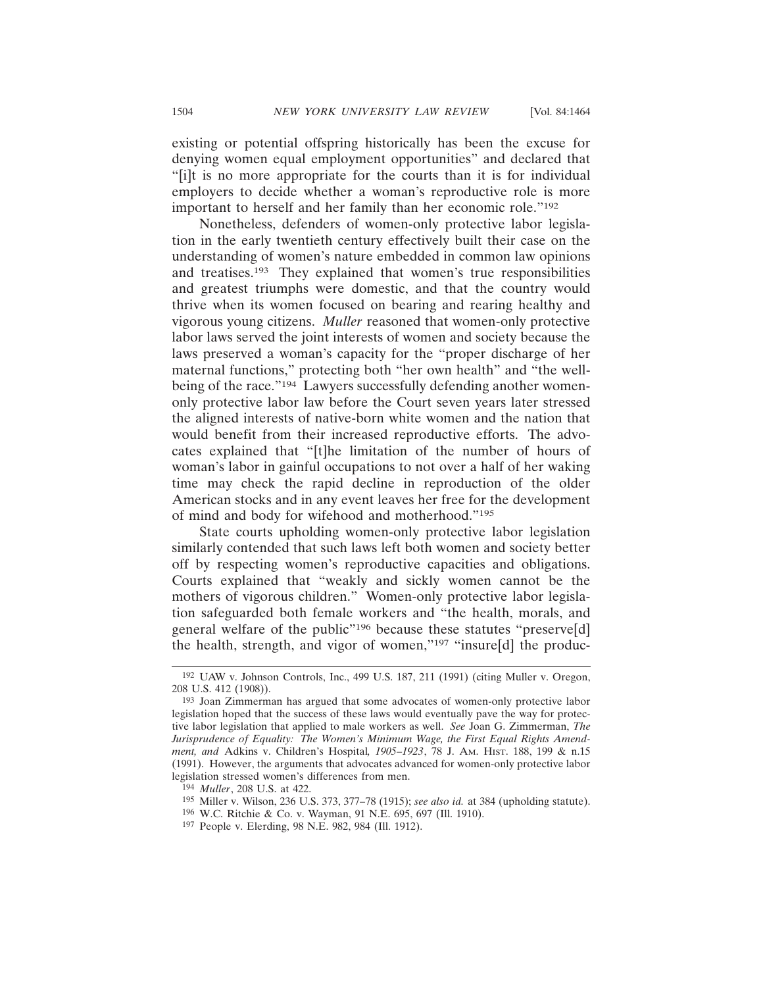existing or potential offspring historically has been the excuse for denying women equal employment opportunities" and declared that "[i]t is no more appropriate for the courts than it is for individual employers to decide whether a woman's reproductive role is more important to herself and her family than her economic role."192

Nonetheless, defenders of women-only protective labor legislation in the early twentieth century effectively built their case on the understanding of women's nature embedded in common law opinions and treatises.193 They explained that women's true responsibilities and greatest triumphs were domestic, and that the country would thrive when its women focused on bearing and rearing healthy and vigorous young citizens. *Muller* reasoned that women-only protective labor laws served the joint interests of women and society because the laws preserved a woman's capacity for the "proper discharge of her maternal functions," protecting both "her own health" and "the wellbeing of the race."<sup>194</sup> Lawyers successfully defending another womenonly protective labor law before the Court seven years later stressed the aligned interests of native-born white women and the nation that would benefit from their increased reproductive efforts. The advocates explained that "[t]he limitation of the number of hours of woman's labor in gainful occupations to not over a half of her waking time may check the rapid decline in reproduction of the older American stocks and in any event leaves her free for the development of mind and body for wifehood and motherhood."195

State courts upholding women-only protective labor legislation similarly contended that such laws left both women and society better off by respecting women's reproductive capacities and obligations. Courts explained that "weakly and sickly women cannot be the mothers of vigorous children." Women-only protective labor legislation safeguarded both female workers and "the health, morals, and general welfare of the public"196 because these statutes "preserve[d] the health, strength, and vigor of women,"<sup>197</sup> "insure[d] the produc-

<sup>192</sup> UAW v. Johnson Controls, Inc., 499 U.S. 187, 211 (1991) (citing Muller v. Oregon, 208 U.S. 412 (1908)).

<sup>193</sup> Joan Zimmerman has argued that some advocates of women-only protective labor legislation hoped that the success of these laws would eventually pave the way for protective labor legislation that applied to male workers as well. *See* Joan G. Zimmerman, *The Jurisprudence of Equality: The Women's Minimum Wage, the First Equal Rights Amendment, and* Adkins v. Children's Hospital*, 1905–1923*, 78 J. AM. HIST. 188, 199 & n.15 (1991). However, the arguments that advocates advanced for women-only protective labor legislation stressed women's differences from men.

<sup>194</sup> *Muller*, 208 U.S. at 422.

<sup>195</sup> Miller v. Wilson, 236 U.S. 373, 377–78 (1915); *see also id.* at 384 (upholding statute).

<sup>196</sup> W.C. Ritchie & Co. v. Wayman, 91 N.E. 695, 697 (Ill. 1910).

<sup>197</sup> People v. Elerding, 98 N.E. 982, 984 (Ill. 1912).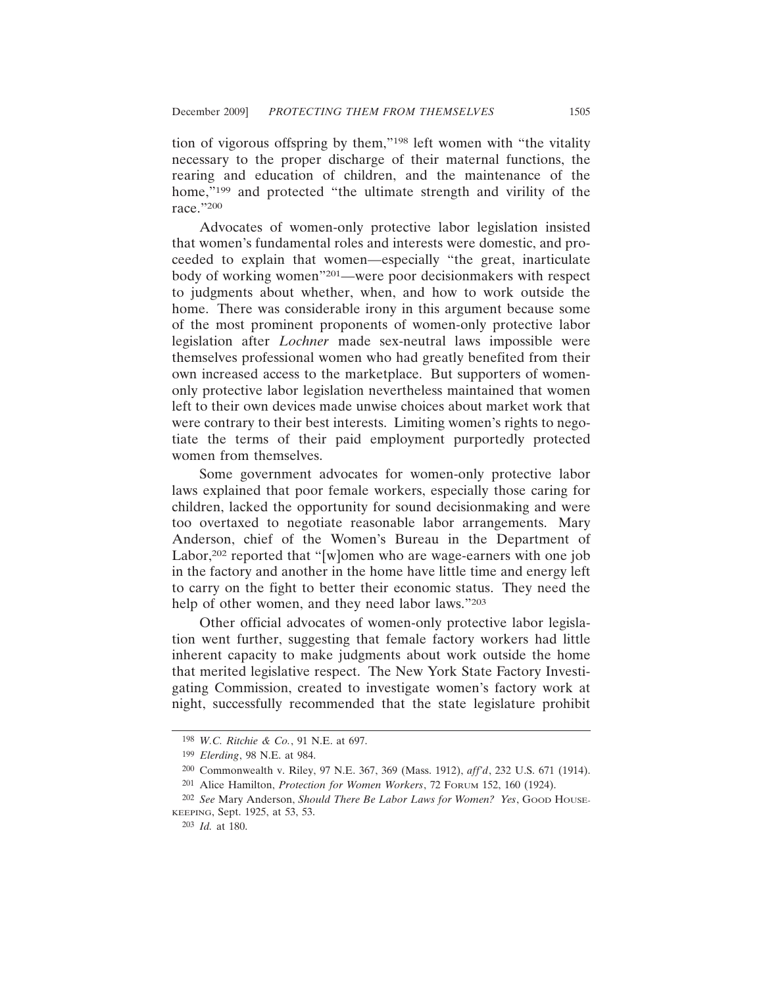tion of vigorous offspring by them,"198 left women with "the vitality necessary to the proper discharge of their maternal functions, the rearing and education of children, and the maintenance of the home,"<sup>199</sup> and protected "the ultimate strength and virility of the race."200

Advocates of women-only protective labor legislation insisted that women's fundamental roles and interests were domestic, and proceeded to explain that women—especially "the great, inarticulate body of working women"201—were poor decisionmakers with respect to judgments about whether, when, and how to work outside the home. There was considerable irony in this argument because some of the most prominent proponents of women-only protective labor legislation after *Lochner* made sex-neutral laws impossible were themselves professional women who had greatly benefited from their own increased access to the marketplace. But supporters of womenonly protective labor legislation nevertheless maintained that women left to their own devices made unwise choices about market work that were contrary to their best interests. Limiting women's rights to negotiate the terms of their paid employment purportedly protected women from themselves.

Some government advocates for women-only protective labor laws explained that poor female workers, especially those caring for children, lacked the opportunity for sound decisionmaking and were too overtaxed to negotiate reasonable labor arrangements. Mary Anderson, chief of the Women's Bureau in the Department of Labor,<sup>202</sup> reported that "[w]omen who are wage-earners with one job in the factory and another in the home have little time and energy left to carry on the fight to better their economic status. They need the help of other women, and they need labor laws."203

Other official advocates of women-only protective labor legislation went further, suggesting that female factory workers had little inherent capacity to make judgments about work outside the home that merited legislative respect. The New York State Factory Investigating Commission, created to investigate women's factory work at night, successfully recommended that the state legislature prohibit

<sup>198</sup> *W.C. Ritchie & Co.*, 91 N.E. at 697.

<sup>199</sup> *Elerding*, 98 N.E. at 984.

<sup>200</sup> Commonwealth v. Riley, 97 N.E. 367, 369 (Mass. 1912), *aff'd*, 232 U.S. 671 (1914).

<sup>201</sup> Alice Hamilton, *Protection for Women Workers*, 72 FORUM 152, 160 (1924).

<sup>202</sup> *See* Mary Anderson, *Should There Be Labor Laws for Women? Yes*, GOOD HOUSE-KEEPING, Sept. 1925, at 53, 53.

<sup>203</sup> *Id.* at 180.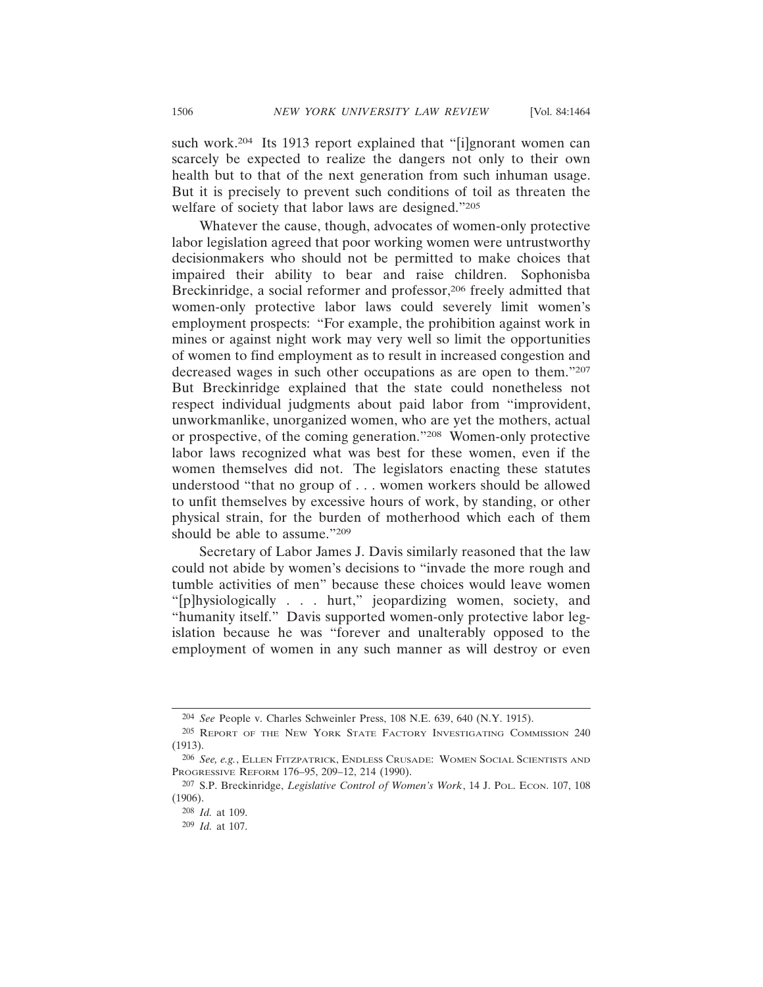such work.<sup>204</sup> Its 1913 report explained that "[i]gnorant women can scarcely be expected to realize the dangers not only to their own health but to that of the next generation from such inhuman usage. But it is precisely to prevent such conditions of toil as threaten the welfare of society that labor laws are designed."205

Whatever the cause, though, advocates of women-only protective labor legislation agreed that poor working women were untrustworthy decisionmakers who should not be permitted to make choices that impaired their ability to bear and raise children. Sophonisba Breckinridge, a social reformer and professor,206 freely admitted that women-only protective labor laws could severely limit women's employment prospects: "For example, the prohibition against work in mines or against night work may very well so limit the opportunities of women to find employment as to result in increased congestion and decreased wages in such other occupations as are open to them."207 But Breckinridge explained that the state could nonetheless not respect individual judgments about paid labor from "improvident, unworkmanlike, unorganized women, who are yet the mothers, actual or prospective, of the coming generation."208 Women-only protective labor laws recognized what was best for these women, even if the women themselves did not. The legislators enacting these statutes understood "that no group of . . . women workers should be allowed to unfit themselves by excessive hours of work, by standing, or other physical strain, for the burden of motherhood which each of them should be able to assume."209

Secretary of Labor James J. Davis similarly reasoned that the law could not abide by women's decisions to "invade the more rough and tumble activities of men" because these choices would leave women "[p]hysiologically . . . hurt," jeopardizing women, society, and "humanity itself." Davis supported women-only protective labor legislation because he was "forever and unalterably opposed to the employment of women in any such manner as will destroy or even

<sup>204</sup> *See* People v. Charles Schweinler Press, 108 N.E. 639, 640 (N.Y. 1915).

<sup>205</sup> REPORT OF THE NEW YORK STATE FACTORY INVESTIGATING COMMISSION 240 (1913).

<sup>206</sup> *See, e.g.*, ELLEN FITZPATRICK, ENDLESS CRUSADE: WOMEN SOCIAL SCIENTISTS AND PROGRESSIVE REFORM 176–95, 209–12, 214 (1990).

<sup>207</sup> S.P. Breckinridge, *Legislative Control of Women's Work*, 14 J. POL. ECON. 107, 108 (1906).

<sup>208</sup> *Id.* at 109.

<sup>209</sup> *Id.* at 107.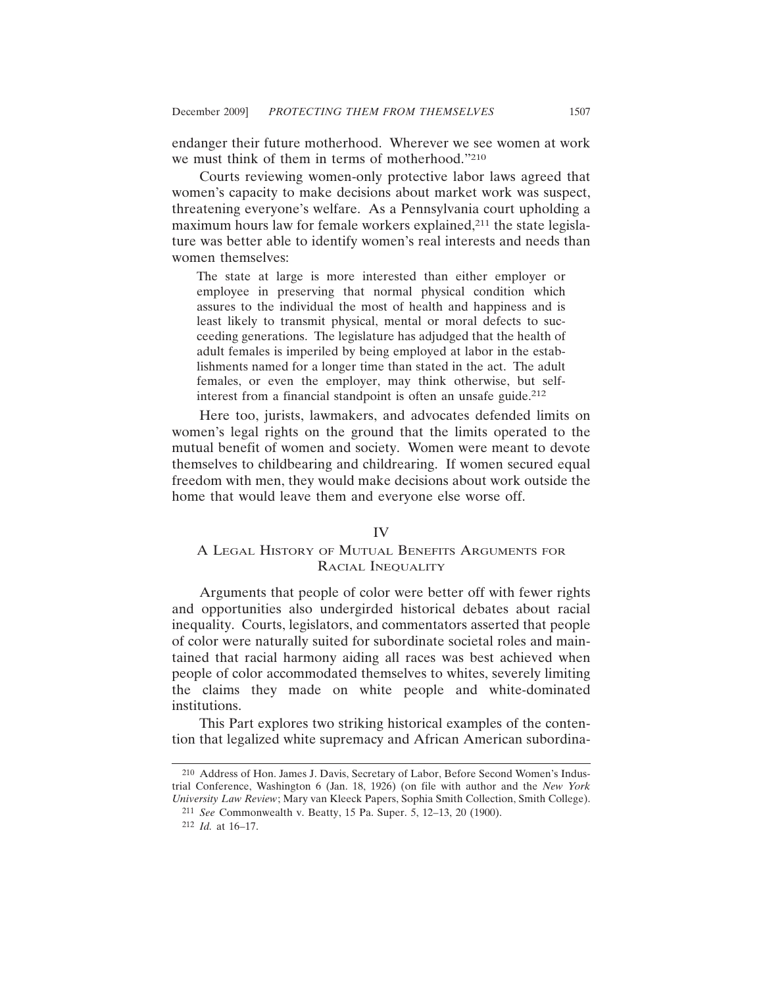endanger their future motherhood. Wherever we see women at work we must think of them in terms of motherhood."210

Courts reviewing women-only protective labor laws agreed that women's capacity to make decisions about market work was suspect, threatening everyone's welfare. As a Pennsylvania court upholding a maximum hours law for female workers explained,<sup>211</sup> the state legislature was better able to identify women's real interests and needs than women themselves:

The state at large is more interested than either employer or employee in preserving that normal physical condition which assures to the individual the most of health and happiness and is least likely to transmit physical, mental or moral defects to succeeding generations. The legislature has adjudged that the health of adult females is imperiled by being employed at labor in the establishments named for a longer time than stated in the act. The adult females, or even the employer, may think otherwise, but selfinterest from a financial standpoint is often an unsafe guide.<sup>212</sup>

Here too, jurists, lawmakers, and advocates defended limits on women's legal rights on the ground that the limits operated to the mutual benefit of women and society. Women were meant to devote themselves to childbearing and childrearing. If women secured equal freedom with men, they would make decisions about work outside the home that would leave them and everyone else worse off.

### IV

# A LEGAL HISTORY OF MUTUAL BENEFITS ARGUMENTS FOR RACIAL INEQUALITY

Arguments that people of color were better off with fewer rights and opportunities also undergirded historical debates about racial inequality. Courts, legislators, and commentators asserted that people of color were naturally suited for subordinate societal roles and maintained that racial harmony aiding all races was best achieved when people of color accommodated themselves to whites, severely limiting the claims they made on white people and white-dominated institutions.

This Part explores two striking historical examples of the contention that legalized white supremacy and African American subordina-

<sup>210</sup> Address of Hon. James J. Davis, Secretary of Labor, Before Second Women's Industrial Conference, Washington 6 (Jan. 18, 1926) (on file with author and the *New York University Law Review*; Mary van Kleeck Papers, Sophia Smith Collection, Smith College).

<sup>211</sup> *See* Commonwealth v. Beatty, 15 Pa. Super. 5, 12–13, 20 (1900).

<sup>212</sup> *Id.* at 16–17.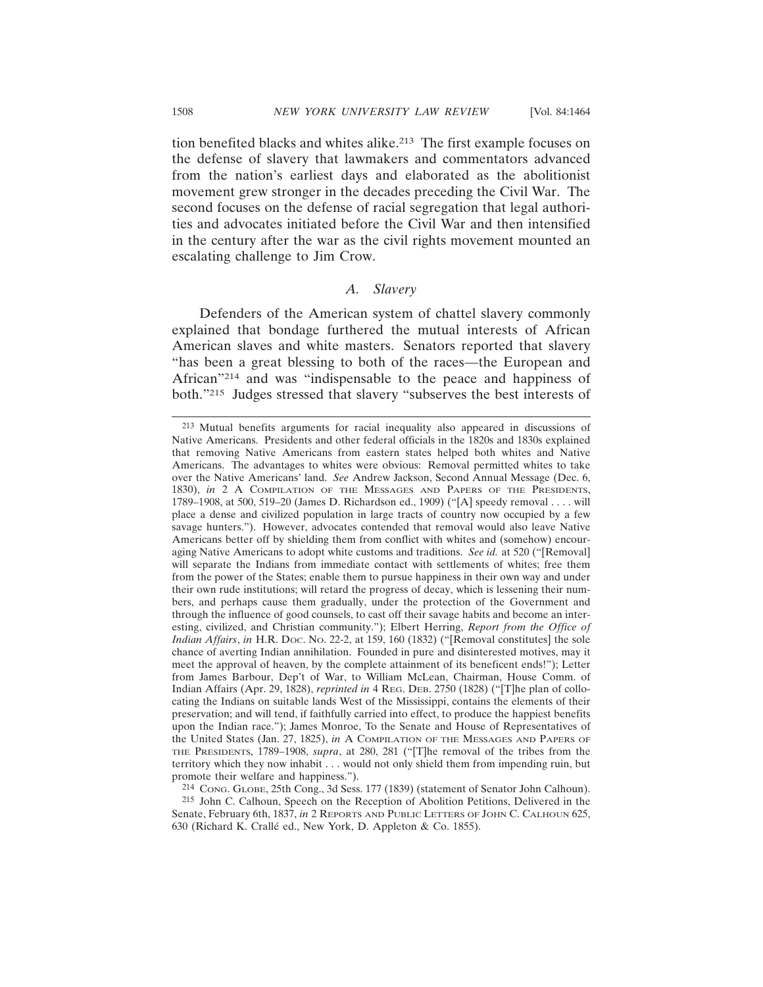tion benefited blacks and whites alike.213 The first example focuses on the defense of slavery that lawmakers and commentators advanced from the nation's earliest days and elaborated as the abolitionist movement grew stronger in the decades preceding the Civil War. The second focuses on the defense of racial segregation that legal authorities and advocates initiated before the Civil War and then intensified in the century after the war as the civil rights movement mounted an escalating challenge to Jim Crow.

### *A. Slavery*

Defenders of the American system of chattel slavery commonly explained that bondage furthered the mutual interests of African American slaves and white masters. Senators reported that slavery "has been a great blessing to both of the races—the European and African"214 and was "indispensable to the peace and happiness of both."215 Judges stressed that slavery "subserves the best interests of

214 CONG. GLOBE, 25th Cong., 3d Sess. 177 (1839) (statement of Senator John Calhoun).

215 John C. Calhoun, Speech on the Reception of Abolition Petitions, Delivered in the Senate, February 6th, 1837, *in* 2 REPORTS AND PUBLIC LETTERS OF JOHN C. CALHOUN 625, 630 (Richard K. Crallé ed., New York, D. Appleton & Co. 1855).

<sup>213</sup> Mutual benefits arguments for racial inequality also appeared in discussions of Native Americans. Presidents and other federal officials in the 1820s and 1830s explained that removing Native Americans from eastern states helped both whites and Native Americans. The advantages to whites were obvious: Removal permitted whites to take over the Native Americans' land. *See* Andrew Jackson, Second Annual Message (Dec. 6, 1830), *in* 2 A COMPILATION OF THE MESSAGES AND PAPERS OF THE PRESIDENTS, 1789–1908, at 500, 519–20 (James D. Richardson ed., 1909) ("[A] speedy removal . . . . will place a dense and civilized population in large tracts of country now occupied by a few savage hunters."). However, advocates contended that removal would also leave Native Americans better off by shielding them from conflict with whites and (somehow) encouraging Native Americans to adopt white customs and traditions. *See id.* at 520 ("[Removal] will separate the Indians from immediate contact with settlements of whites; free them from the power of the States; enable them to pursue happiness in their own way and under their own rude institutions; will retard the progress of decay, which is lessening their numbers, and perhaps cause them gradually, under the protection of the Government and through the influence of good counsels, to cast off their savage habits and become an interesting, civilized, and Christian community."); Elbert Herring, *Report from the Office of Indian Affairs*, *in* H.R. DOC. NO. 22-2, at 159, 160 (1832) ("[Removal constitutes] the sole chance of averting Indian annihilation. Founded in pure and disinterested motives, may it meet the approval of heaven, by the complete attainment of its beneficent ends!"); Letter from James Barbour, Dep't of War, to William McLean, Chairman, House Comm. of Indian Affairs (Apr. 29, 1828), *reprinted in* 4 REG. DEB. 2750 (1828) ("[T]he plan of collocating the Indians on suitable lands West of the Mississippi, contains the elements of their preservation; and will tend, if faithfully carried into effect, to produce the happiest benefits upon the Indian race."); James Monroe, To the Senate and House of Representatives of the United States (Jan. 27, 1825), *in* A COMPILATION OF THE MESSAGES AND PAPERS OF THE PRESIDENTS, 1789–1908, *supra*, at 280, 281 ("[T]he removal of the tribes from the territory which they now inhabit . . . would not only shield them from impending ruin, but promote their welfare and happiness.").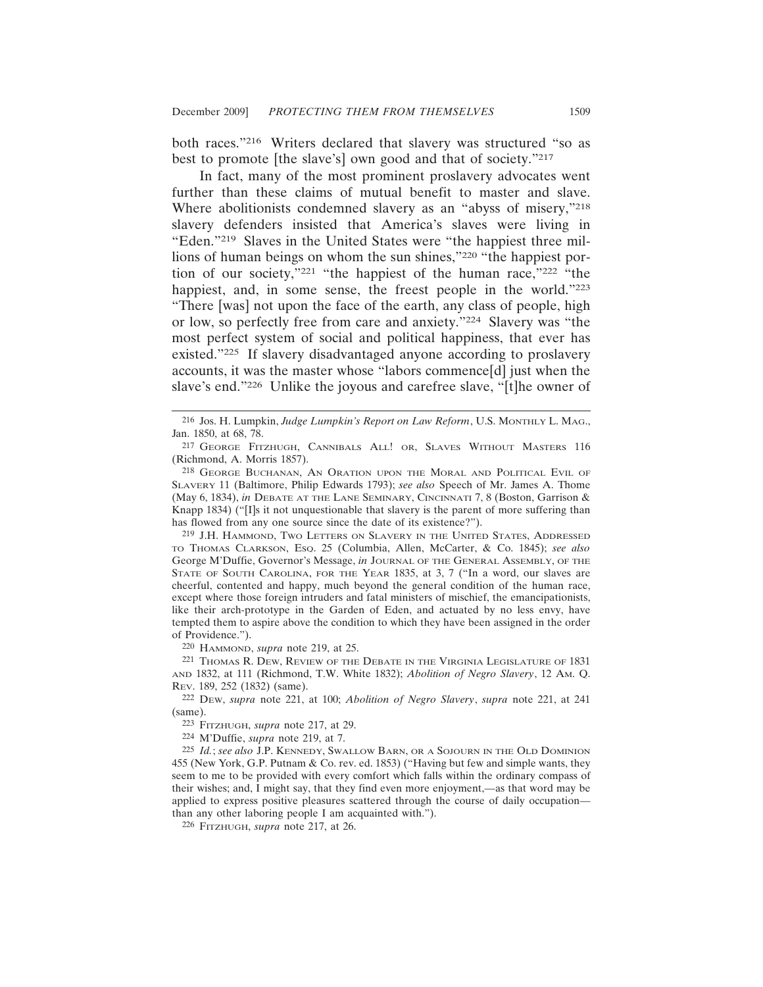both races."216 Writers declared that slavery was structured "so as best to promote [the slave's] own good and that of society."217

In fact, many of the most prominent proslavery advocates went further than these claims of mutual benefit to master and slave. Where abolitionists condemned slavery as an "abyss of misery,"218 slavery defenders insisted that America's slaves were living in "Eden."219 Slaves in the United States were "the happiest three millions of human beings on whom the sun shines,"220 "the happiest portion of our society,"221 "the happiest of the human race,"222 "the happiest, and, in some sense, the freest people in the world."223 "There [was] not upon the face of the earth, any class of people, high or low, so perfectly free from care and anxiety."224 Slavery was "the most perfect system of social and political happiness, that ever has existed."225 If slavery disadvantaged anyone according to proslavery accounts, it was the master whose "labors commence[d] just when the slave's end."226 Unlike the joyous and carefree slave, "[t]he owner of

219 J.H. HAMMOND, TWO LETTERS ON SLAVERY IN THE UNITED STATES, ADDRESSED TO THOMAS CLARKSON, ESQ. 25 (Columbia, Allen, McCarter, & Co. 1845); *see also* George M'Duffie, Governor's Message, *in* JOURNAL OF THE GENERAL ASSEMBLY, OF THE STATE OF SOUTH CAROLINA, FOR THE YEAR 1835, at 3, 7 ("In a word, our slaves are cheerful, contented and happy, much beyond the general condition of the human race, except where those foreign intruders and fatal ministers of mischief, the emancipationists, like their arch-prototype in the Garden of Eden, and actuated by no less envy, have tempted them to aspire above the condition to which they have been assigned in the order of Providence.").

220 HAMMOND, *supra* note 219, at 25.

221 THOMAS R. DEW, REVIEW OF THE DEBATE IN THE VIRGINIA LEGISLATURE OF 1831 AND 1832, at 111 (Richmond, T.W. White 1832); *Abolition of Negro Slavery*, 12 AM. Q. REV. 189, 252 (1832) (same).

222 DEW, *supra* note 221, at 100; *Abolition of Negro Slavery*, *supra* note 221, at 241 (same).

223 FITZHUGH, *supra* note 217, at 29.

224 M'Duffie, *supra* note 219, at 7.

225 *Id.*; *see also* J.P. KENNEDY, SWALLOW BARN, OR A SOJOURN IN THE OLD DOMINION 455 (New York, G.P. Putnam & Co. rev. ed. 1853) ("Having but few and simple wants, they seem to me to be provided with every comfort which falls within the ordinary compass of their wishes; and,  $\overline{I}$  might say, that they find even more enjoyment,—as that word may be applied to express positive pleasures scattered through the course of daily occupation than any other laboring people I am acquainted with.").

226 FITZHUGH, *supra* note 217, at 26.

<sup>216</sup> Jos. H. Lumpkin, *Judge Lumpkin's Report on Law Reform*, U.S. MONTHLY L. MAG., Jan. 1850, at 68, 78.

<sup>217</sup> GEORGE FITZHUGH, CANNIBALS ALL! OR, SLAVES WITHOUT MASTERS 116 (Richmond, A. Morris 1857).

<sup>218</sup> GEORGE BUCHANAN, AN ORATION UPON THE MORAL AND POLITICAL EVIL OF SLAVERY 11 (Baltimore, Philip Edwards 1793); *see also* Speech of Mr. James A. Thome (May 6, 1834), *in* DEBATE AT THE LANE SEMINARY, CINCINNATI 7, 8 (Boston, Garrison & Knapp 1834) ("[I]s it not unquestionable that slavery is the parent of more suffering than has flowed from any one source since the date of its existence?").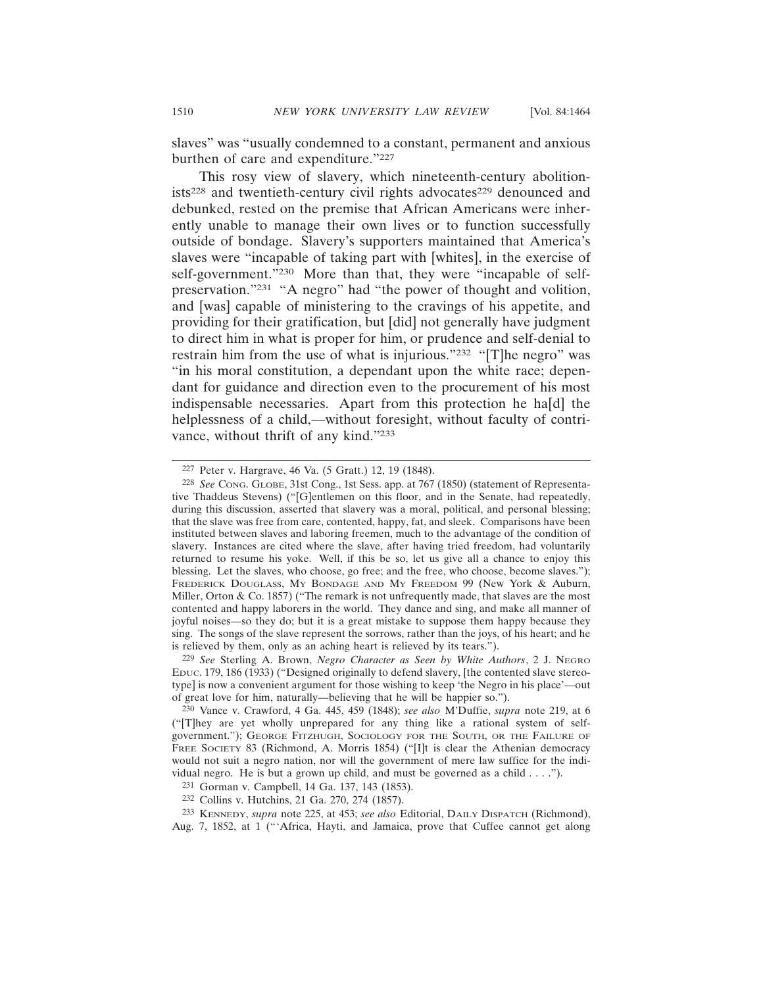slaves" was "usually condemned to a constant, permanent and anxious burthen of care and expenditure."227

This rosy view of slavery, which nineteenth-century abolitionists<sup>228</sup> and twentieth-century civil rights advocates<sup>229</sup> denounced and debunked, rested on the premise that African Americans were inherently unable to manage their own lives or to function successfully outside of bondage. Slavery's supporters maintained that America's slaves were "incapable of taking part with [whites], in the exercise of self-government."<sup>230</sup> More than that, they were "incapable of selfpreservation."231 "A negro" had "the power of thought and volition, and [was] capable of ministering to the cravings of his appetite, and providing for their gratification, but [did] not generally have judgment to direct him in what is proper for him, or prudence and self-denial to restrain him from the use of what is injurious."232 "[T]he negro" was "in his moral constitution, a dependant upon the white race; dependant for guidance and direction even to the procurement of his most indispensable necessaries. Apart from this protection he ha[d] the helplessness of a child,—without foresight, without faculty of contrivance, without thrift of any kind."233

<sup>227</sup> Peter v. Hargrave, 46 Va. (5 Gratt.) 12, 19 (1848).

<sup>228</sup> *See* CONG. GLOBE, 31st Cong., 1st Sess. app. at 767 (1850) (statement of Representative Thaddeus Stevens) ("[G]entlemen on this floor, and in the Senate, had repeatedly, during this discussion, asserted that slavery was a moral, political, and personal blessing; that the slave was free from care, contented, happy, fat, and sleek. Comparisons have been instituted between slaves and laboring freemen, much to the advantage of the condition of slavery. Instances are cited where the slave, after having tried freedom, had voluntarily returned to resume his yoke. Well, if this be so, let us give all a chance to enjoy this blessing. Let the slaves, who choose, go free; and the free, who choose, become slaves."); FREDERICK DOUGLASS, MY BONDAGE AND MY FREEDOM 99 (New York & Auburn, Miller, Orton & Co. 1857) ("The remark is not unfrequently made, that slaves are the most contented and happy laborers in the world. They dance and sing, and make all manner of joyful noises—so they do; but it is a great mistake to suppose them happy because they sing. The songs of the slave represent the sorrows, rather than the joys, of his heart; and he is relieved by them, only as an aching heart is relieved by its tears.").

<sup>229</sup> *See* Sterling A. Brown, *Negro Character as Seen by White Authors*, 2 J. NEGRO EDUC. 179, 186 (1933) ("Designed originally to defend slavery, [the contented slave stereotype] is now a convenient argument for those wishing to keep 'the Negro in his place'—out of great love for him, naturally—believing that he will be happier so.").

<sup>230</sup> Vance v. Crawford, 4 Ga. 445, 459 (1848); *see also* M'Duffie, *supra* note 219, at 6 ("[T]hey are yet wholly unprepared for any thing like a rational system of selfgovernment."); GEORGE FITZHUGH, SOCIOLOGY FOR THE SOUTH, OR THE FAILURE OF FREE SOCIETY 83 (Richmond, A. Morris 1854) ("[I]t is clear the Athenian democracy would not suit a negro nation, nor will the government of mere law suffice for the individual negro. He is but a grown up child, and must be governed as a child . . . .").

<sup>231</sup> Gorman v. Campbell, 14 Ga. 137, 143 (1853).

<sup>232</sup> Collins v. Hutchins, 21 Ga. 270, 274 (1857).

<sup>233</sup> KENNEDY, *supra* note 225, at 453; *see also* Editorial, DAILY DISPATCH (Richmond), Aug. 7, 1852, at 1 ("'Africa, Hayti, and Jamaica, prove that Cuffee cannot get along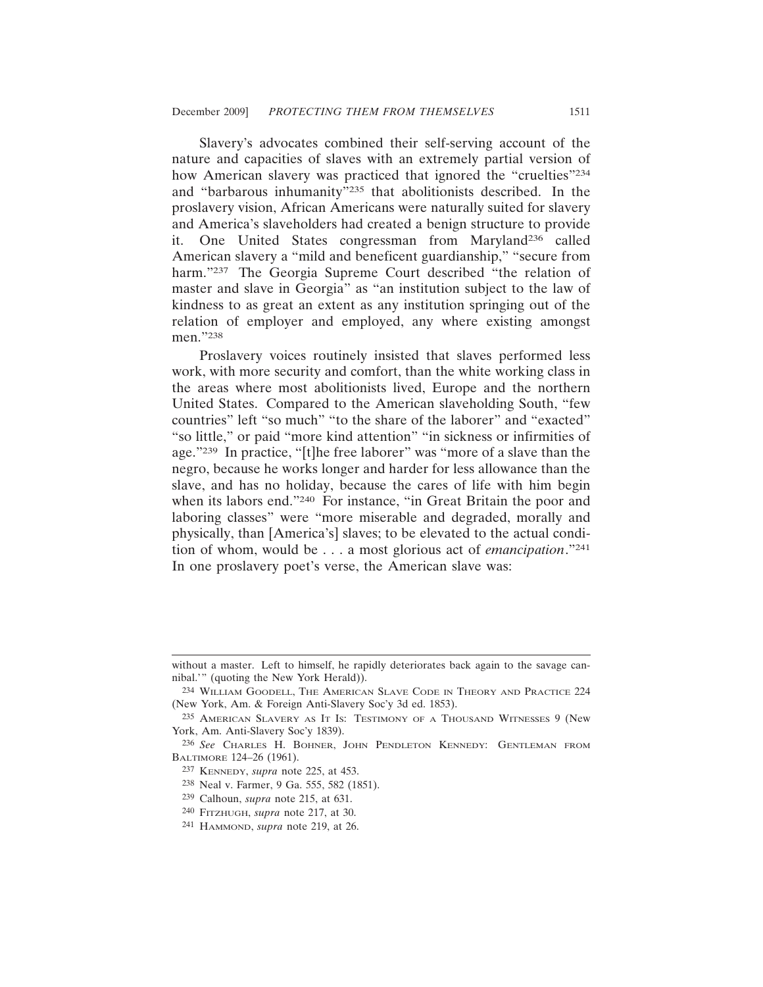Slavery's advocates combined their self-serving account of the nature and capacities of slaves with an extremely partial version of how American slavery was practiced that ignored the "cruelties"<sup>234</sup> and "barbarous inhumanity"235 that abolitionists described. In the proslavery vision, African Americans were naturally suited for slavery and America's slaveholders had created a benign structure to provide it. One United States congressman from Maryland236 called American slavery a "mild and beneficent guardianship," "secure from harm."<sup>237</sup> The Georgia Supreme Court described "the relation of master and slave in Georgia" as "an institution subject to the law of kindness to as great an extent as any institution springing out of the relation of employer and employed, any where existing amongst men."238

Proslavery voices routinely insisted that slaves performed less work, with more security and comfort, than the white working class in the areas where most abolitionists lived, Europe and the northern United States. Compared to the American slaveholding South, "few countries" left "so much" "to the share of the laborer" and "exacted" "so little," or paid "more kind attention" "in sickness or infirmities of age."239 In practice, "[t]he free laborer" was "more of a slave than the negro, because he works longer and harder for less allowance than the slave, and has no holiday, because the cares of life with him begin when its labors end."240 For instance, "in Great Britain the poor and laboring classes" were "more miserable and degraded, morally and physically, than [America's] slaves; to be elevated to the actual condition of whom, would be . . . a most glorious act of *emancipation*."241 In one proslavery poet's verse, the American slave was:

without a master. Left to himself, he rapidly deteriorates back again to the savage cannibal.'" (quoting the New York Herald)).

<sup>234</sup> WILLIAM GOODELL, THE AMERICAN SLAVE CODE IN THEORY AND PRACTICE 224 (New York, Am. & Foreign Anti-Slavery Soc'y 3d ed. 1853).

<sup>235</sup> AMERICAN SLAVERY AS IT IS: TESTIMONY OF A THOUSAND WITNESSES 9 (New York, Am. Anti-Slavery Soc'y 1839).

<sup>236</sup> *See* CHARLES H. BOHNER, JOHN PENDLETON KENNEDY: GENTLEMAN FROM BALTIMORE 124–26 (1961).

<sup>237</sup> KENNEDY, *supra* note 225, at 453.

<sup>238</sup> Neal v. Farmer, 9 Ga. 555, 582 (1851).

<sup>239</sup> Calhoun, *supra* note 215, at 631.

<sup>240</sup> FITZHUGH, *supra* note 217, at 30.

<sup>241</sup> HAMMOND, *supra* note 219, at 26.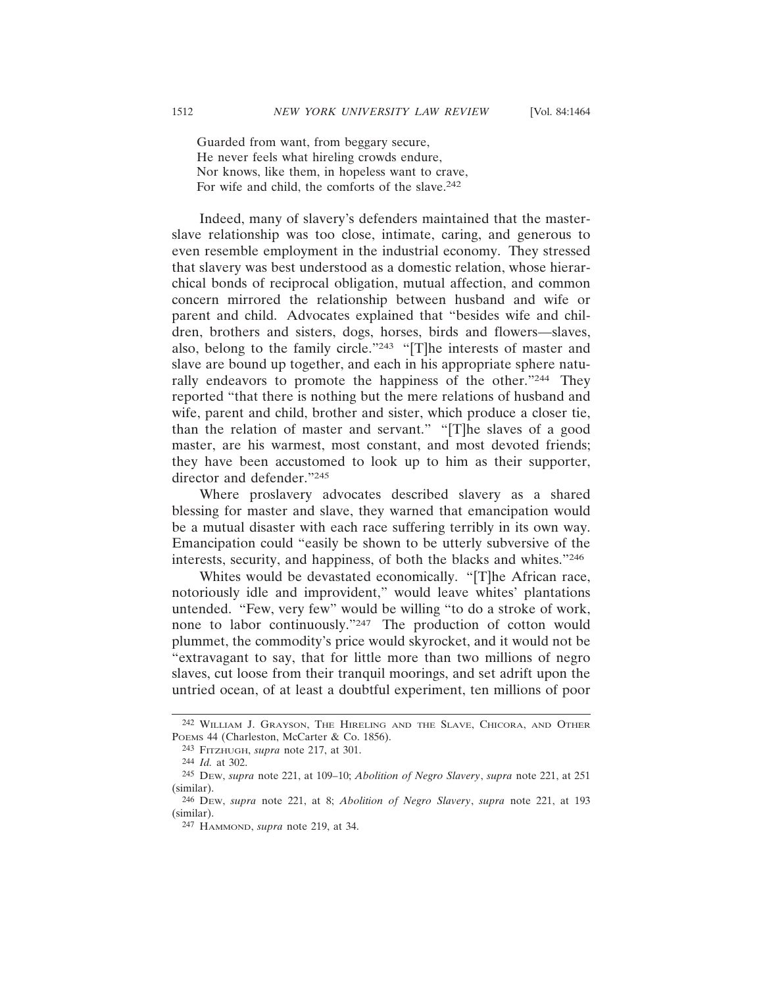Guarded from want, from beggary secure, He never feels what hireling crowds endure, Nor knows, like them, in hopeless want to crave, For wife and child, the comforts of the slave.<sup>242</sup>

Indeed, many of slavery's defenders maintained that the masterslave relationship was too close, intimate, caring, and generous to even resemble employment in the industrial economy. They stressed that slavery was best understood as a domestic relation, whose hierarchical bonds of reciprocal obligation, mutual affection, and common concern mirrored the relationship between husband and wife or parent and child. Advocates explained that "besides wife and children, brothers and sisters, dogs, horses, birds and flowers—slaves, also, belong to the family circle."243 "[T]he interests of master and slave are bound up together, and each in his appropriate sphere naturally endeavors to promote the happiness of the other."244 They reported "that there is nothing but the mere relations of husband and wife, parent and child, brother and sister, which produce a closer tie, than the relation of master and servant." "[T]he slaves of a good master, are his warmest, most constant, and most devoted friends; they have been accustomed to look up to him as their supporter, director and defender."245

Where proslavery advocates described slavery as a shared blessing for master and slave, they warned that emancipation would be a mutual disaster with each race suffering terribly in its own way. Emancipation could "easily be shown to be utterly subversive of the interests, security, and happiness, of both the blacks and whites."246

Whites would be devastated economically. "[T]he African race, notoriously idle and improvident," would leave whites' plantations untended. "Few, very few" would be willing "to do a stroke of work, none to labor continuously."247 The production of cotton would plummet, the commodity's price would skyrocket, and it would not be "extravagant to say, that for little more than two millions of negro slaves, cut loose from their tranquil moorings, and set adrift upon the untried ocean, of at least a doubtful experiment, ten millions of poor

<sup>242</sup> WILLIAM J. GRAYSON, THE HIRELING AND THE SLAVE, CHICORA, AND OTHER POEMS 44 (Charleston, McCarter & Co. 1856).

<sup>243</sup> FITZHUGH, *supra* note 217, at 301.

<sup>244</sup> *Id.* at 302.

<sup>245</sup> DEW, *supra* note 221, at 109–10; *Abolition of Negro Slavery*, *supra* note 221, at 251 (similar).

<sup>246</sup> DEW, *supra* note 221, at 8; *Abolition of Negro Slavery*, *supra* note 221, at 193 (similar).

<sup>247</sup> HAMMOND, *supra* note 219, at 34.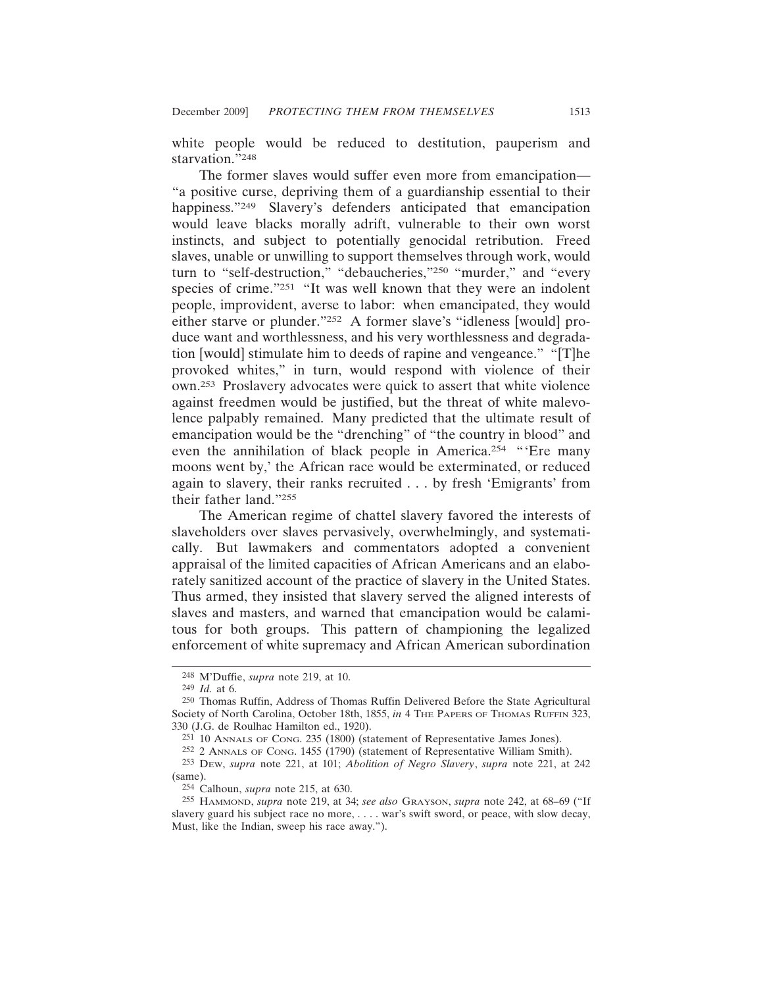white people would be reduced to destitution, pauperism and starvation."248

The former slaves would suffer even more from emancipation— "a positive curse, depriving them of a guardianship essential to their happiness."<sup>249</sup> Slavery's defenders anticipated that emancipation would leave blacks morally adrift, vulnerable to their own worst instincts, and subject to potentially genocidal retribution. Freed slaves, unable or unwilling to support themselves through work, would turn to "self-destruction," "debaucheries,"250 "murder," and "every species of crime."251 "It was well known that they were an indolent people, improvident, averse to labor: when emancipated, they would either starve or plunder."252 A former slave's "idleness [would] produce want and worthlessness, and his very worthlessness and degradation [would] stimulate him to deeds of rapine and vengeance." "[T]he provoked whites," in turn, would respond with violence of their own.253 Proslavery advocates were quick to assert that white violence against freedmen would be justified, but the threat of white malevolence palpably remained. Many predicted that the ultimate result of emancipation would be the "drenching" of "the country in blood" and even the annihilation of black people in America.254 "'Ere many moons went by,' the African race would be exterminated, or reduced again to slavery, their ranks recruited . . . by fresh 'Emigrants' from their father land."255

The American regime of chattel slavery favored the interests of slaveholders over slaves pervasively, overwhelmingly, and systematically. But lawmakers and commentators adopted a convenient appraisal of the limited capacities of African Americans and an elaborately sanitized account of the practice of slavery in the United States. Thus armed, they insisted that slavery served the aligned interests of slaves and masters, and warned that emancipation would be calamitous for both groups. This pattern of championing the legalized enforcement of white supremacy and African American subordination

<sup>248</sup> M'Duffie, *supra* note 219, at 10.

<sup>249</sup> *Id.* at 6.

<sup>250</sup> Thomas Ruffin, Address of Thomas Ruffin Delivered Before the State Agricultural Society of North Carolina, October 18th, 1855, *in* 4 THE PAPERS OF THOMAS RUFFIN 323, 330 (J.G. de Roulhac Hamilton ed., 1920).

<sup>251</sup> 10 ANNALS OF CONG. 235 (1800) (statement of Representative James Jones).

<sup>252</sup> 2 ANNALS OF CONG. 1455 (1790) (statement of Representative William Smith).

<sup>253</sup> DEW, *supra* note 221, at 101; *Abolition of Negro Slavery*, *supra* note 221, at 242 (same).

<sup>254</sup> Calhoun, *supra* note 215, at 630.

<sup>255</sup> HAMMOND, *supra* note 219, at 34; *see also* GRAYSON, *supra* note 242, at 68–69 ("If slavery guard his subject race no more, . . . . war's swift sword, or peace, with slow decay, Must, like the Indian, sweep his race away.").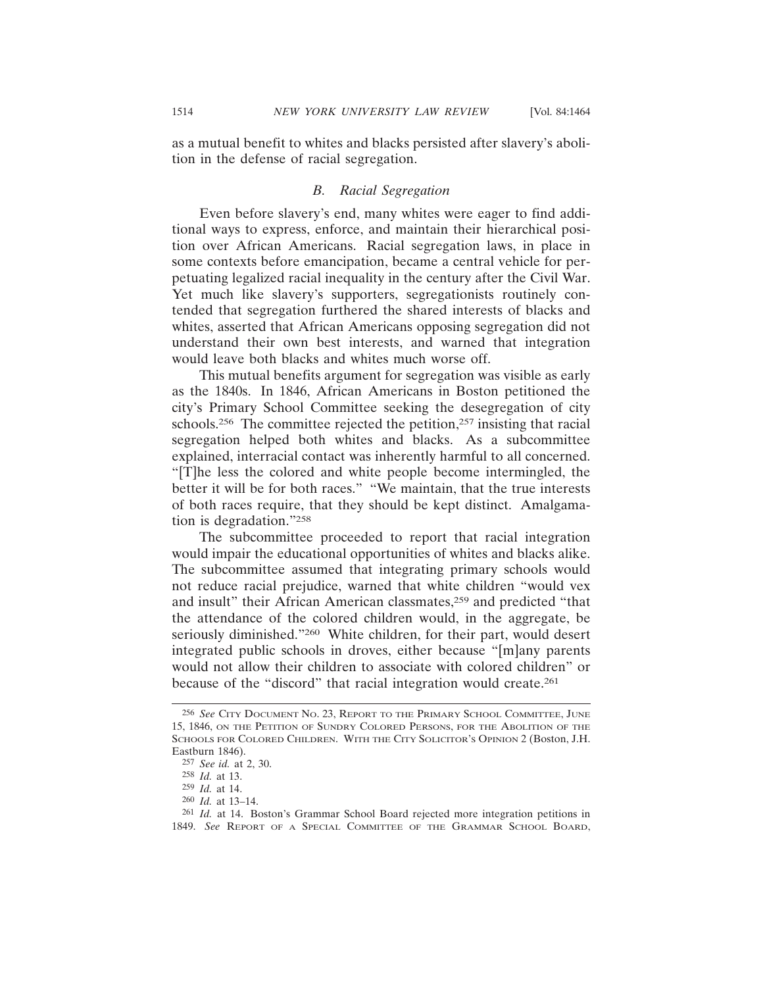as a mutual benefit to whites and blacks persisted after slavery's abolition in the defense of racial segregation.

#### *B. Racial Segregation*

Even before slavery's end, many whites were eager to find additional ways to express, enforce, and maintain their hierarchical position over African Americans. Racial segregation laws, in place in some contexts before emancipation, became a central vehicle for perpetuating legalized racial inequality in the century after the Civil War. Yet much like slavery's supporters, segregationists routinely contended that segregation furthered the shared interests of blacks and whites, asserted that African Americans opposing segregation did not understand their own best interests, and warned that integration would leave both blacks and whites much worse off.

This mutual benefits argument for segregation was visible as early as the 1840s. In 1846, African Americans in Boston petitioned the city's Primary School Committee seeking the desegregation of city schools.<sup>256</sup> The committee rejected the petition,<sup>257</sup> insisting that racial segregation helped both whites and blacks. As a subcommittee explained, interracial contact was inherently harmful to all concerned. "[T]he less the colored and white people become intermingled, the better it will be for both races." "We maintain, that the true interests of both races require, that they should be kept distinct. Amalgamation is degradation."258

The subcommittee proceeded to report that racial integration would impair the educational opportunities of whites and blacks alike. The subcommittee assumed that integrating primary schools would not reduce racial prejudice, warned that white children "would vex and insult" their African American classmates,<sup>259</sup> and predicted "that the attendance of the colored children would, in the aggregate, be seriously diminished."260 White children, for their part, would desert integrated public schools in droves, either because "[m]any parents would not allow their children to associate with colored children" or because of the "discord" that racial integration would create.<sup>261</sup>

<sup>256</sup> *See* CITY DOCUMENT NO. 23, REPORT TO THE PRIMARY SCHOOL COMMITTEE, JUNE 15, 1846, ON THE PETITION OF SUNDRY COLORED PERSONS, FOR THE ABOLITION OF THE SCHOOLS FOR COLORED CHILDREN. WITH THE CITY SOLICITOR'S OPINION 2 (Boston, J.H. Eastburn 1846).

<sup>257</sup> *See id.* at 2, 30.

<sup>258</sup> *Id.* at 13.

<sup>259</sup> *Id.* at 14.

<sup>260</sup> *Id.* at 13–14.

<sup>261</sup> *Id.* at 14. Boston's Grammar School Board rejected more integration petitions in 1849. *See* REPORT OF A SPECIAL COMMITTEE OF THE GRAMMAR SCHOOL BOARD,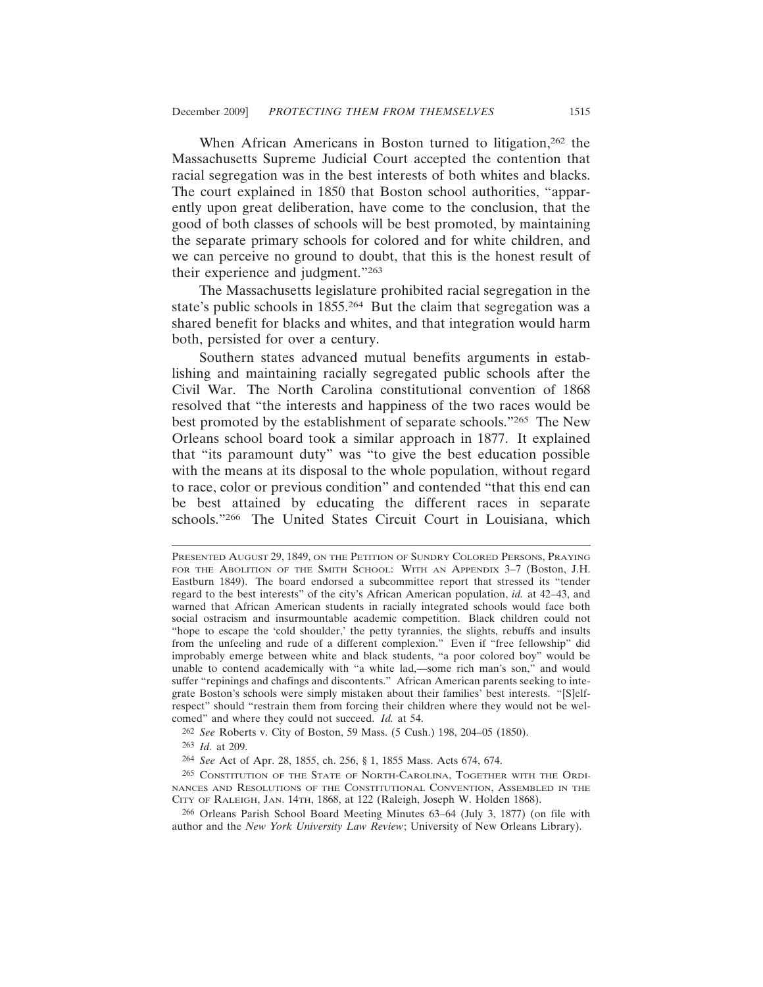When African Americans in Boston turned to litigation,<sup>262</sup> the Massachusetts Supreme Judicial Court accepted the contention that racial segregation was in the best interests of both whites and blacks. The court explained in 1850 that Boston school authorities, "apparently upon great deliberation, have come to the conclusion, that the good of both classes of schools will be best promoted, by maintaining the separate primary schools for colored and for white children, and we can perceive no ground to doubt, that this is the honest result of their experience and judgment."263

The Massachusetts legislature prohibited racial segregation in the state's public schools in 1855.264 But the claim that segregation was a shared benefit for blacks and whites, and that integration would harm both, persisted for over a century.

Southern states advanced mutual benefits arguments in establishing and maintaining racially segregated public schools after the Civil War. The North Carolina constitutional convention of 1868 resolved that "the interests and happiness of the two races would be best promoted by the establishment of separate schools."265 The New Orleans school board took a similar approach in 1877. It explained that "its paramount duty" was "to give the best education possible with the means at its disposal to the whole population, without regard to race, color or previous condition" and contended "that this end can be best attained by educating the different races in separate schools."266 The United States Circuit Court in Louisiana, which

262 *See* Roberts v. City of Boston, 59 Mass. (5 Cush.) 198, 204–05 (1850).

263 *Id.* at 209.

264 *See* Act of Apr. 28, 1855, ch. 256, § 1, 1855 Mass. Acts 674, 674.

265 CONSTITUTION OF THE STATE OF NORTH-CAROLINA, TOGETHER WITH THE ORDI-NANCES AND RESOLUTIONS OF THE CONSTITUTIONAL CONVENTION, ASSEMBLED IN THE CITY OF RALEIGH, JAN. 14TH, 1868, at 122 (Raleigh, Joseph W. Holden 1868).

266 Orleans Parish School Board Meeting Minutes 63–64 (July 3, 1877) (on file with author and the *New York University Law Review*; University of New Orleans Library).

PRESENTED AUGUST 29, 1849, ON THE PETITION OF SUNDRY COLORED PERSONS, PRAYING FOR THE ABOLITION OF THE SMITH SCHOOL: WITH AN APPENDIX 3–7 (Boston, J.H. Eastburn 1849). The board endorsed a subcommittee report that stressed its "tender regard to the best interests" of the city's African American population, *id.* at 42–43, and warned that African American students in racially integrated schools would face both social ostracism and insurmountable academic competition. Black children could not "hope to escape the 'cold shoulder,' the petty tyrannies, the slights, rebuffs and insults from the unfeeling and rude of a different complexion." Even if "free fellowship" did improbably emerge between white and black students, "a poor colored boy" would be unable to contend academically with "a white lad,—some rich man's son," and would suffer "repinings and chafings and discontents." African American parents seeking to integrate Boston's schools were simply mistaken about their families' best interests. "[S]elfrespect" should "restrain them from forcing their children where they would not be welcomed" and where they could not succeed. *Id.* at 54.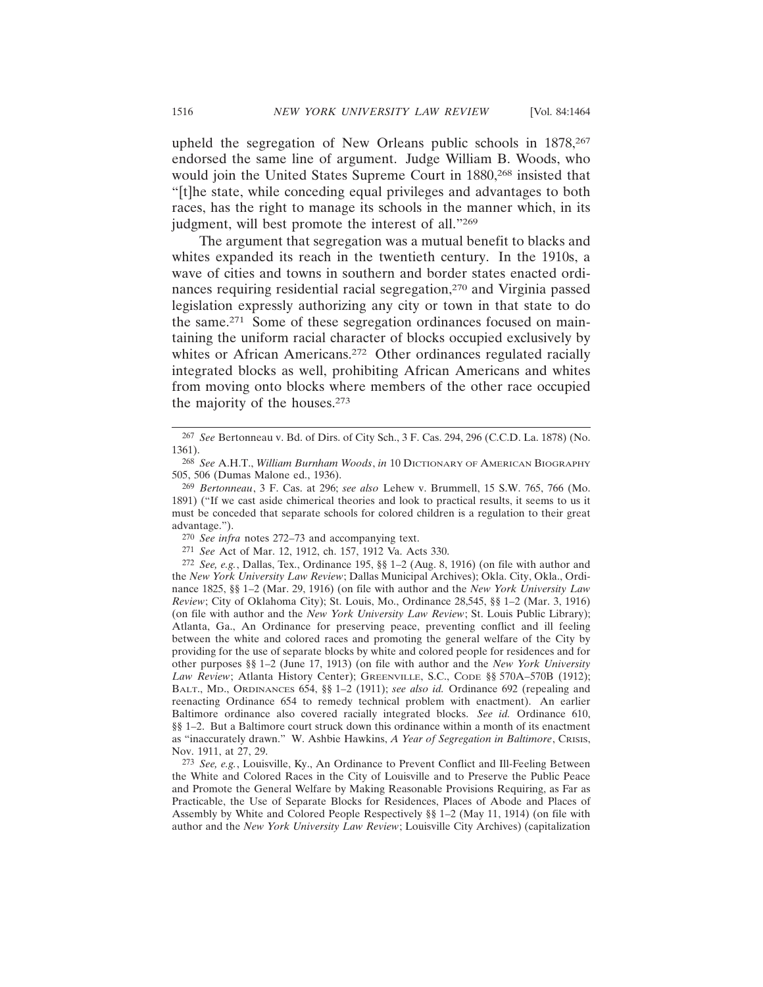upheld the segregation of New Orleans public schools in 1878,<sup>267</sup> endorsed the same line of argument. Judge William B. Woods, who would join the United States Supreme Court in 1880,<sup>268</sup> insisted that "[t]he state, while conceding equal privileges and advantages to both races, has the right to manage its schools in the manner which, in its judgment, will best promote the interest of all."269

The argument that segregation was a mutual benefit to blacks and whites expanded its reach in the twentieth century. In the 1910s, a wave of cities and towns in southern and border states enacted ordinances requiring residential racial segregation,270 and Virginia passed legislation expressly authorizing any city or town in that state to do the same.271 Some of these segregation ordinances focused on maintaining the uniform racial character of blocks occupied exclusively by whites or African Americans.<sup>272</sup> Other ordinances regulated racially integrated blocks as well, prohibiting African Americans and whites from moving onto blocks where members of the other race occupied the majority of the houses.273

<sup>267</sup> *See* Bertonneau v. Bd. of Dirs. of City Sch., 3 F. Cas. 294, 296 (C.C.D. La. 1878) (No. 1361).

<sup>268</sup> *See* A.H.T., *William Burnham Woods*, *in* 10 DICTIONARY OF AMERICAN BIOGRAPHY 505, 506 (Dumas Malone ed., 1936).

<sup>269</sup> *Bertonneau*, 3 F. Cas. at 296; *see also* Lehew v. Brummell, 15 S.W. 765, 766 (Mo. 1891) ("If we cast aside chimerical theories and look to practical results, it seems to us it must be conceded that separate schools for colored children is a regulation to their great advantage.").

<sup>270</sup> *See infra* notes 272–73 and accompanying text.

<sup>271</sup> *See* Act of Mar. 12, 1912, ch. 157, 1912 Va. Acts 330.

<sup>272</sup> *See, e.g.*, Dallas, Tex., Ordinance 195, §§ 1–2 (Aug. 8, 1916) (on file with author and the *New York University Law Review*; Dallas Municipal Archives); Okla. City, Okla., Ordinance 1825, §§ 1–2 (Mar. 29, 1916) (on file with author and the *New York University Law Review*; City of Oklahoma City); St. Louis, Mo., Ordinance 28,545, §§ 1–2 (Mar. 3, 1916) (on file with author and the *New York University Law Review*; St. Louis Public Library); Atlanta, Ga., An Ordinance for preserving peace, preventing conflict and ill feeling between the white and colored races and promoting the general welfare of the City by providing for the use of separate blocks by white and colored people for residences and for other purposes §§ 1–2 (June 17, 1913) (on file with author and the *New York University* Law Review; Atlanta History Center); GREENVILLE, S.C., CODE §§ 570A-570B (1912); BALT., MD., ORDINANCES 654, §§ 1–2 (1911); *see also id.* Ordinance 692 (repealing and reenacting Ordinance 654 to remedy technical problem with enactment). An earlier Baltimore ordinance also covered racially integrated blocks. *See id.* Ordinance 610, §§ 1–2. But a Baltimore court struck down this ordinance within a month of its enactment as "inaccurately drawn." W. Ashbie Hawkins, *A Year of Segregation in Baltimore*, CRISIS, Nov. 1911, at 27, 29.

<sup>273</sup> *See, e.g.*, Louisville, Ky., An Ordinance to Prevent Conflict and Ill-Feeling Between the White and Colored Races in the City of Louisville and to Preserve the Public Peace and Promote the General Welfare by Making Reasonable Provisions Requiring, as Far as Practicable, the Use of Separate Blocks for Residences, Places of Abode and Places of Assembly by White and Colored People Respectively §§ 1–2 (May 11, 1914) (on file with author and the *New York University Law Review*; Louisville City Archives) (capitalization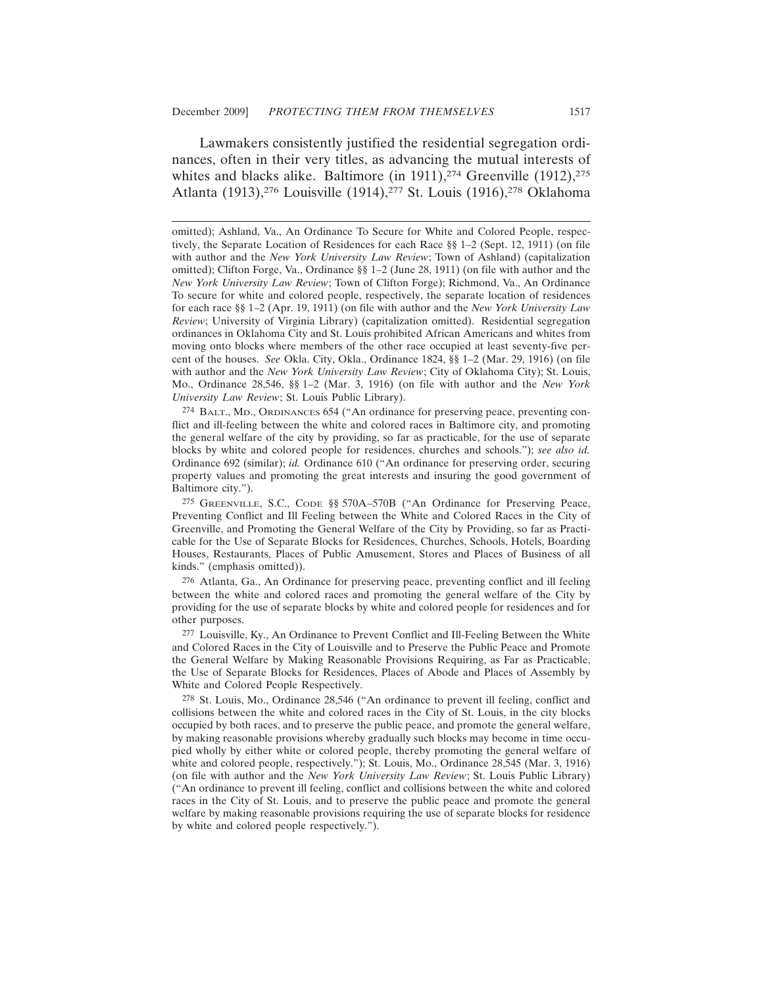Lawmakers consistently justified the residential segregation ordinances, often in their very titles, as advancing the mutual interests of whites and blacks alike. Baltimore (in 1911),<sup>274</sup> Greenville  $(1912)$ ,<sup>275</sup> Atlanta (1913),276 Louisville (1914),277 St. Louis (1916),278 Oklahoma

274 BALT., MD., ORDINANCES 654 ("An ordinance for preserving peace, preventing conflict and ill-feeling between the white and colored races in Baltimore city, and promoting the general welfare of the city by providing, so far as practicable, for the use of separate blocks by white and colored people for residences, churches and schools."); *see also id.* Ordinance 692 (similar); *id.* Ordinance 610 ("An ordinance for preserving order, securing property values and promoting the great interests and insuring the good government of Baltimore city.").

275 GREENVILLE, S.C., CODE §§ 570A–570B ("An Ordinance for Preserving Peace, Preventing Conflict and Ill Feeling between the White and Colored Races in the City of Greenville, and Promoting the General Welfare of the City by Providing, so far as Practicable for the Use of Separate Blocks for Residences, Churches, Schools, Hotels, Boarding Houses, Restaurants, Places of Public Amusement, Stores and Places of Business of all kinds." (emphasis omitted)).

276 Atlanta, Ga., An Ordinance for preserving peace, preventing conflict and ill feeling between the white and colored races and promoting the general welfare of the City by providing for the use of separate blocks by white and colored people for residences and for other purposes.

277 Louisville, Ky., An Ordinance to Prevent Conflict and Ill-Feeling Between the White and Colored Races in the City of Louisville and to Preserve the Public Peace and Promote the General Welfare by Making Reasonable Provisions Requiring, as Far as Practicable, the Use of Separate Blocks for Residences, Places of Abode and Places of Assembly by White and Colored People Respectively.

278 St. Louis, Mo., Ordinance 28,546 ("An ordinance to prevent ill feeling, conflict and collisions between the white and colored races in the City of St. Louis, in the city blocks occupied by both races, and to preserve the public peace, and promote the general welfare, by making reasonable provisions whereby gradually such blocks may become in time occupied wholly by either white or colored people, thereby promoting the general welfare of white and colored people, respectively."); St. Louis, Mo., Ordinance 28,545 (Mar. 3, 1916) (on file with author and the *New York University Law Review*; St. Louis Public Library) ("An ordinance to prevent ill feeling, conflict and collisions between the white and colored races in the City of St. Louis, and to preserve the public peace and promote the general welfare by making reasonable provisions requiring the use of separate blocks for residence by white and colored people respectively.").

omitted); Ashland, Va., An Ordinance To Secure for White and Colored People, respectively, the Separate Location of Residences for each Race §§ 1–2 (Sept. 12, 1911) (on file with author and the *New York University Law Review*; Town of Ashland) (capitalization omitted); Clifton Forge, Va., Ordinance §§ 1–2 (June 28, 1911) (on file with author and the *New York University Law Review*; Town of Clifton Forge); Richmond, Va., An Ordinance To secure for white and colored people, respectively, the separate location of residences for each race §§ 1–2 (Apr. 19, 1911) (on file with author and the *New York University Law Review*; University of Virginia Library) (capitalization omitted). Residential segregation ordinances in Oklahoma City and St. Louis prohibited African Americans and whites from moving onto blocks where members of the other race occupied at least seventy-five percent of the houses. *See* Okla. City, Okla., Ordinance 1824, §§ 1–2 (Mar. 29, 1916) (on file with author and the *New York University Law Review*; City of Oklahoma City); St. Louis, Mo., Ordinance 28,546, §§ 1–2 (Mar. 3, 1916) (on file with author and the *New York University Law Review*; St. Louis Public Library).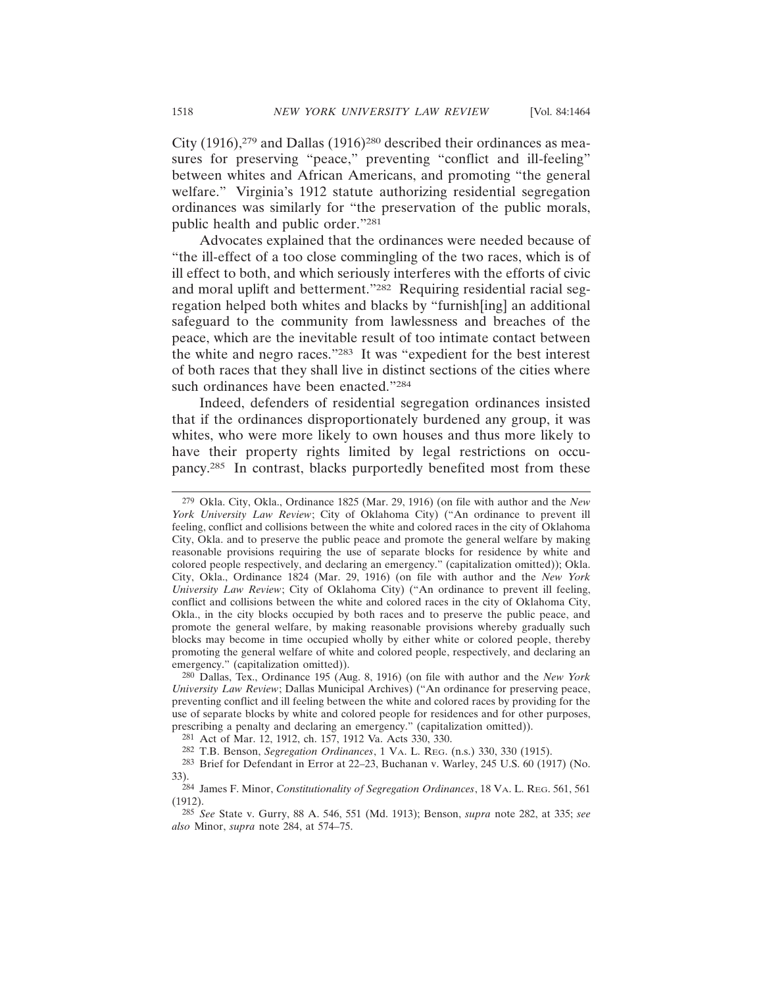City (1916),279 and Dallas (1916)280 described their ordinances as measures for preserving "peace," preventing "conflict and ill-feeling" between whites and African Americans, and promoting "the general welfare." Virginia's 1912 statute authorizing residential segregation ordinances was similarly for "the preservation of the public morals, public health and public order."281

Advocates explained that the ordinances were needed because of "the ill-effect of a too close commingling of the two races, which is of ill effect to both, and which seriously interferes with the efforts of civic and moral uplift and betterment."282 Requiring residential racial segregation helped both whites and blacks by "furnish[ing] an additional safeguard to the community from lawlessness and breaches of the peace, which are the inevitable result of too intimate contact between the white and negro races."283 It was "expedient for the best interest of both races that they shall live in distinct sections of the cities where such ordinances have been enacted."284

Indeed, defenders of residential segregation ordinances insisted that if the ordinances disproportionately burdened any group, it was whites, who were more likely to own houses and thus more likely to have their property rights limited by legal restrictions on occupancy.285 In contrast, blacks purportedly benefited most from these

<sup>279</sup> Okla. City, Okla., Ordinance 1825 (Mar. 29, 1916) (on file with author and the *New York University Law Review*; City of Oklahoma City) ("An ordinance to prevent ill feeling, conflict and collisions between the white and colored races in the city of Oklahoma City, Okla. and to preserve the public peace and promote the general welfare by making reasonable provisions requiring the use of separate blocks for residence by white and colored people respectively, and declaring an emergency." (capitalization omitted)); Okla. City, Okla., Ordinance 1824 (Mar. 29, 1916) (on file with author and the *New York University Law Review*; City of Oklahoma City) ("An ordinance to prevent ill feeling, conflict and collisions between the white and colored races in the city of Oklahoma City, Okla., in the city blocks occupied by both races and to preserve the public peace, and promote the general welfare, by making reasonable provisions whereby gradually such blocks may become in time occupied wholly by either white or colored people, thereby promoting the general welfare of white and colored people, respectively, and declaring an emergency." (capitalization omitted)).

<sup>280</sup> Dallas, Tex., Ordinance 195 (Aug. 8, 1916) (on file with author and the *New York University Law Review*; Dallas Municipal Archives) ("An ordinance for preserving peace, preventing conflict and ill feeling between the white and colored races by providing for the use of separate blocks by white and colored people for residences and for other purposes, prescribing a penalty and declaring an emergency." (capitalization omitted)).

<sup>281</sup> Act of Mar. 12, 1912, ch. 157, 1912 Va. Acts 330, 330.

<sup>282</sup> T.B. Benson, *Segregation Ordinances*, 1 VA. L. REG. (n.s.) 330, 330 (1915).

<sup>283</sup> Brief for Defendant in Error at 22–23, Buchanan v. Warley, 245 U.S. 60 (1917) (No. 33).

<sup>284</sup> James F. Minor, *Constitutionality of Segregation Ordinances*, 18 VA. L. REG. 561, 561 (1912).

<sup>285</sup> *See* State v. Gurry, 88 A. 546, 551 (Md. 1913); Benson, *supra* note 282, at 335; *see also* Minor, *supra* note 284, at 574–75.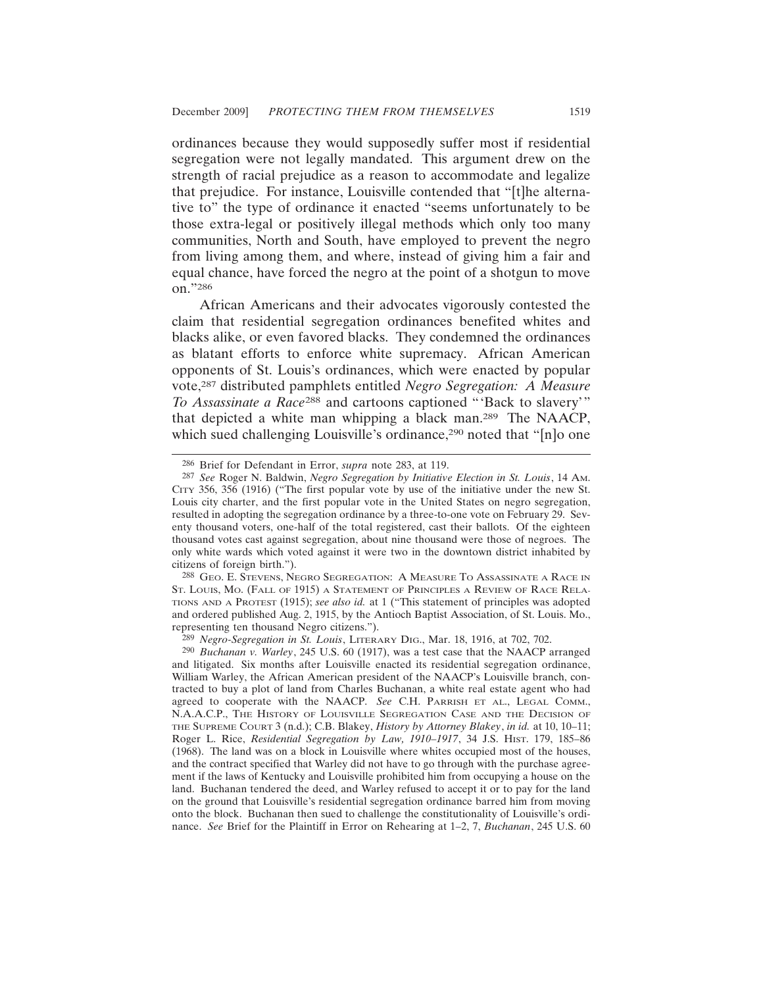ordinances because they would supposedly suffer most if residential segregation were not legally mandated. This argument drew on the strength of racial prejudice as a reason to accommodate and legalize that prejudice. For instance, Louisville contended that "[t]he alternative to" the type of ordinance it enacted "seems unfortunately to be those extra-legal or positively illegal methods which only too many communities, North and South, have employed to prevent the negro from living among them, and where, instead of giving him a fair and equal chance, have forced the negro at the point of a shotgun to move on."286

African Americans and their advocates vigorously contested the claim that residential segregation ordinances benefited whites and blacks alike, or even favored blacks. They condemned the ordinances as blatant efforts to enforce white supremacy. African American opponents of St. Louis's ordinances, which were enacted by popular vote,287 distributed pamphlets entitled *Negro Segregation: A Measure To Assassinate a Race*288 and cartoons captioned "'Back to slavery'" that depicted a white man whipping a black man.289 The NAACP, which sued challenging Louisville's ordinance,<sup>290</sup> noted that "[n]o one

288 GEO. E. STEVENS, NEGRO SEGREGATION: A MEASURE TO ASSASSINATE A RACE IN ST. LOUIS, MO. (FALL OF 1915) A STATEMENT OF PRINCIPLES A REVIEW OF RACE RELA-TIONS AND A PROTEST (1915); *see also id.* at 1 ("This statement of principles was adopted and ordered published Aug. 2, 1915, by the Antioch Baptist Association, of St. Louis. Mo., representing ten thousand Negro citizens.").

<sup>286</sup> Brief for Defendant in Error, *supra* note 283, at 119.

<sup>287</sup> *See* Roger N. Baldwin, *Negro Segregation by Initiative Election in St. Louis*, 14 AM. CITY 356, 356 (1916) ("The first popular vote by use of the initiative under the new St. Louis city charter, and the first popular vote in the United States on negro segregation, resulted in adopting the segregation ordinance by a three-to-one vote on February 29. Seventy thousand voters, one-half of the total registered, cast their ballots. Of the eighteen thousand votes cast against segregation, about nine thousand were those of negroes. The only white wards which voted against it were two in the downtown district inhabited by citizens of foreign birth.").

<sup>289</sup> *Negro-Segregation in St. Louis*, LITERARY DIG., Mar. 18, 1916, at 702, 702.

<sup>290</sup> *Buchanan v. Warley*, 245 U.S. 60 (1917), was a test case that the NAACP arranged and litigated. Six months after Louisville enacted its residential segregation ordinance, William Warley, the African American president of the NAACP's Louisville branch, contracted to buy a plot of land from Charles Buchanan, a white real estate agent who had agreed to cooperate with the NAACP. *See* C.H. PARRISH ET AL., LEGAL COMM., N.A.A.C.P., THE HISTORY OF LOUISVILLE SEGREGATION CASE AND THE DECISION OF THE SUPREME COURT 3 (n.d.); C.B. Blakey, *History by Attorney Blakey*, *in id.* at 10, 10–11; Roger L. Rice, *Residential Segregation by Law, 1910–1917*, 34 J.S. HIST. 179, 185–86 (1968). The land was on a block in Louisville where whites occupied most of the houses, and the contract specified that Warley did not have to go through with the purchase agreement if the laws of Kentucky and Louisville prohibited him from occupying a house on the land. Buchanan tendered the deed, and Warley refused to accept it or to pay for the land on the ground that Louisville's residential segregation ordinance barred him from moving onto the block. Buchanan then sued to challenge the constitutionality of Louisville's ordinance. *See* Brief for the Plaintiff in Error on Rehearing at 1–2, 7, *Buchanan*, 245 U.S. 60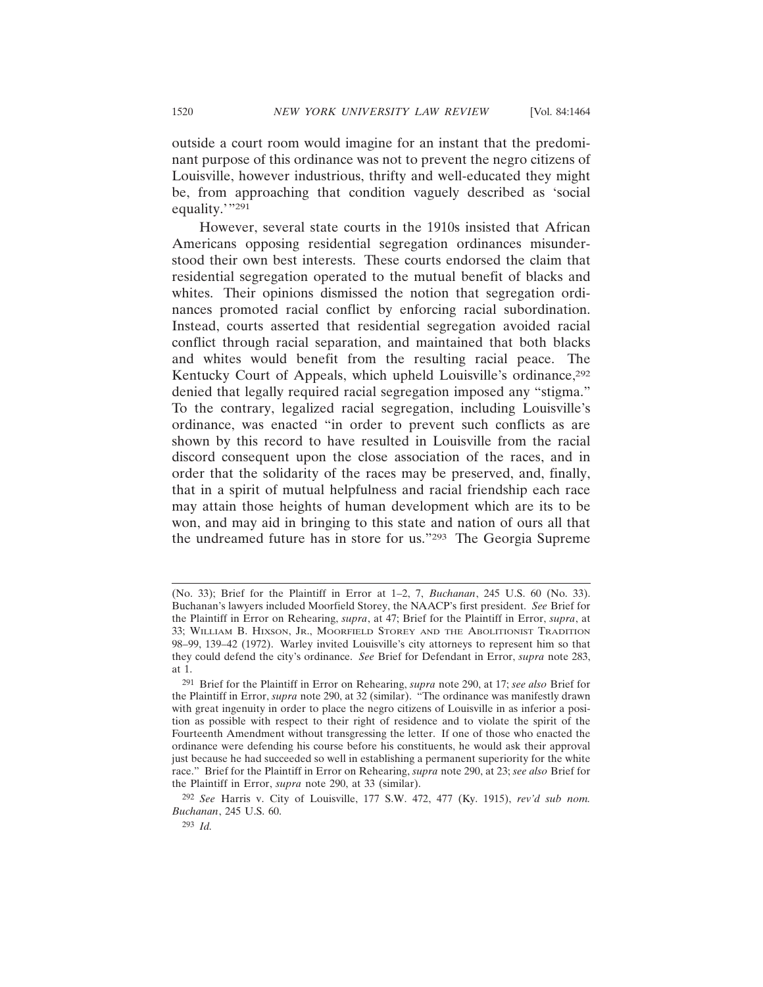outside a court room would imagine for an instant that the predominant purpose of this ordinance was not to prevent the negro citizens of Louisville, however industrious, thrifty and well-educated they might be, from approaching that condition vaguely described as 'social equality."<sup>291</sup>

However, several state courts in the 1910s insisted that African Americans opposing residential segregation ordinances misunderstood their own best interests. These courts endorsed the claim that residential segregation operated to the mutual benefit of blacks and whites. Their opinions dismissed the notion that segregation ordinances promoted racial conflict by enforcing racial subordination. Instead, courts asserted that residential segregation avoided racial conflict through racial separation, and maintained that both blacks and whites would benefit from the resulting racial peace. The Kentucky Court of Appeals, which upheld Louisville's ordinance,<sup>292</sup> denied that legally required racial segregation imposed any "stigma." To the contrary, legalized racial segregation, including Louisville's ordinance, was enacted "in order to prevent such conflicts as are shown by this record to have resulted in Louisville from the racial discord consequent upon the close association of the races, and in order that the solidarity of the races may be preserved, and, finally, that in a spirit of mutual helpfulness and racial friendship each race may attain those heights of human development which are its to be won, and may aid in bringing to this state and nation of ours all that the undreamed future has in store for us."293 The Georgia Supreme

<sup>(</sup>No. 33); Brief for the Plaintiff in Error at 1–2, 7, *Buchanan*, 245 U.S. 60 (No. 33). Buchanan's lawyers included Moorfield Storey, the NAACP's first president. *See* Brief for the Plaintiff in Error on Rehearing, *supra*, at 47; Brief for the Plaintiff in Error, *supra*, at 33; WILLIAM B. HIXSON, JR., MOORFIELD STOREY AND THE ABOLITIONIST TRADITION 98–99, 139–42 (1972). Warley invited Louisville's city attorneys to represent him so that they could defend the city's ordinance. *See* Brief for Defendant in Error, *supra* note 283, at 1.

<sup>291</sup> Brief for the Plaintiff in Error on Rehearing, *supra* note 290, at 17; *see also* Brief for the Plaintiff in Error, *supra* note 290, at 32 (similar). "The ordinance was manifestly drawn with great ingenuity in order to place the negro citizens of Louisville in as inferior a position as possible with respect to their right of residence and to violate the spirit of the Fourteenth Amendment without transgressing the letter. If one of those who enacted the ordinance were defending his course before his constituents, he would ask their approval just because he had succeeded so well in establishing a permanent superiority for the white race." Brief for the Plaintiff in Error on Rehearing, *supra* note 290, at 23; *see also* Brief for the Plaintiff in Error, *supra* note 290, at 33 (similar).

<sup>292</sup> *See* Harris v. City of Louisville, 177 S.W. 472, 477 (Ky. 1915), *rev'd sub nom. Buchanan*, 245 U.S. 60.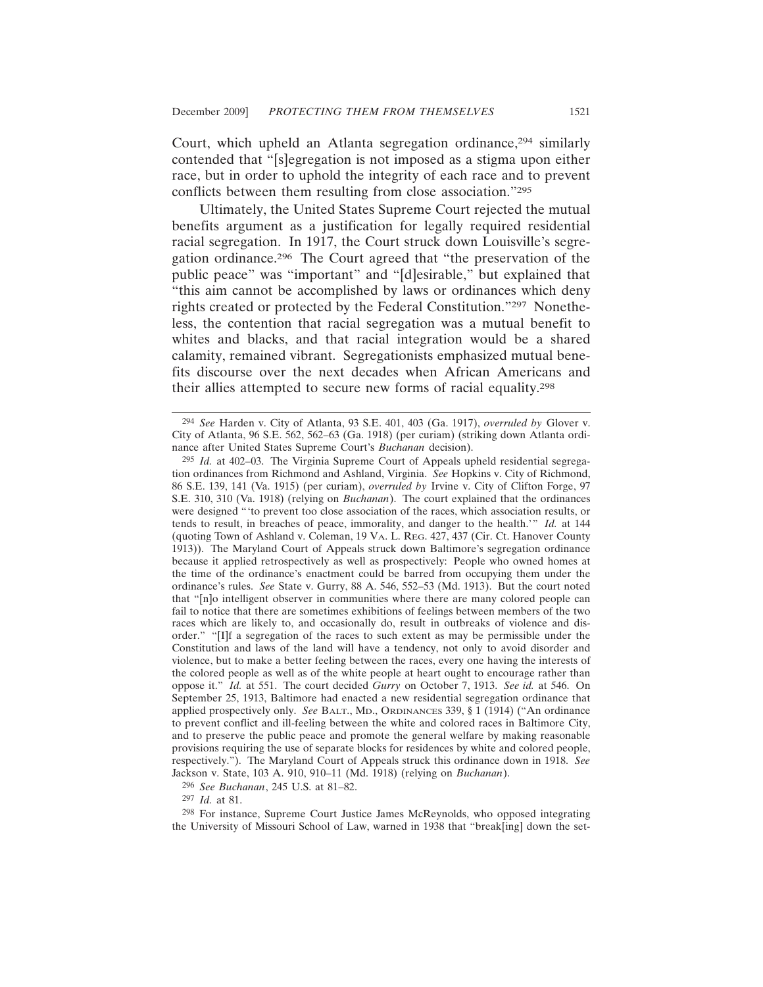Court, which upheld an Atlanta segregation ordinance,<sup>294</sup> similarly contended that "[s]egregation is not imposed as a stigma upon either race, but in order to uphold the integrity of each race and to prevent conflicts between them resulting from close association."295

Ultimately, the United States Supreme Court rejected the mutual benefits argument as a justification for legally required residential racial segregation. In 1917, the Court struck down Louisville's segregation ordinance.296 The Court agreed that "the preservation of the public peace" was "important" and "[d]esirable," but explained that "this aim cannot be accomplished by laws or ordinances which deny rights created or protected by the Federal Constitution."297 Nonetheless, the contention that racial segregation was a mutual benefit to whites and blacks, and that racial integration would be a shared calamity, remained vibrant. Segregationists emphasized mutual benefits discourse over the next decades when African Americans and their allies attempted to secure new forms of racial equality.298

296 *See Buchanan*, 245 U.S. at 81–82.

297 *Id.* at 81.

298 For instance, Supreme Court Justice James McReynolds, who opposed integrating the University of Missouri School of Law, warned in 1938 that "break[ing] down the set-

<sup>294</sup> *See* Harden v. City of Atlanta, 93 S.E. 401, 403 (Ga. 1917), *overruled by* Glover v. City of Atlanta, 96 S.E. 562, 562–63 (Ga. 1918) (per curiam) (striking down Atlanta ordinance after United States Supreme Court's *Buchanan* decision).

<sup>295</sup> *Id.* at 402–03. The Virginia Supreme Court of Appeals upheld residential segregation ordinances from Richmond and Ashland, Virginia. *See* Hopkins v. City of Richmond, 86 S.E. 139, 141 (Va. 1915) (per curiam), *overruled by* Irvine v. City of Clifton Forge, 97 S.E. 310, 310 (Va. 1918) (relying on *Buchanan*). The court explained that the ordinances were designed "'to prevent too close association of the races, which association results, or tends to result, in breaches of peace, immorality, and danger to the health.'" *Id.* at 144 (quoting Town of Ashland v. Coleman, 19 VA. L. REG. 427, 437 (Cir. Ct. Hanover County 1913)). The Maryland Court of Appeals struck down Baltimore's segregation ordinance because it applied retrospectively as well as prospectively: People who owned homes at the time of the ordinance's enactment could be barred from occupying them under the ordinance's rules. *See* State v. Gurry, 88 A. 546, 552–53 (Md. 1913). But the court noted that "[n]o intelligent observer in communities where there are many colored people can fail to notice that there are sometimes exhibitions of feelings between members of the two races which are likely to, and occasionally do, result in outbreaks of violence and disorder." "[I]f a segregation of the races to such extent as may be permissible under the Constitution and laws of the land will have a tendency, not only to avoid disorder and violence, but to make a better feeling between the races, every one having the interests of the colored people as well as of the white people at heart ought to encourage rather than oppose it." *Id.* at 551. The court decided *Gurry* on October 7, 1913. *See id.* at 546. On September 25, 1913, Baltimore had enacted a new residential segregation ordinance that applied prospectively only. *See* BALT., MD., ORDINANCES 339, § 1 (1914) ("An ordinance to prevent conflict and ill-feeling between the white and colored races in Baltimore City, and to preserve the public peace and promote the general welfare by making reasonable provisions requiring the use of separate blocks for residences by white and colored people, respectively."). The Maryland Court of Appeals struck this ordinance down in 1918. *See* Jackson v. State, 103 A. 910, 910–11 (Md. 1918) (relying on *Buchanan*).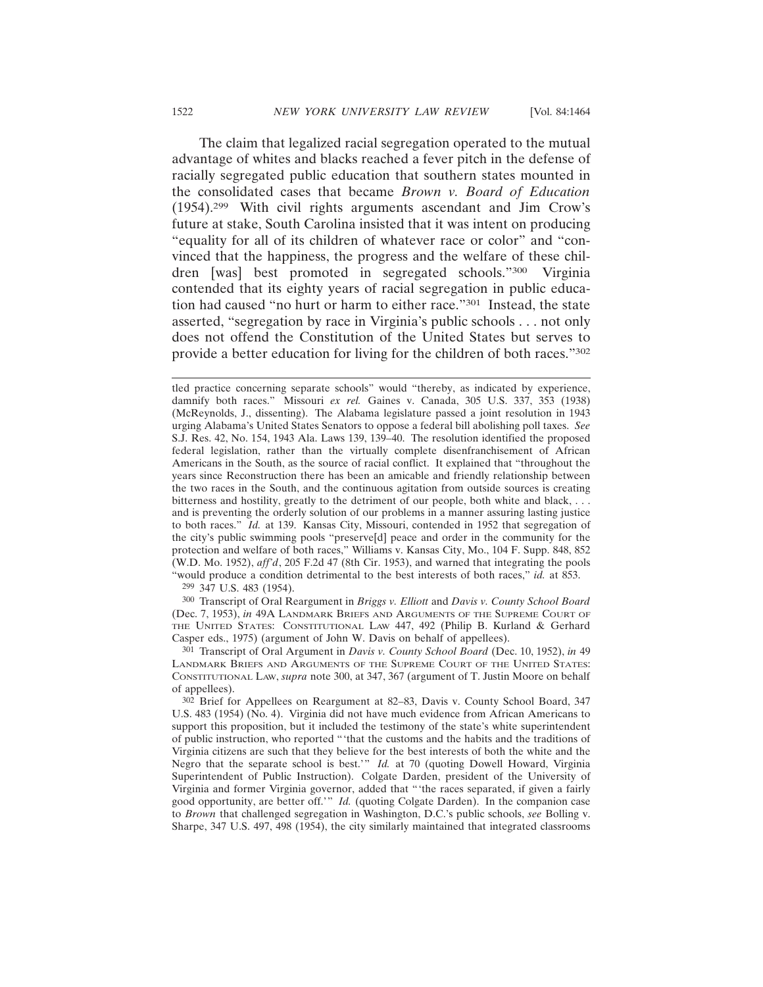The claim that legalized racial segregation operated to the mutual advantage of whites and blacks reached a fever pitch in the defense of racially segregated public education that southern states mounted in the consolidated cases that became *Brown v. Board of Education* (1954).299 With civil rights arguments ascendant and Jim Crow's future at stake, South Carolina insisted that it was intent on producing "equality for all of its children of whatever race or color" and "convinced that the happiness, the progress and the welfare of these children [was] best promoted in segregated schools."300 Virginia contended that its eighty years of racial segregation in public education had caused "no hurt or harm to either race."301 Instead, the state asserted, "segregation by race in Virginia's public schools . . . not only does not offend the Constitution of the United States but serves to provide a better education for living for the children of both races."302

299 347 U.S. 483 (1954).

300 Transcript of Oral Reargument in *Briggs v. Elliott* and *Davis v. County School Board* (Dec. 7, 1953), *in* 49A LANDMARK BRIEFS AND ARGUMENTS OF THE SUPREME COURT OF THE UNITED STATES: CONSTITUTIONAL LAW 447, 492 (Philip B. Kurland & Gerhard Casper eds., 1975) (argument of John W. Davis on behalf of appellees).

301 Transcript of Oral Argument in *Davis v. County School Board* (Dec. 10, 1952), *in* 49 LANDMARK BRIEFS AND ARGUMENTS OF THE SUPREME COURT OF THE UNITED STATES: CONSTITUTIONAL LAW, *supra* note 300, at 347, 367 (argument of T. Justin Moore on behalf of appellees).

302 Brief for Appellees on Reargument at 82–83, Davis v. County School Board, 347 U.S. 483 (1954) (No. 4). Virginia did not have much evidence from African Americans to support this proposition, but it included the testimony of the state's white superintendent of public instruction, who reported "'that the customs and the habits and the traditions of Virginia citizens are such that they believe for the best interests of both the white and the Negro that the separate school is best.'" *Id.* at 70 (quoting Dowell Howard, Virginia Superintendent of Public Instruction). Colgate Darden, president of the University of Virginia and former Virginia governor, added that "'the races separated, if given a fairly good opportunity, are better off.'" *Id.* (quoting Colgate Darden). In the companion case to *Brown* that challenged segregation in Washington, D.C.'s public schools, *see* Bolling v. Sharpe, 347 U.S. 497, 498 (1954), the city similarly maintained that integrated classrooms

tled practice concerning separate schools" would "thereby, as indicated by experience, damnify both races." Missouri *ex rel.* Gaines v. Canada, 305 U.S. 337, 353 (1938) (McReynolds, J., dissenting). The Alabama legislature passed a joint resolution in 1943 urging Alabama's United States Senators to oppose a federal bill abolishing poll taxes. *See* S.J. Res. 42, No. 154, 1943 Ala. Laws 139, 139–40. The resolution identified the proposed federal legislation, rather than the virtually complete disenfranchisement of African Americans in the South, as the source of racial conflict. It explained that "throughout the years since Reconstruction there has been an amicable and friendly relationship between the two races in the South, and the continuous agitation from outside sources is creating bitterness and hostility, greatly to the detriment of our people, both white and black, ... and is preventing the orderly solution of our problems in a manner assuring lasting justice to both races." *Id.* at 139. Kansas City, Missouri, contended in 1952 that segregation of the city's public swimming pools "preserve[d] peace and order in the community for the protection and welfare of both races," Williams v. Kansas City, Mo., 104 F. Supp. 848, 852 (W.D. Mo. 1952), *aff'd*, 205 F.2d 47 (8th Cir. 1953), and warned that integrating the pools "would produce a condition detrimental to the best interests of both races," *id.* at 853.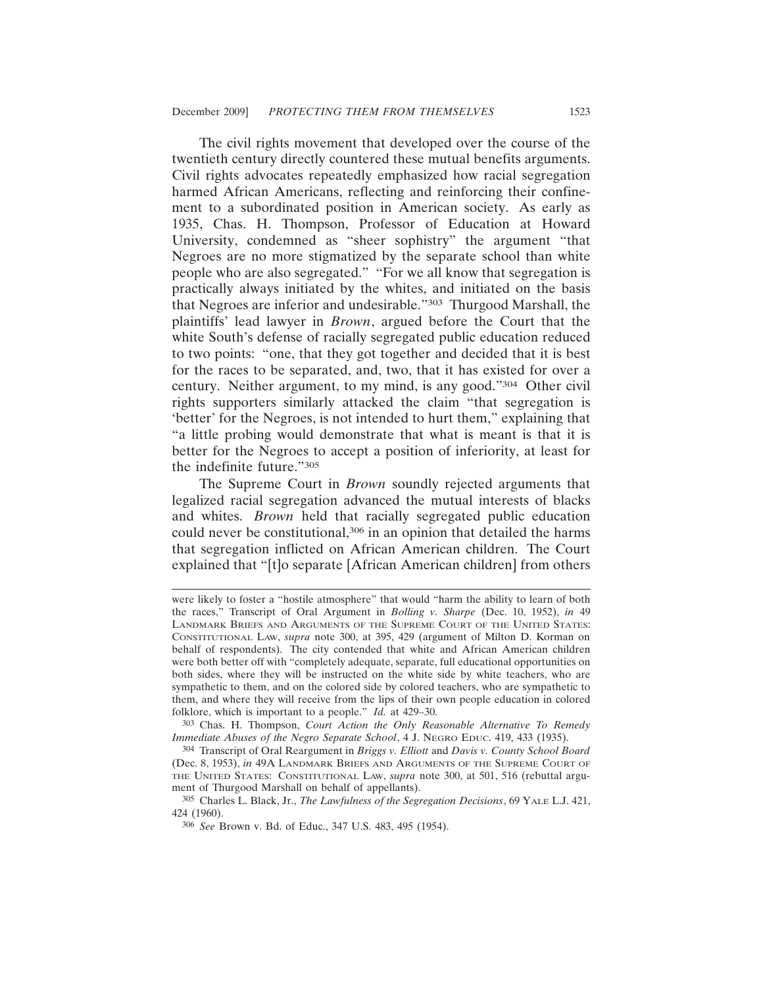The civil rights movement that developed over the course of the twentieth century directly countered these mutual benefits arguments. Civil rights advocates repeatedly emphasized how racial segregation harmed African Americans, reflecting and reinforcing their confinement to a subordinated position in American society. As early as 1935, Chas. H. Thompson, Professor of Education at Howard University, condemned as "sheer sophistry" the argument "that Negroes are no more stigmatized by the separate school than white people who are also segregated." "For we all know that segregation is practically always initiated by the whites, and initiated on the basis that Negroes are inferior and undesirable."303 Thurgood Marshall, the plaintiffs' lead lawyer in *Brown*, argued before the Court that the white South's defense of racially segregated public education reduced to two points: "one, that they got together and decided that it is best for the races to be separated, and, two, that it has existed for over a century. Neither argument, to my mind, is any good."304 Other civil rights supporters similarly attacked the claim "that segregation is 'better' for the Negroes, is not intended to hurt them," explaining that "a little probing would demonstrate that what is meant is that it is better for the Negroes to accept a position of inferiority, at least for the indefinite future."305

The Supreme Court in *Brown* soundly rejected arguments that legalized racial segregation advanced the mutual interests of blacks and whites. *Brown* held that racially segregated public education could never be constitutional,<sup>306</sup> in an opinion that detailed the harms that segregation inflicted on African American children. The Court explained that "[t]o separate [African American children] from others

were likely to foster a "hostile atmosphere" that would "harm the ability to learn of both the races," Transcript of Oral Argument in *Bolling v. Sharpe* (Dec. 10, 1952), *in* 49 LANDMARK BRIEFS AND ARGUMENTS OF THE SUPREME COURT OF THE UNITED STATES: CONSTITUTIONAL LAW, *supra* note 300, at 395, 429 (argument of Milton D. Korman on behalf of respondents). The city contended that white and African American children were both better off with "completely adequate, separate, full educational opportunities on both sides, where they will be instructed on the white side by white teachers, who are sympathetic to them, and on the colored side by colored teachers, who are sympathetic to them, and where they will receive from the lips of their own people education in colored folklore, which is important to a people." *Id.* at 429–30.

<sup>303</sup> Chas. H. Thompson, *Court Action the Only Reasonable Alternative To Remedy Immediate Abuses of the Negro Separate School*, 4 J. NEGRO EDUC. 419, 433 (1935).

<sup>304</sup> Transcript of Oral Reargument in *Briggs v. Elliott* and *Davis v. County School Board* (Dec. 8, 1953), *in* 49A LANDMARK BRIEFS AND ARGUMENTS OF THE SUPREME COURT OF THE UNITED STATES: CONSTITUTIONAL LAW, *supra* note 300, at 501, 516 (rebuttal argument of Thurgood Marshall on behalf of appellants).

<sup>305</sup> Charles L. Black, Jr., *The Lawfulness of the Segregation Decisions*, 69 YALE L.J. 421, 424 (1960).

<sup>306</sup> *See* Brown v. Bd. of Educ., 347 U.S. 483, 495 (1954).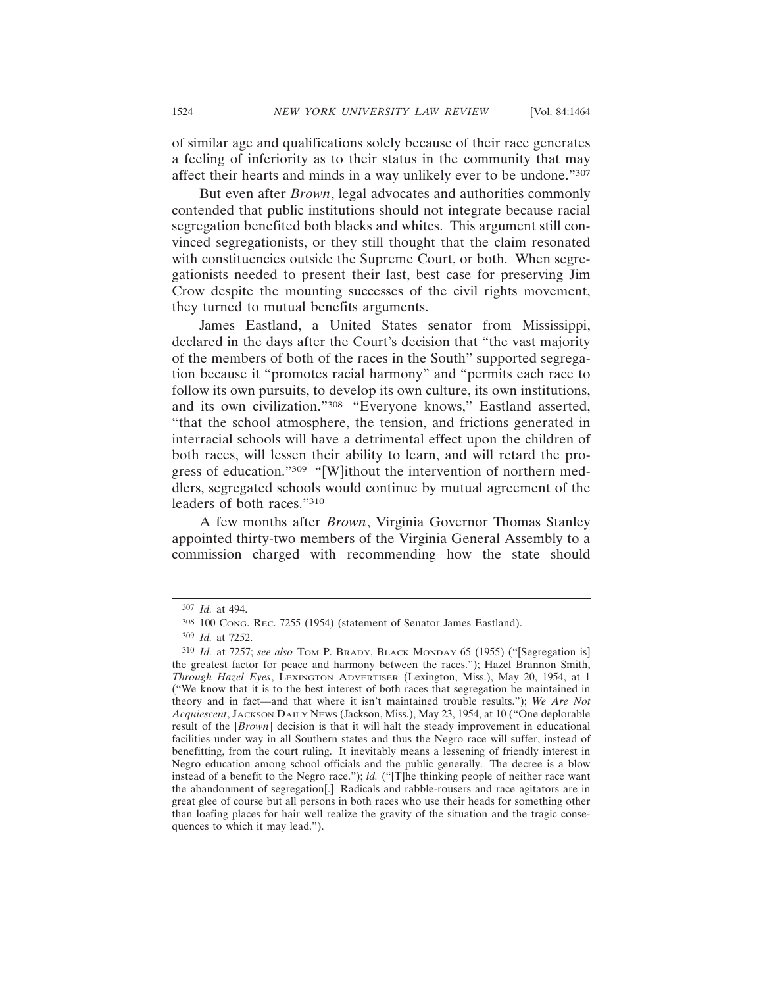of similar age and qualifications solely because of their race generates a feeling of inferiority as to their status in the community that may affect their hearts and minds in a way unlikely ever to be undone."307

But even after *Brown*, legal advocates and authorities commonly contended that public institutions should not integrate because racial segregation benefited both blacks and whites. This argument still convinced segregationists, or they still thought that the claim resonated with constituencies outside the Supreme Court, or both. When segregationists needed to present their last, best case for preserving Jim Crow despite the mounting successes of the civil rights movement, they turned to mutual benefits arguments.

James Eastland, a United States senator from Mississippi, declared in the days after the Court's decision that "the vast majority of the members of both of the races in the South" supported segregation because it "promotes racial harmony" and "permits each race to follow its own pursuits, to develop its own culture, its own institutions, and its own civilization."308 "Everyone knows," Eastland asserted, "that the school atmosphere, the tension, and frictions generated in interracial schools will have a detrimental effect upon the children of both races, will lessen their ability to learn, and will retard the progress of education."309 "[W]ithout the intervention of northern meddlers, segregated schools would continue by mutual agreement of the leaders of both races."310

A few months after *Brown*, Virginia Governor Thomas Stanley appointed thirty-two members of the Virginia General Assembly to a commission charged with recommending how the state should

<sup>307</sup> *Id.* at 494.

<sup>308</sup> 100 CONG. REC. 7255 (1954) (statement of Senator James Eastland).

<sup>309</sup> *Id.* at 7252.

<sup>310</sup> *Id.* at 7257; *see also* TOM P. BRADY, BLACK MONDAY 65 (1955) ("[Segregation is] the greatest factor for peace and harmony between the races."); Hazel Brannon Smith, *Through Hazel Eyes*, LEXINGTON ADVERTISER (Lexington, Miss.), May 20, 1954, at 1 ("We know that it is to the best interest of both races that segregation be maintained in theory and in fact—and that where it isn't maintained trouble results."); *We Are Not Acquiescent*, JACKSON DAILY NEWS (Jackson, Miss.), May 23, 1954, at 10 ("One deplorable result of the [*Brown*] decision is that it will halt the steady improvement in educational facilities under way in all Southern states and thus the Negro race will suffer, instead of benefitting, from the court ruling. It inevitably means a lessening of friendly interest in Negro education among school officials and the public generally. The decree is a blow instead of a benefit to the Negro race."); *id.* ("[T]he thinking people of neither race want the abandonment of segregation[.] Radicals and rabble-rousers and race agitators are in great glee of course but all persons in both races who use their heads for something other than loafing places for hair well realize the gravity of the situation and the tragic consequences to which it may lead.").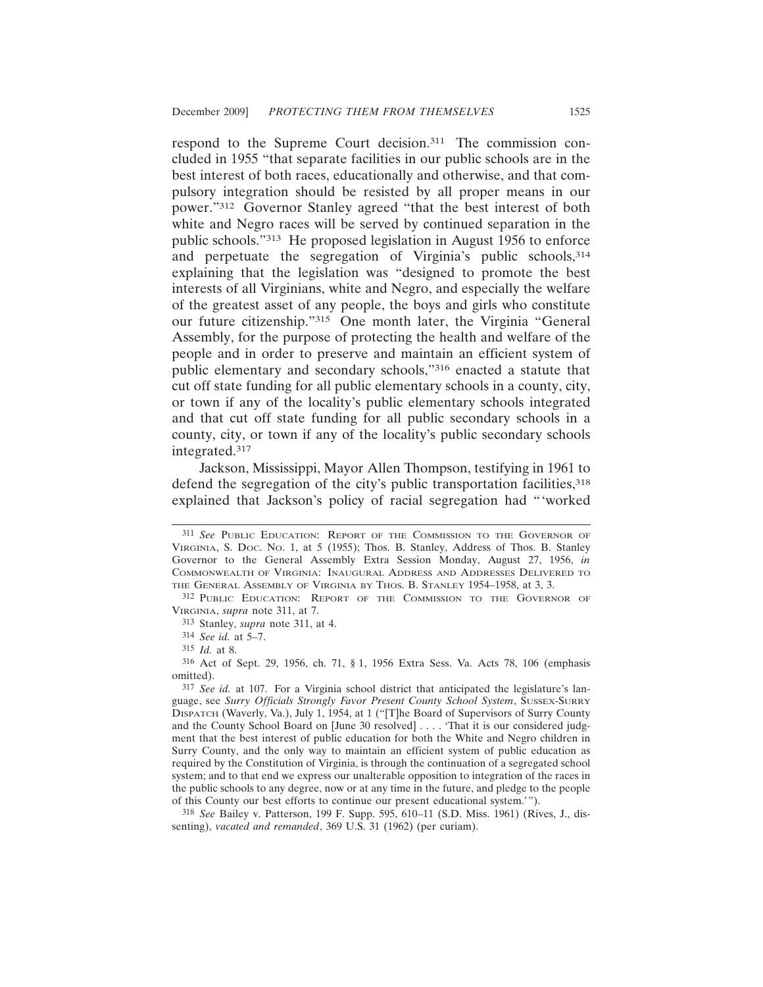respond to the Supreme Court decision.311 The commission concluded in 1955 "that separate facilities in our public schools are in the best interest of both races, educationally and otherwise, and that compulsory integration should be resisted by all proper means in our power."312 Governor Stanley agreed "that the best interest of both white and Negro races will be served by continued separation in the public schools."313 He proposed legislation in August 1956 to enforce and perpetuate the segregation of Virginia's public schools, 314 explaining that the legislation was "designed to promote the best interests of all Virginians, white and Negro, and especially the welfare of the greatest asset of any people, the boys and girls who constitute our future citizenship."315 One month later, the Virginia "General Assembly, for the purpose of protecting the health and welfare of the people and in order to preserve and maintain an efficient system of public elementary and secondary schools,"316 enacted a statute that cut off state funding for all public elementary schools in a county, city, or town if any of the locality's public elementary schools integrated and that cut off state funding for all public secondary schools in a county, city, or town if any of the locality's public secondary schools integrated.317

Jackson, Mississippi, Mayor Allen Thompson, testifying in 1961 to defend the segregation of the city's public transportation facilities, 318 explained that Jackson's policy of racial segregation had "'worked

318 *See* Bailey v. Patterson, 199 F. Supp. 595, 610–11 (S.D. Miss. 1961) (Rives, J., dissenting), *vacated and remanded*, 369 U.S. 31 (1962) (per curiam).

<sup>311</sup> *See* PUBLIC EDUCATION: REPORT OF THE COMMISSION TO THE GOVERNOR OF VIRGINIA, S. DOC. NO. 1, at 5 (1955); Thos. B. Stanley, Address of Thos. B. Stanley Governor to the General Assembly Extra Session Monday, August 27, 1956, *in* COMMONWEALTH OF VIRGINIA: INAUGURAL ADDRESS AND ADDRESSES DELIVERED TO THE GENERAL ASSEMBLY OF VIRGINIA BY THOS. B. STANLEY 1954–1958, at 3, 3.

<sup>312</sup> PUBLIC EDUCATION: REPORT OF THE COMMISSION TO THE GOVERNOR OF VIRGINIA, *supra* note 311, at 7.

<sup>313</sup> Stanley, *supra* note 311, at 4.

<sup>314</sup> *See id.* at 5–7.

<sup>315</sup> *Id.* at 8.

<sup>316</sup> Act of Sept. 29, 1956, ch. 71, § 1, 1956 Extra Sess. Va. Acts 78, 106 (emphasis omitted).

<sup>317</sup> *See id.* at 107. For a Virginia school district that anticipated the legislature's language, see *Surry Officials Strongly Favor Present County School System*, SUSSEX-SURRY DISPATCH (Waverly, Va.), July 1, 1954, at 1 ("[T]he Board of Supervisors of Surry County and the County School Board on [June 30 resolved] . . . . 'That it is our considered judgment that the best interest of public education for both the White and Negro children in Surry County, and the only way to maintain an efficient system of public education as required by the Constitution of Virginia, is through the continuation of a segregated school system; and to that end we express our unalterable opposition to integration of the races in the public schools to any degree, now or at any time in the future, and pledge to the people of this County our best efforts to continue our present educational system.'").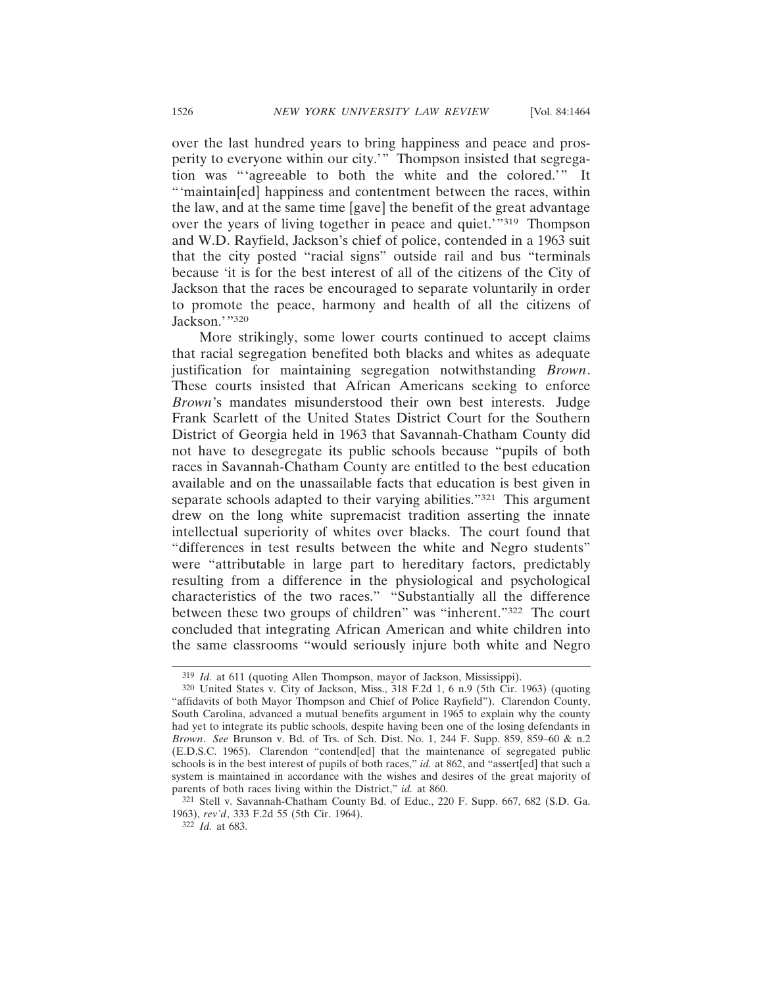over the last hundred years to bring happiness and peace and prosperity to everyone within our city.'" Thompson insisted that segregation was "'agreeable to both the white and the colored.'" It "'maintain[ed] happiness and contentment between the races, within the law, and at the same time [gave] the benefit of the great advantage over the years of living together in peace and quiet.'"<sup>319</sup> Thompson and W.D. Rayfield, Jackson's chief of police, contended in a 1963 suit that the city posted "racial signs" outside rail and bus "terminals because 'it is for the best interest of all of the citizens of the City of Jackson that the races be encouraged to separate voluntarily in order to promote the peace, harmony and health of all the citizens of Jackson.'"320

More strikingly, some lower courts continued to accept claims that racial segregation benefited both blacks and whites as adequate justification for maintaining segregation notwithstanding *Brown*. These courts insisted that African Americans seeking to enforce *Brown*'s mandates misunderstood their own best interests. Judge Frank Scarlett of the United States District Court for the Southern District of Georgia held in 1963 that Savannah-Chatham County did not have to desegregate its public schools because "pupils of both races in Savannah-Chatham County are entitled to the best education available and on the unassailable facts that education is best given in separate schools adapted to their varying abilities."321 This argument drew on the long white supremacist tradition asserting the innate intellectual superiority of whites over blacks. The court found that "differences in test results between the white and Negro students" were "attributable in large part to hereditary factors, predictably resulting from a difference in the physiological and psychological characteristics of the two races." "Substantially all the difference between these two groups of children" was "inherent."322 The court concluded that integrating African American and white children into the same classrooms "would seriously injure both white and Negro

<sup>319</sup> *Id.* at 611 (quoting Allen Thompson, mayor of Jackson, Mississippi).

<sup>320</sup> United States v. City of Jackson, Miss., 318 F.2d 1, 6 n.9 (5th Cir. 1963) (quoting "affidavits of both Mayor Thompson and Chief of Police Rayfield"). Clarendon County, South Carolina, advanced a mutual benefits argument in 1965 to explain why the county had yet to integrate its public schools, despite having been one of the losing defendants in *Brown*. *See* Brunson v. Bd. of Trs. of Sch. Dist. No. 1, 244 F. Supp. 859, 859–60 & n.2 (E.D.S.C. 1965). Clarendon "contend[ed] that the maintenance of segregated public schools is in the best interest of pupils of both races," *id.* at 862, and "assert[ed] that such a system is maintained in accordance with the wishes and desires of the great majority of parents of both races living within the District," *id.* at 860.

<sup>321</sup> Stell v. Savannah-Chatham County Bd. of Educ., 220 F. Supp. 667, 682 (S.D. Ga. 1963), *rev'd*, 333 F.2d 55 (5th Cir. 1964).

<sup>322</sup> *Id.* at 683.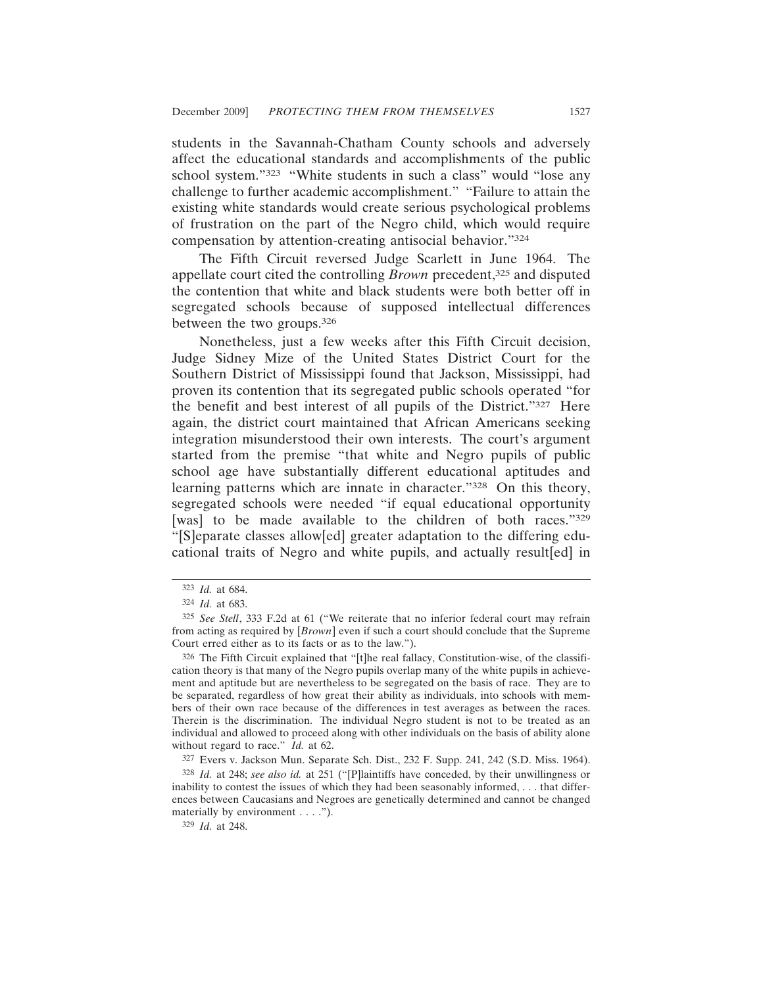students in the Savannah-Chatham County schools and adversely affect the educational standards and accomplishments of the public school system."<sup>323</sup> "White students in such a class" would "lose any challenge to further academic accomplishment." "Failure to attain the existing white standards would create serious psychological problems of frustration on the part of the Negro child, which would require compensation by attention-creating antisocial behavior."324

The Fifth Circuit reversed Judge Scarlett in June 1964. The appellate court cited the controlling *Brown* precedent,<sup>325</sup> and disputed the contention that white and black students were both better off in segregated schools because of supposed intellectual differences between the two groups.326

Nonetheless, just a few weeks after this Fifth Circuit decision, Judge Sidney Mize of the United States District Court for the Southern District of Mississippi found that Jackson, Mississippi, had proven its contention that its segregated public schools operated "for the benefit and best interest of all pupils of the District."327 Here again, the district court maintained that African Americans seeking integration misunderstood their own interests. The court's argument started from the premise "that white and Negro pupils of public school age have substantially different educational aptitudes and learning patterns which are innate in character."<sup>328</sup> On this theory, segregated schools were needed "if equal educational opportunity [was] to be made available to the children of both races."329 "[S]eparate classes allow[ed] greater adaptation to the differing educational traits of Negro and white pupils, and actually result[ed] in

327 Evers v. Jackson Mun. Separate Sch. Dist., 232 F. Supp. 241, 242 (S.D. Miss. 1964).

<sup>323</sup> *Id.* at 684.

<sup>324</sup> *Id.* at 683.

<sup>325</sup> *See Stell*, 333 F.2d at 61 ("We reiterate that no inferior federal court may refrain from acting as required by [*Brown*] even if such a court should conclude that the Supreme Court erred either as to its facts or as to the law.").

<sup>326</sup> The Fifth Circuit explained that "[t]he real fallacy, Constitution-wise, of the classification theory is that many of the Negro pupils overlap many of the white pupils in achievement and aptitude but are nevertheless to be segregated on the basis of race. They are to be separated, regardless of how great their ability as individuals, into schools with members of their own race because of the differences in test averages as between the races. Therein is the discrimination. The individual Negro student is not to be treated as an individual and allowed to proceed along with other individuals on the basis of ability alone without regard to race." *Id.* at 62.

<sup>328</sup> *Id.* at 248; *see also id.* at 251 ("[P]laintiffs have conceded, by their unwillingness or inability to contest the issues of which they had been seasonably informed, . . . that differences between Caucasians and Negroes are genetically determined and cannot be changed materially by environment . . . .").

<sup>329</sup> *Id.* at 248.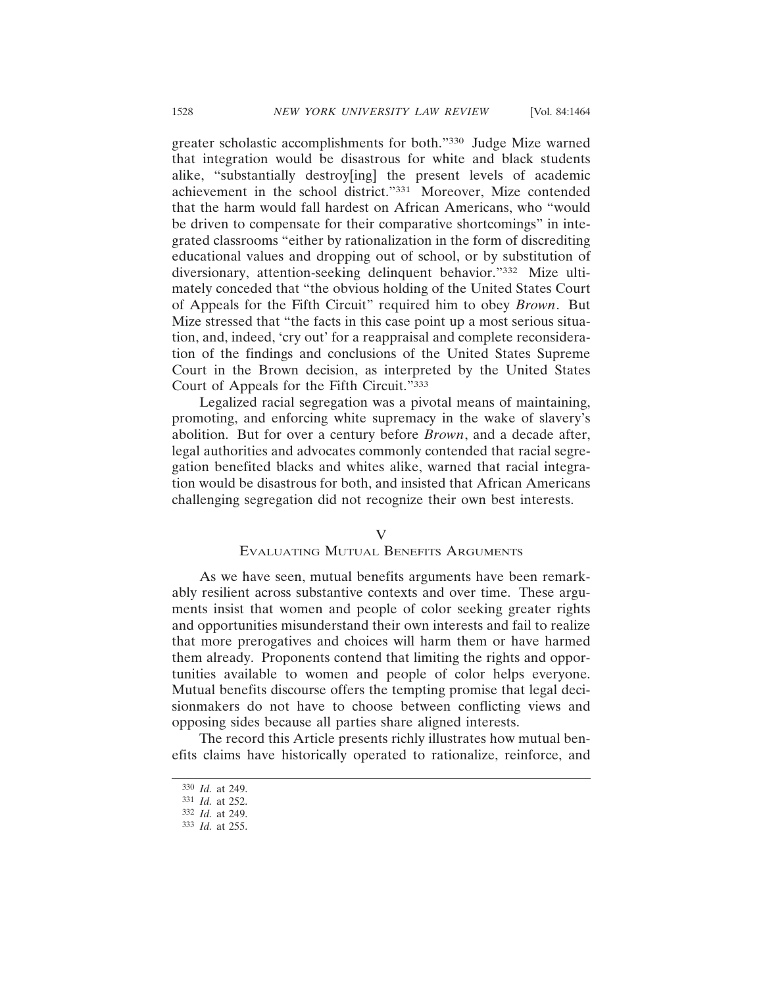greater scholastic accomplishments for both."330 Judge Mize warned that integration would be disastrous for white and black students alike, "substantially destroy[ing] the present levels of academic achievement in the school district."331 Moreover, Mize contended that the harm would fall hardest on African Americans, who "would be driven to compensate for their comparative shortcomings" in integrated classrooms "either by rationalization in the form of discrediting educational values and dropping out of school, or by substitution of diversionary, attention-seeking delinquent behavior."332 Mize ultimately conceded that "the obvious holding of the United States Court of Appeals for the Fifth Circuit" required him to obey *Brown*. But Mize stressed that "the facts in this case point up a most serious situation, and, indeed, 'cry out' for a reappraisal and complete reconsideration of the findings and conclusions of the United States Supreme Court in the Brown decision, as interpreted by the United States Court of Appeals for the Fifth Circuit."333

Legalized racial segregation was a pivotal means of maintaining, promoting, and enforcing white supremacy in the wake of slavery's abolition. But for over a century before *Brown*, and a decade after, legal authorities and advocates commonly contended that racial segregation benefited blacks and whites alike, warned that racial integration would be disastrous for both, and insisted that African Americans challenging segregation did not recognize their own best interests.

## V

#### EVALUATING MUTUAL BENEFITS ARGUMENTS

As we have seen, mutual benefits arguments have been remarkably resilient across substantive contexts and over time. These arguments insist that women and people of color seeking greater rights and opportunities misunderstand their own interests and fail to realize that more prerogatives and choices will harm them or have harmed them already. Proponents contend that limiting the rights and opportunities available to women and people of color helps everyone. Mutual benefits discourse offers the tempting promise that legal decisionmakers do not have to choose between conflicting views and opposing sides because all parties share aligned interests.

The record this Article presents richly illustrates how mutual benefits claims have historically operated to rationalize, reinforce, and

<sup>330</sup> *Id.* at 249.

<sup>331</sup> *Id.* at 252.

<sup>332</sup> *Id.* at 249.

<sup>333</sup> *Id.* at 255.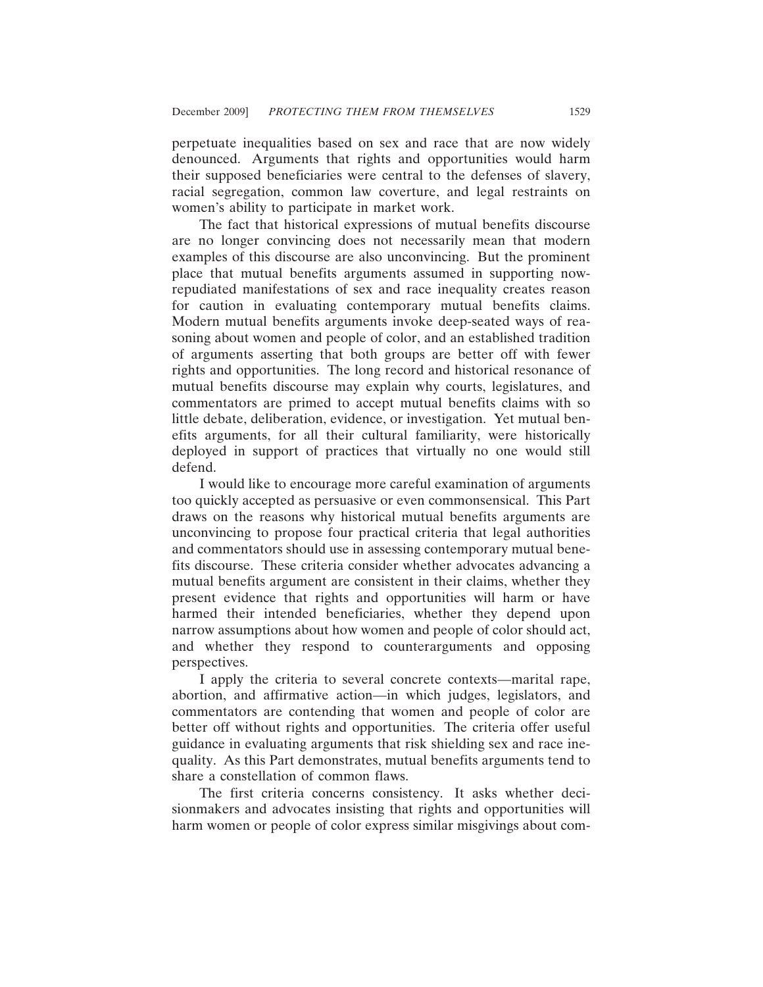perpetuate inequalities based on sex and race that are now widely denounced. Arguments that rights and opportunities would harm their supposed beneficiaries were central to the defenses of slavery, racial segregation, common law coverture, and legal restraints on women's ability to participate in market work.

The fact that historical expressions of mutual benefits discourse are no longer convincing does not necessarily mean that modern examples of this discourse are also unconvincing. But the prominent place that mutual benefits arguments assumed in supporting nowrepudiated manifestations of sex and race inequality creates reason for caution in evaluating contemporary mutual benefits claims. Modern mutual benefits arguments invoke deep-seated ways of reasoning about women and people of color, and an established tradition of arguments asserting that both groups are better off with fewer rights and opportunities. The long record and historical resonance of mutual benefits discourse may explain why courts, legislatures, and commentators are primed to accept mutual benefits claims with so little debate, deliberation, evidence, or investigation. Yet mutual benefits arguments, for all their cultural familiarity, were historically deployed in support of practices that virtually no one would still defend.

I would like to encourage more careful examination of arguments too quickly accepted as persuasive or even commonsensical. This Part draws on the reasons why historical mutual benefits arguments are unconvincing to propose four practical criteria that legal authorities and commentators should use in assessing contemporary mutual benefits discourse. These criteria consider whether advocates advancing a mutual benefits argument are consistent in their claims, whether they present evidence that rights and opportunities will harm or have harmed their intended beneficiaries, whether they depend upon narrow assumptions about how women and people of color should act, and whether they respond to counterarguments and opposing perspectives.

I apply the criteria to several concrete contexts—marital rape, abortion, and affirmative action—in which judges, legislators, and commentators are contending that women and people of color are better off without rights and opportunities. The criteria offer useful guidance in evaluating arguments that risk shielding sex and race inequality. As this Part demonstrates, mutual benefits arguments tend to share a constellation of common flaws.

The first criteria concerns consistency. It asks whether decisionmakers and advocates insisting that rights and opportunities will harm women or people of color express similar misgivings about com-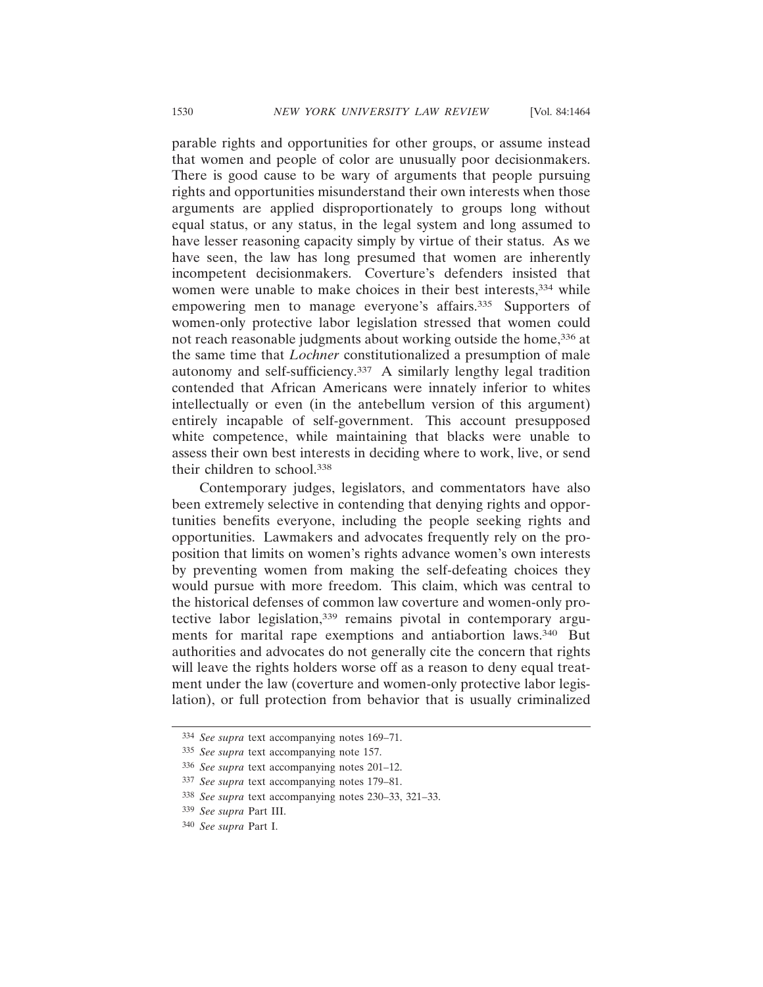parable rights and opportunities for other groups, or assume instead that women and people of color are unusually poor decisionmakers. There is good cause to be wary of arguments that people pursuing rights and opportunities misunderstand their own interests when those arguments are applied disproportionately to groups long without equal status, or any status, in the legal system and long assumed to have lesser reasoning capacity simply by virtue of their status. As we have seen, the law has long presumed that women are inherently incompetent decisionmakers. Coverture's defenders insisted that women were unable to make choices in their best interests,<sup>334</sup> while empowering men to manage everyone's affairs.<sup>335</sup> Supporters of women-only protective labor legislation stressed that women could not reach reasonable judgments about working outside the home,<sup>336</sup> at the same time that *Lochner* constitutionalized a presumption of male autonomy and self-sufficiency.337 A similarly lengthy legal tradition contended that African Americans were innately inferior to whites intellectually or even (in the antebellum version of this argument) entirely incapable of self-government. This account presupposed white competence, while maintaining that blacks were unable to assess their own best interests in deciding where to work, live, or send their children to school.338

Contemporary judges, legislators, and commentators have also been extremely selective in contending that denying rights and opportunities benefits everyone, including the people seeking rights and opportunities. Lawmakers and advocates frequently rely on the proposition that limits on women's rights advance women's own interests by preventing women from making the self-defeating choices they would pursue with more freedom. This claim, which was central to the historical defenses of common law coverture and women-only protective labor legislation,339 remains pivotal in contemporary arguments for marital rape exemptions and antiabortion laws.340 But authorities and advocates do not generally cite the concern that rights will leave the rights holders worse off as a reason to deny equal treatment under the law (coverture and women-only protective labor legislation), or full protection from behavior that is usually criminalized

<sup>334</sup> *See supra* text accompanying notes 169–71.

<sup>335</sup> *See supra* text accompanying note 157.

<sup>336</sup> *See supra* text accompanying notes 201–12.

<sup>337</sup> *See supra* text accompanying notes 179–81.

<sup>338</sup> *See supra* text accompanying notes 230–33, 321–33.

<sup>339</sup> *See supra* Part III.

<sup>340</sup> *See supra* Part I.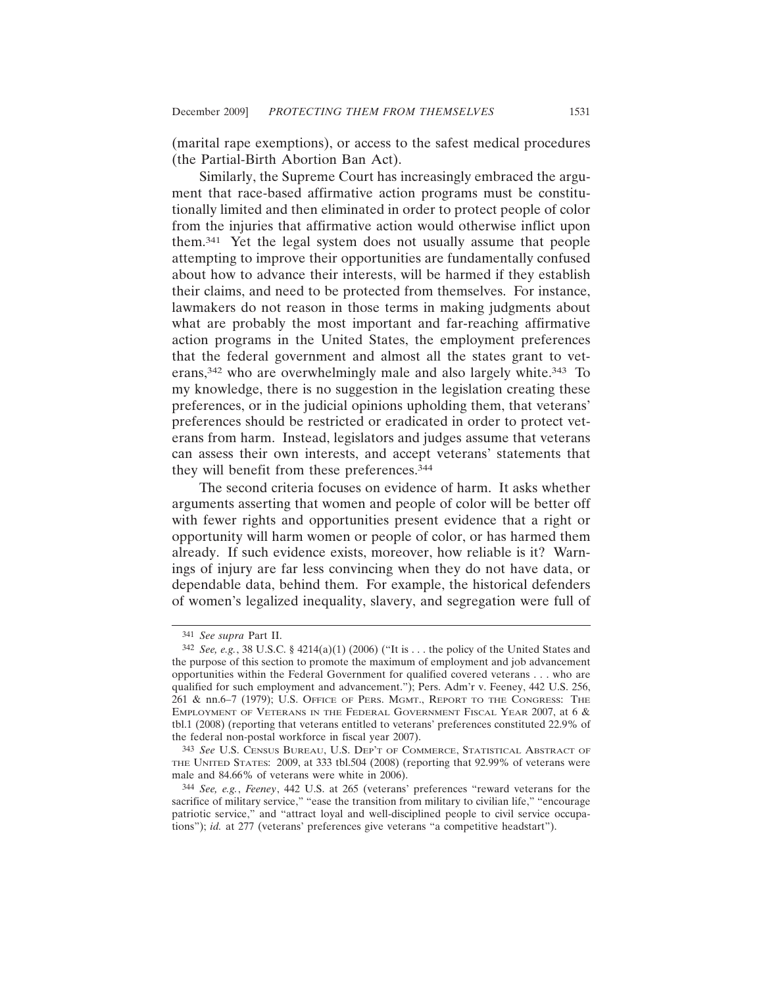(marital rape exemptions), or access to the safest medical procedures (the Partial-Birth Abortion Ban Act).

Similarly, the Supreme Court has increasingly embraced the argument that race-based affirmative action programs must be constitutionally limited and then eliminated in order to protect people of color from the injuries that affirmative action would otherwise inflict upon them.341 Yet the legal system does not usually assume that people attempting to improve their opportunities are fundamentally confused about how to advance their interests, will be harmed if they establish their claims, and need to be protected from themselves. For instance, lawmakers do not reason in those terms in making judgments about what are probably the most important and far-reaching affirmative action programs in the United States, the employment preferences that the federal government and almost all the states grant to veterans,342 who are overwhelmingly male and also largely white.343 To my knowledge, there is no suggestion in the legislation creating these preferences, or in the judicial opinions upholding them, that veterans' preferences should be restricted or eradicated in order to protect veterans from harm. Instead, legislators and judges assume that veterans can assess their own interests, and accept veterans' statements that they will benefit from these preferences.344

The second criteria focuses on evidence of harm. It asks whether arguments asserting that women and people of color will be better off with fewer rights and opportunities present evidence that a right or opportunity will harm women or people of color, or has harmed them already. If such evidence exists, moreover, how reliable is it? Warnings of injury are far less convincing when they do not have data, or dependable data, behind them. For example, the historical defenders of women's legalized inequality, slavery, and segregation were full of

<sup>341</sup> *See supra* Part II.

<sup>342</sup> *See, e.g.*, 38 U.S.C. § 4214(a)(1) (2006) ("It is . . . the policy of the United States and the purpose of this section to promote the maximum of employment and job advancement opportunities within the Federal Government for qualified covered veterans . . . who are qualified for such employment and advancement."); Pers. Adm'r v. Feeney, 442 U.S. 256, 261 & nn.6–7 (1979); U.S. OFFICE OF PERS. MGMT., REPORT TO THE CONGRESS: THE EMPLOYMENT OF VETERANS IN THE FEDERAL GOVERNMENT FISCAL YEAR 2007, at 6 & tbl.1 (2008) (reporting that veterans entitled to veterans' preferences constituted 22.9% of the federal non-postal workforce in fiscal year 2007).

<sup>343</sup> *See* U.S. CENSUS BUREAU, U.S. DEP'T OF COMMERCE, STATISTICAL ABSTRACT OF THE UNITED STATES: 2009, at 333 tbl.504 (2008) (reporting that 92.99% of veterans were male and 84.66% of veterans were white in 2006).

<sup>344</sup> *See, e.g.*, *Feeney*, 442 U.S. at 265 (veterans' preferences "reward veterans for the sacrifice of military service," "ease the transition from military to civilian life," "encourage patriotic service," and "attract loyal and well-disciplined people to civil service occupations"); *id.* at 277 (veterans' preferences give veterans "a competitive headstart").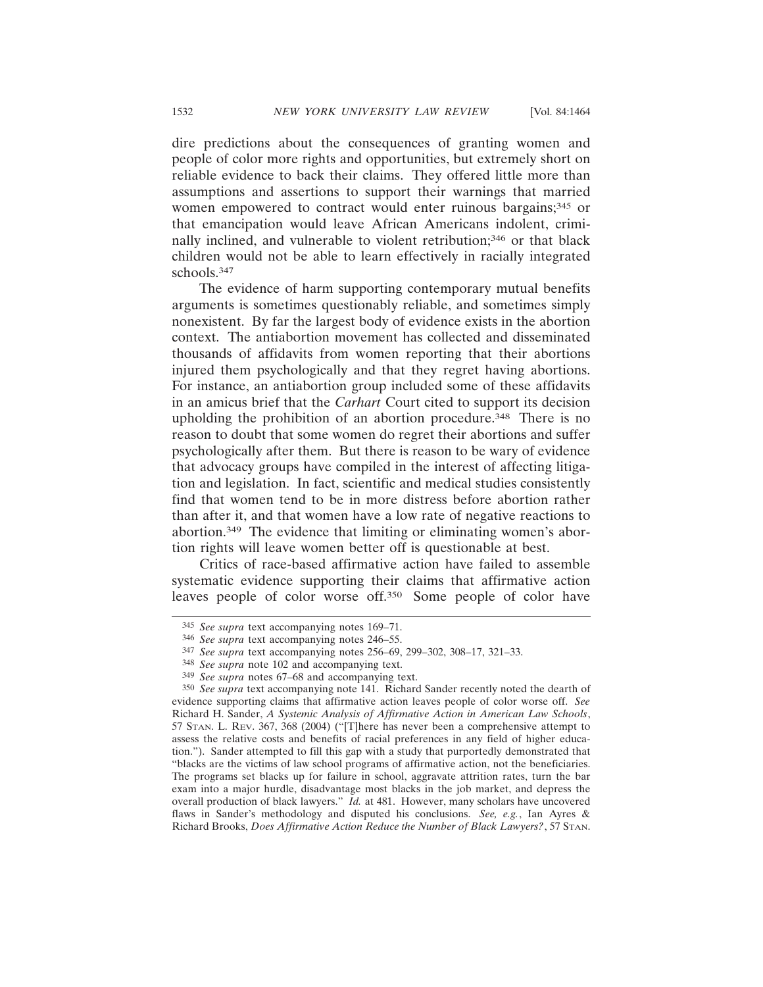dire predictions about the consequences of granting women and people of color more rights and opportunities, but extremely short on reliable evidence to back their claims. They offered little more than assumptions and assertions to support their warnings that married women empowered to contract would enter ruinous bargains;<sup>345</sup> or that emancipation would leave African Americans indolent, criminally inclined, and vulnerable to violent retribution;<sup>346</sup> or that black children would not be able to learn effectively in racially integrated schools.347

The evidence of harm supporting contemporary mutual benefits arguments is sometimes questionably reliable, and sometimes simply nonexistent. By far the largest body of evidence exists in the abortion context. The antiabortion movement has collected and disseminated thousands of affidavits from women reporting that their abortions injured them psychologically and that they regret having abortions. For instance, an antiabortion group included some of these affidavits in an amicus brief that the *Carhart* Court cited to support its decision upholding the prohibition of an abortion procedure.348 There is no reason to doubt that some women do regret their abortions and suffer psychologically after them. But there is reason to be wary of evidence that advocacy groups have compiled in the interest of affecting litigation and legislation. In fact, scientific and medical studies consistently find that women tend to be in more distress before abortion rather than after it, and that women have a low rate of negative reactions to abortion.349 The evidence that limiting or eliminating women's abortion rights will leave women better off is questionable at best.

Critics of race-based affirmative action have failed to assemble systematic evidence supporting their claims that affirmative action leaves people of color worse off.350 Some people of color have

<sup>345</sup> *See supra* text accompanying notes 169–71.

<sup>346</sup> *See supra* text accompanying notes 246–55.

<sup>347</sup> *See supra* text accompanying notes 256–69, 299–302, 308–17, 321–33.

<sup>348</sup> *See supra* note 102 and accompanying text.

<sup>349</sup> *See supra* notes 67–68 and accompanying text.

<sup>350</sup> *See supra* text accompanying note 141. Richard Sander recently noted the dearth of evidence supporting claims that affirmative action leaves people of color worse off. *See* Richard H. Sander, *A Systemic Analysis of Affirmative Action in American Law Schools*, 57 STAN. L. REV. 367, 368 (2004) ("[T]here has never been a comprehensive attempt to assess the relative costs and benefits of racial preferences in any field of higher education."). Sander attempted to fill this gap with a study that purportedly demonstrated that "blacks are the victims of law school programs of affirmative action, not the beneficiaries. The programs set blacks up for failure in school, aggravate attrition rates, turn the bar exam into a major hurdle, disadvantage most blacks in the job market, and depress the overall production of black lawyers." *Id.* at 481. However, many scholars have uncovered flaws in Sander's methodology and disputed his conclusions. *See, e.g.*, Ian Ayres & Richard Brooks, *Does Affirmative Action Reduce the Number of Black Lawyers?*, 57 STAN.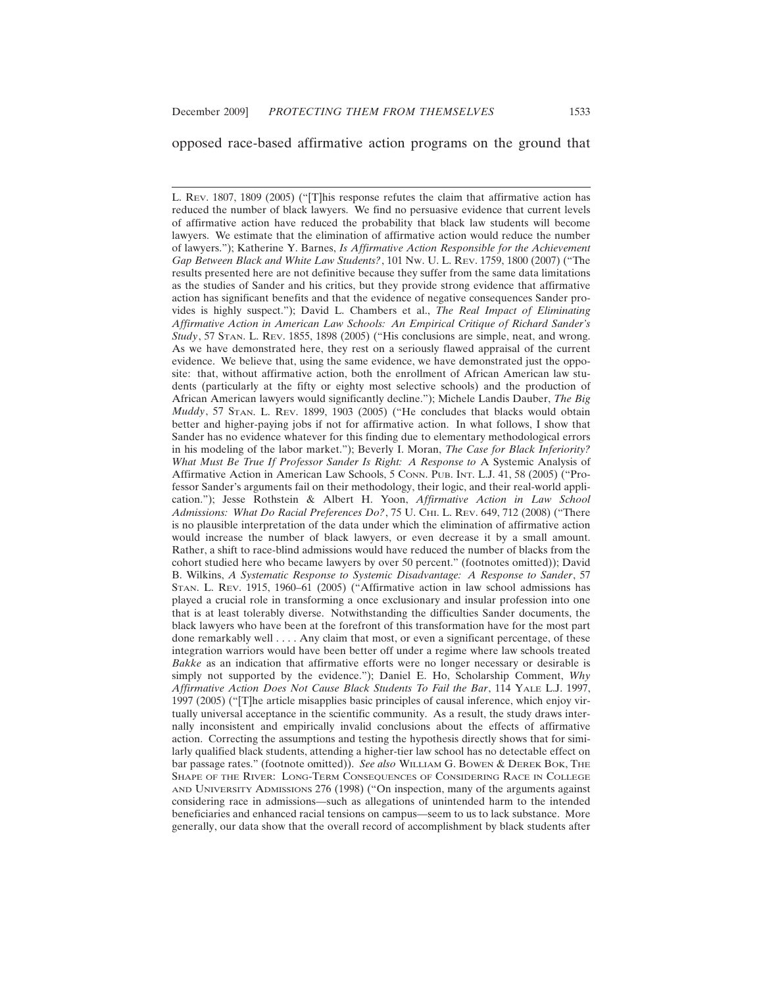#### opposed race-based affirmative action programs on the ground that

L. REV. 1807, 1809 (2005) ("[T]his response refutes the claim that affirmative action has reduced the number of black lawyers. We find no persuasive evidence that current levels of affirmative action have reduced the probability that black law students will become lawyers. We estimate that the elimination of affirmative action would reduce the number of lawyers."); Katherine Y. Barnes, *Is Affirmative Action Responsible for the Achievement Gap Between Black and White Law Students?*, 101 NW. U. L. REV. 1759, 1800 (2007) ("The results presented here are not definitive because they suffer from the same data limitations as the studies of Sander and his critics, but they provide strong evidence that affirmative action has significant benefits and that the evidence of negative consequences Sander provides is highly suspect."); David L. Chambers et al., *The Real Impact of Eliminating Affirmative Action in American Law Schools: An Empirical Critique of Richard Sander's Study*, 57 STAN. L. REV. 1855, 1898 (2005) ("His conclusions are simple, neat, and wrong. As we have demonstrated here, they rest on a seriously flawed appraisal of the current evidence. We believe that, using the same evidence, we have demonstrated just the opposite: that, without affirmative action, both the enrollment of African American law students (particularly at the fifty or eighty most selective schools) and the production of African American lawyers would significantly decline."); Michele Landis Dauber, *The Big Muddy*, 57 STAN. L. REV. 1899, 1903 (2005) ("He concludes that blacks would obtain better and higher-paying jobs if not for affirmative action. In what follows, I show that Sander has no evidence whatever for this finding due to elementary methodological errors in his modeling of the labor market."); Beverly I. Moran, *The Case for Black Inferiority? What Must Be True If Professor Sander Is Right: A Response to* A Systemic Analysis of Affirmative Action in American Law Schools, 5 CONN. PUB. INT. L.J. 41, 58 (2005) ("Professor Sander's arguments fail on their methodology, their logic, and their real-world application."); Jesse Rothstein & Albert H. Yoon, *Affirmative Action in Law School* Admissions: What Do Racial Preferences Do?, 75 U. CHI. L. REV. 649, 712 (2008) ("There is no plausible interpretation of the data under which the elimination of affirmative action would increase the number of black lawyers, or even decrease it by a small amount. Rather, a shift to race-blind admissions would have reduced the number of blacks from the cohort studied here who became lawyers by over 50 percent." (footnotes omitted)); David B. Wilkins, *A Systematic Response to Systemic Disadvantage: A Response to Sander*, 57 STAN. L. REV. 1915, 1960–61 (2005) ("Affirmative action in law school admissions has played a crucial role in transforming a once exclusionary and insular profession into one that is at least tolerably diverse. Notwithstanding the difficulties Sander documents, the black lawyers who have been at the forefront of this transformation have for the most part done remarkably well . . . . Any claim that most, or even a significant percentage, of these integration warriors would have been better off under a regime where law schools treated *Bakke* as an indication that affirmative efforts were no longer necessary or desirable is simply not supported by the evidence."); Daniel E. Ho, Scholarship Comment, *Why Affirmative Action Does Not Cause Black Students To Fail the Bar*, 114 YALE L.J. 1997, 1997 (2005) ("[T]he article misapplies basic principles of causal inference, which enjoy virtually universal acceptance in the scientific community. As a result, the study draws internally inconsistent and empirically invalid conclusions about the effects of affirmative action. Correcting the assumptions and testing the hypothesis directly shows that for similarly qualified black students, attending a higher-tier law school has no detectable effect on bar passage rates." (footnote omitted)). *See also* WILLIAM G. BOWEN & DEREK BOK, THE SHAPE OF THE RIVER: LONG-TERM CONSEQUENCES OF CONSIDERING RACE IN COLLEGE AND UNIVERSITY ADMISSIONS 276 (1998) ("On inspection, many of the arguments against considering race in admissions—such as allegations of unintended harm to the intended beneficiaries and enhanced racial tensions on campus—seem to us to lack substance. More generally, our data show that the overall record of accomplishment by black students after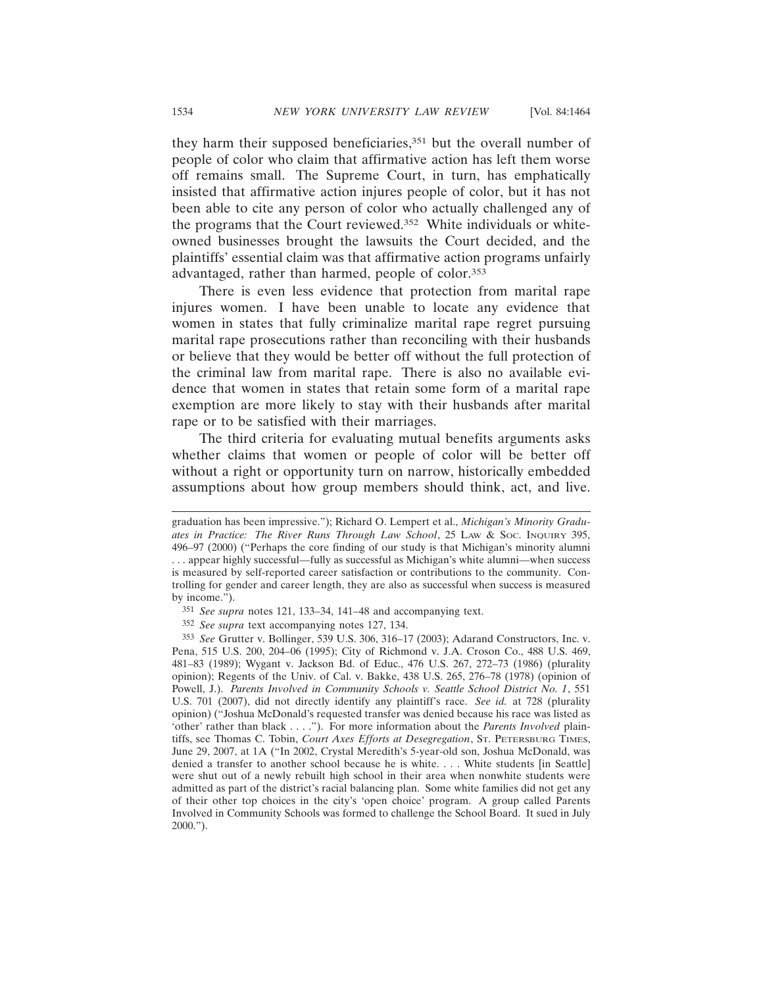they harm their supposed beneficiaries,351 but the overall number of people of color who claim that affirmative action has left them worse off remains small. The Supreme Court, in turn, has emphatically insisted that affirmative action injures people of color, but it has not been able to cite any person of color who actually challenged any of the programs that the Court reviewed.352 White individuals or whiteowned businesses brought the lawsuits the Court decided, and the plaintiffs' essential claim was that affirmative action programs unfairly advantaged, rather than harmed, people of color.353

There is even less evidence that protection from marital rape injures women. I have been unable to locate any evidence that women in states that fully criminalize marital rape regret pursuing marital rape prosecutions rather than reconciling with their husbands or believe that they would be better off without the full protection of the criminal law from marital rape. There is also no available evidence that women in states that retain some form of a marital rape exemption are more likely to stay with their husbands after marital rape or to be satisfied with their marriages.

The third criteria for evaluating mutual benefits arguments asks whether claims that women or people of color will be better off without a right or opportunity turn on narrow, historically embedded assumptions about how group members should think, act, and live.

graduation has been impressive."); Richard O. Lempert et al., *Michigan's Minority Graduates in Practice: The River Runs Through Law School*, 25 LAW & SOC. INQUIRY 395, 496–97 (2000) ("Perhaps the core finding of our study is that Michigan's minority alumni . . . appear highly successful—fully as successful as Michigan's white alumni—when success is measured by self-reported career satisfaction or contributions to the community. Controlling for gender and career length, they are also as successful when success is measured by income.").

<sup>351</sup> *See supra* notes 121, 133–34, 141–48 and accompanying text.

<sup>352</sup> *See supra* text accompanying notes 127, 134.

<sup>353</sup> *See* Grutter v. Bollinger, 539 U.S. 306, 316–17 (2003); Adarand Constructors, Inc. v. Pena, 515 U.S. 200, 204–06 (1995); City of Richmond v. J.A. Croson Co., 488 U.S. 469, 481–83 (1989); Wygant v. Jackson Bd. of Educ., 476 U.S. 267, 272–73 (1986) (plurality opinion); Regents of the Univ. of Cal. v. Bakke, 438 U.S. 265, 276–78 (1978) (opinion of Powell, J.). *Parents Involved in Community Schools v. Seattle School District No. 1*, 551 U.S. 701 (2007), did not directly identify any plaintiff's race. *See id.* at 728 (plurality opinion) ("Joshua McDonald's requested transfer was denied because his race was listed as 'other' rather than black . . . ."). For more information about the *Parents Involved* plaintiffs, see Thomas C. Tobin, *Court Axes Efforts at Desegregation*, ST. PETERSBURG TIMES, June 29, 2007, at 1A ("In 2002, Crystal Meredith's 5-year-old son, Joshua McDonald, was denied a transfer to another school because he is white. . . . White students [in Seattle] were shut out of a newly rebuilt high school in their area when nonwhite students were admitted as part of the district's racial balancing plan. Some white families did not get any of their other top choices in the city's 'open choice' program. A group called Parents Involved in Community Schools was formed to challenge the School Board. It sued in July 2000.").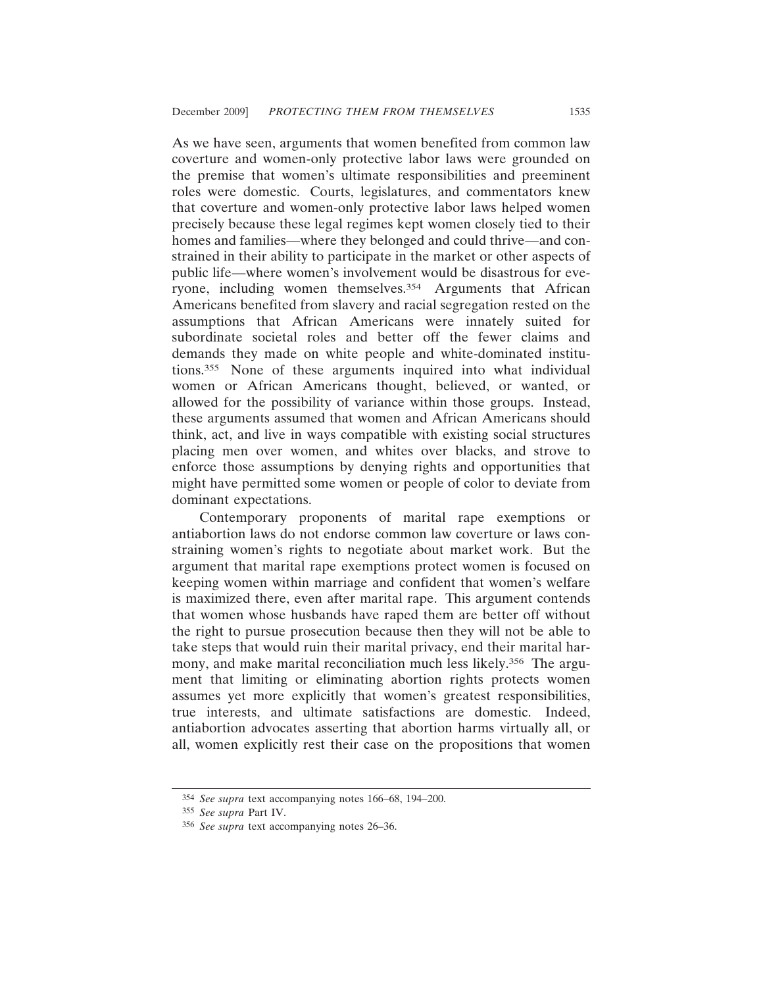As we have seen, arguments that women benefited from common law coverture and women-only protective labor laws were grounded on the premise that women's ultimate responsibilities and preeminent roles were domestic. Courts, legislatures, and commentators knew that coverture and women-only protective labor laws helped women precisely because these legal regimes kept women closely tied to their homes and families—where they belonged and could thrive—and constrained in their ability to participate in the market or other aspects of public life—where women's involvement would be disastrous for everyone, including women themselves.354 Arguments that African Americans benefited from slavery and racial segregation rested on the assumptions that African Americans were innately suited for subordinate societal roles and better off the fewer claims and demands they made on white people and white-dominated institutions.355 None of these arguments inquired into what individual women or African Americans thought, believed, or wanted, or allowed for the possibility of variance within those groups. Instead, these arguments assumed that women and African Americans should think, act, and live in ways compatible with existing social structures placing men over women, and whites over blacks, and strove to enforce those assumptions by denying rights and opportunities that might have permitted some women or people of color to deviate from dominant expectations.

Contemporary proponents of marital rape exemptions or antiabortion laws do not endorse common law coverture or laws constraining women's rights to negotiate about market work. But the argument that marital rape exemptions protect women is focused on keeping women within marriage and confident that women's welfare is maximized there, even after marital rape. This argument contends that women whose husbands have raped them are better off without the right to pursue prosecution because then they will not be able to take steps that would ruin their marital privacy, end their marital harmony, and make marital reconciliation much less likely.356 The argument that limiting or eliminating abortion rights protects women assumes yet more explicitly that women's greatest responsibilities, true interests, and ultimate satisfactions are domestic. Indeed, antiabortion advocates asserting that abortion harms virtually all, or all, women explicitly rest their case on the propositions that women

<sup>354</sup> *See supra* text accompanying notes 166–68, 194–200.

<sup>355</sup> *See supra* Part IV.

<sup>356</sup> *See supra* text accompanying notes 26–36.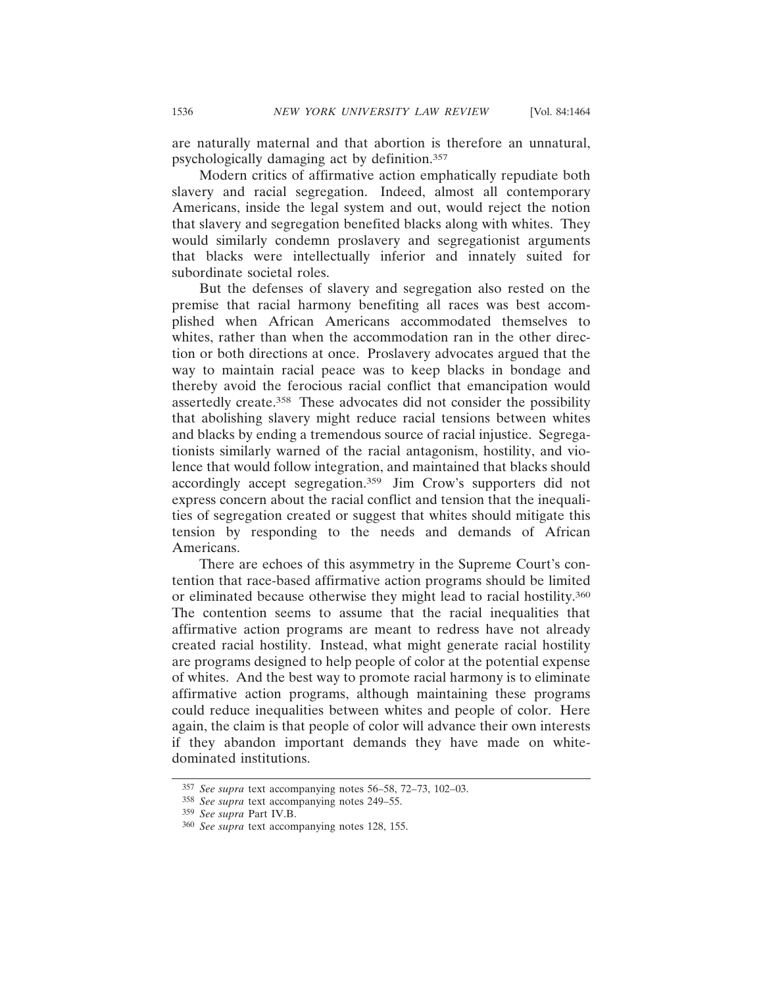are naturally maternal and that abortion is therefore an unnatural, psychologically damaging act by definition.357

Modern critics of affirmative action emphatically repudiate both slavery and racial segregation. Indeed, almost all contemporary Americans, inside the legal system and out, would reject the notion that slavery and segregation benefited blacks along with whites. They would similarly condemn proslavery and segregationist arguments that blacks were intellectually inferior and innately suited for subordinate societal roles.

But the defenses of slavery and segregation also rested on the premise that racial harmony benefiting all races was best accomplished when African Americans accommodated themselves to whites, rather than when the accommodation ran in the other direction or both directions at once. Proslavery advocates argued that the way to maintain racial peace was to keep blacks in bondage and thereby avoid the ferocious racial conflict that emancipation would assertedly create.358 These advocates did not consider the possibility that abolishing slavery might reduce racial tensions between whites and blacks by ending a tremendous source of racial injustice. Segregationists similarly warned of the racial antagonism, hostility, and violence that would follow integration, and maintained that blacks should accordingly accept segregation.359 Jim Crow's supporters did not express concern about the racial conflict and tension that the inequalities of segregation created or suggest that whites should mitigate this tension by responding to the needs and demands of African Americans.

There are echoes of this asymmetry in the Supreme Court's contention that race-based affirmative action programs should be limited or eliminated because otherwise they might lead to racial hostility.360 The contention seems to assume that the racial inequalities that affirmative action programs are meant to redress have not already created racial hostility. Instead, what might generate racial hostility are programs designed to help people of color at the potential expense of whites. And the best way to promote racial harmony is to eliminate affirmative action programs, although maintaining these programs could reduce inequalities between whites and people of color. Here again, the claim is that people of color will advance their own interests if they abandon important demands they have made on whitedominated institutions.

<sup>357</sup> *See supra* text accompanying notes 56–58, 72–73, 102–03.

<sup>358</sup> *See supra* text accompanying notes 249–55.

<sup>359</sup> *See supra* Part IV.B.

<sup>360</sup> *See supra* text accompanying notes 128, 155.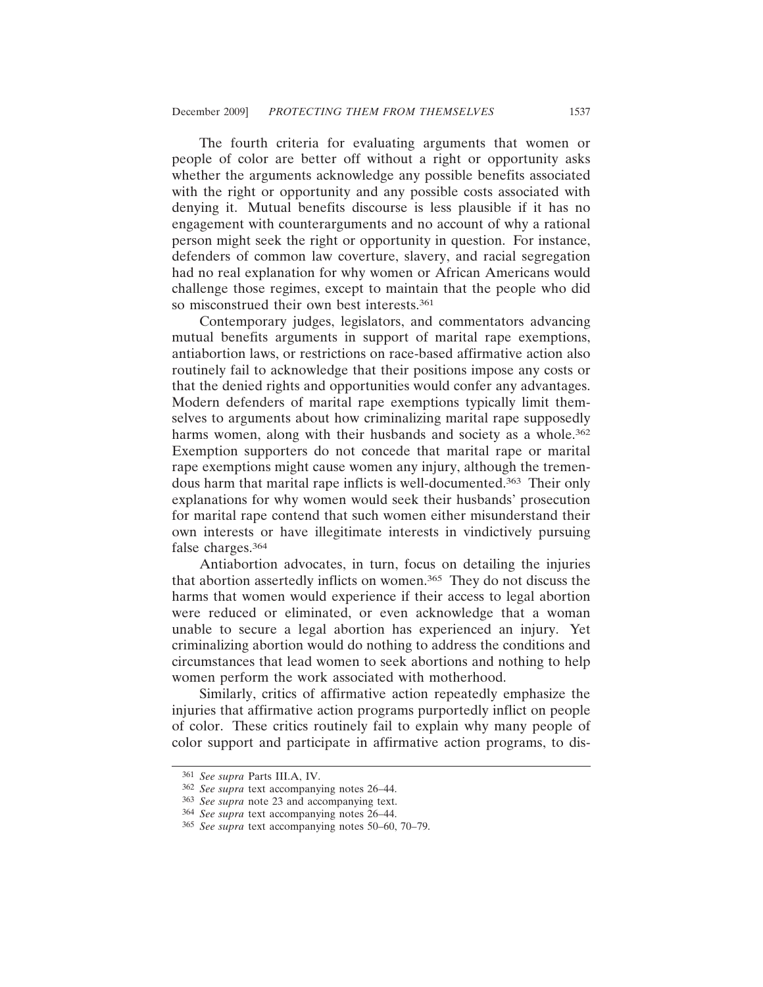The fourth criteria for evaluating arguments that women or people of color are better off without a right or opportunity asks whether the arguments acknowledge any possible benefits associated with the right or opportunity and any possible costs associated with denying it. Mutual benefits discourse is less plausible if it has no engagement with counterarguments and no account of why a rational person might seek the right or opportunity in question. For instance, defenders of common law coverture, slavery, and racial segregation had no real explanation for why women or African Americans would challenge those regimes, except to maintain that the people who did so misconstrued their own best interests.<sup>361</sup>

Contemporary judges, legislators, and commentators advancing mutual benefits arguments in support of marital rape exemptions, antiabortion laws, or restrictions on race-based affirmative action also routinely fail to acknowledge that their positions impose any costs or that the denied rights and opportunities would confer any advantages. Modern defenders of marital rape exemptions typically limit themselves to arguments about how criminalizing marital rape supposedly harms women, along with their husbands and society as a whole.<sup>362</sup> Exemption supporters do not concede that marital rape or marital rape exemptions might cause women any injury, although the tremendous harm that marital rape inflicts is well-documented.363 Their only explanations for why women would seek their husbands' prosecution for marital rape contend that such women either misunderstand their own interests or have illegitimate interests in vindictively pursuing false charges.364

Antiabortion advocates, in turn, focus on detailing the injuries that abortion assertedly inflicts on women.365 They do not discuss the harms that women would experience if their access to legal abortion were reduced or eliminated, or even acknowledge that a woman unable to secure a legal abortion has experienced an injury. Yet criminalizing abortion would do nothing to address the conditions and circumstances that lead women to seek abortions and nothing to help women perform the work associated with motherhood.

Similarly, critics of affirmative action repeatedly emphasize the injuries that affirmative action programs purportedly inflict on people of color. These critics routinely fail to explain why many people of color support and participate in affirmative action programs, to dis-

<sup>361</sup> *See supra* Parts III.A, IV.

<sup>362</sup> *See supra* text accompanying notes 26–44.

<sup>363</sup> *See supra* note 23 and accompanying text.

<sup>364</sup> *See supra* text accompanying notes 26–44.

<sup>365</sup> *See supra* text accompanying notes 50–60, 70–79.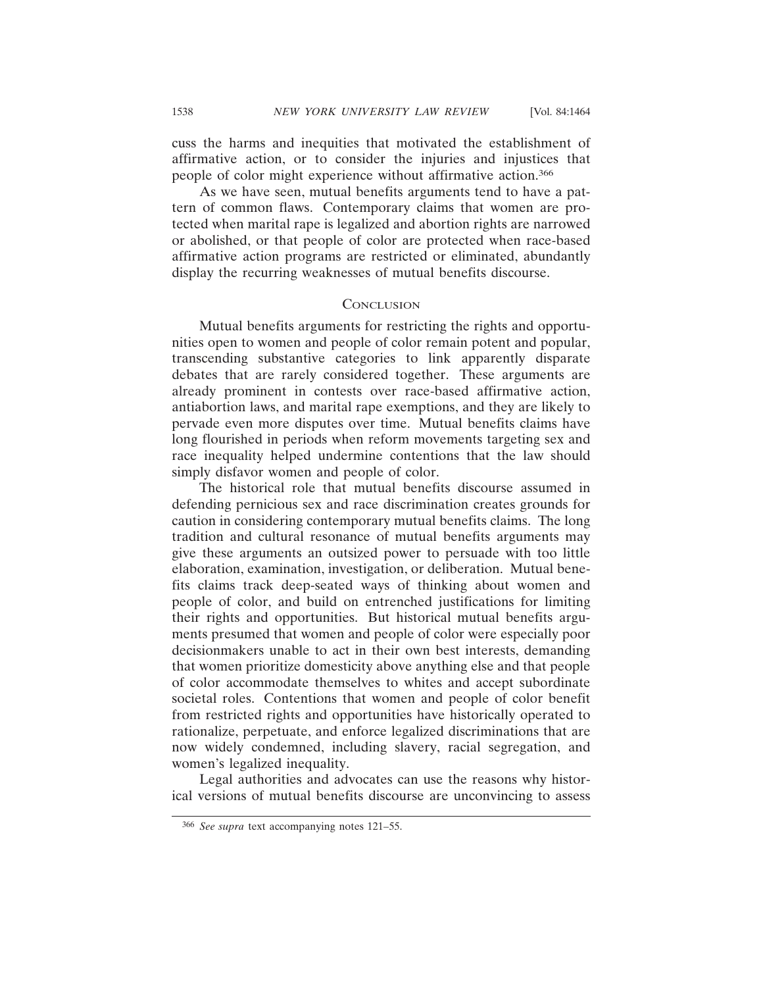cuss the harms and inequities that motivated the establishment of affirmative action, or to consider the injuries and injustices that people of color might experience without affirmative action.366

As we have seen, mutual benefits arguments tend to have a pattern of common flaws. Contemporary claims that women are protected when marital rape is legalized and abortion rights are narrowed or abolished, or that people of color are protected when race-based affirmative action programs are restricted or eliminated, abundantly display the recurring weaknesses of mutual benefits discourse.

## **CONCLUSION**

Mutual benefits arguments for restricting the rights and opportunities open to women and people of color remain potent and popular, transcending substantive categories to link apparently disparate debates that are rarely considered together. These arguments are already prominent in contests over race-based affirmative action, antiabortion laws, and marital rape exemptions, and they are likely to pervade even more disputes over time. Mutual benefits claims have long flourished in periods when reform movements targeting sex and race inequality helped undermine contentions that the law should simply disfavor women and people of color.

The historical role that mutual benefits discourse assumed in defending pernicious sex and race discrimination creates grounds for caution in considering contemporary mutual benefits claims. The long tradition and cultural resonance of mutual benefits arguments may give these arguments an outsized power to persuade with too little elaboration, examination, investigation, or deliberation. Mutual benefits claims track deep-seated ways of thinking about women and people of color, and build on entrenched justifications for limiting their rights and opportunities. But historical mutual benefits arguments presumed that women and people of color were especially poor decisionmakers unable to act in their own best interests, demanding that women prioritize domesticity above anything else and that people of color accommodate themselves to whites and accept subordinate societal roles. Contentions that women and people of color benefit from restricted rights and opportunities have historically operated to rationalize, perpetuate, and enforce legalized discriminations that are now widely condemned, including slavery, racial segregation, and women's legalized inequality.

Legal authorities and advocates can use the reasons why historical versions of mutual benefits discourse are unconvincing to assess

<sup>366</sup> *See supra* text accompanying notes 121–55.